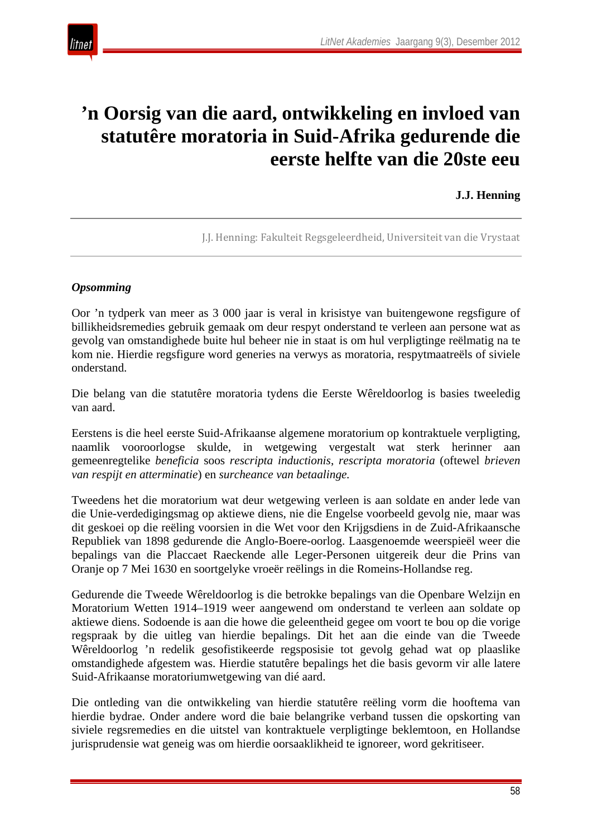

# **'n Oorsig van die aard, ontwikkeling en invloed van statutêre moratoria in Suid-Afrika gedurende die eerste helfte van die 20ste eeu**

#### **J.J. Henning**

J.J. Henning: Fakulteit Regsgeleerdheid, Universiteit van die Vrystaat

#### *Opsomming*

Oor 'n tydperk van meer as 3 000 jaar is veral in krisistye van buitengewone regsfigure of billikheidsremedies gebruik gemaak om deur respyt onderstand te verleen aan persone wat as gevolg van omstandighede buite hul beheer nie in staat is om hul verpligtinge reëlmatig na te kom nie. Hierdie regsfigure word generies na verwys as moratoria, respytmaatreëls of siviele onderstand.

Die belang van die statutêre moratoria tydens die Eerste Wêreldoorlog is basies tweeledig van aard.

Eerstens is die heel eerste Suid-Afrikaanse algemene moratorium op kontraktuele verpligting, naamlik vooroorlogse skulde, in wetgewing vergestalt wat sterk herinner aan gemeenregtelike *beneficia* soos *rescripta inductionis*, *rescripta moratoria* (oftewel *brieven van respijt en atterminatie*) en *surcheance van betaalinge.*

Tweedens het die moratorium wat deur wetgewing verleen is aan soldate en ander lede van die Unie-verdedigingsmag op aktiewe diens, nie die Engelse voorbeeld gevolg nie, maar was dit geskoei op die reëling voorsien in die Wet voor den Krijgsdiens in de Zuid-Afrikaansche Republiek van 1898 gedurende die Anglo-Boere-oorlog. Laasgenoemde weerspieël weer die bepalings van die Placcaet Raeckende alle Leger-Personen uitgereik deur die Prins van Oranje op 7 Mei 1630 en soortgelyke vroeër reëlings in die Romeins-Hollandse reg.

Gedurende die Tweede Wêreldoorlog is die betrokke bepalings van die Openbare Welzijn en Moratorium Wetten 1914–1919 weer aangewend om onderstand te verleen aan soldate op aktiewe diens. Sodoende is aan die howe die geleentheid gegee om voort te bou op die vorige regspraak by die uitleg van hierdie bepalings. Dit het aan die einde van die Tweede Wêreldoorlog 'n redelik gesofistikeerde regsposisie tot gevolg gehad wat op plaaslike omstandighede afgestem was. Hierdie statutêre bepalings het die basis gevorm vir alle latere Suid-Afrikaanse moratoriumwetgewing van dié aard.

Die ontleding van die ontwikkeling van hierdie statutêre reëling vorm die hooftema van hierdie bydrae. Onder andere word die baie belangrike verband tussen die opskorting van siviele regsremedies en die uitstel van kontraktuele verpligtinge beklemtoon, en Hollandse jurisprudensie wat geneig was om hierdie oorsaaklikheid te ignoreer, word gekritiseer.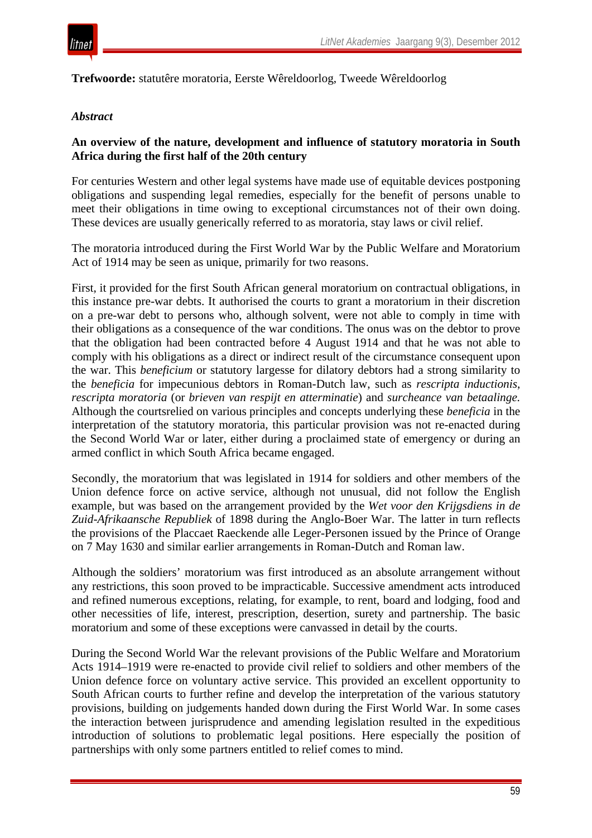

**Trefwoorde:** statutêre moratoria, Eerste Wêreldoorlog, Tweede Wêreldoorlog

#### *Abstract*

#### **An overview of the nature, development and influence of statutory moratoria in South Africa during the first half of the 20th century**

For centuries Western and other legal systems have made use of equitable devices postponing obligations and suspending legal remedies, especially for the benefit of persons unable to meet their obligations in time owing to exceptional circumstances not of their own doing. These devices are usually generically referred to as moratoria, stay laws or civil relief.

The moratoria introduced during the First World War by the Public Welfare and Moratorium Act of 1914 may be seen as unique, primarily for two reasons.

First, it provided for the first South African general moratorium on contractual obligations, in this instance pre-war debts. It authorised the courts to grant a moratorium in their discretion on a pre-war debt to persons who, although solvent, were not able to comply in time with their obligations as a consequence of the war conditions. The onus was on the debtor to prove that the obligation had been contracted before 4 August 1914 and that he was not able to comply with his obligations as a direct or indirect result of the circumstance consequent upon the war. This *beneficium* or statutory largesse for dilatory debtors had a strong similarity to the *beneficia* for impecunious debtors in Roman-Dutch law, such as *rescripta inductionis*, *rescripta moratoria* (or *brieven van respijt en atterminatie*) and *surcheance van betaalinge.*  Although the courtsrelied on various principles and concepts underlying these *beneficia* in the interpretation of the statutory moratoria, this particular provision was not re-enacted during the Second World War or later, either during a proclaimed state of emergency or during an armed conflict in which South Africa became engaged.

Secondly, the moratorium that was legislated in 1914 for soldiers and other members of the Union defence force on active service, although not unusual, did not follow the English example, but was based on the arrangement provided by the *Wet voor den Krijgsdiens in de Zuid-Afrikaansche Republiek* of 1898 during the Anglo-Boer War. The latter in turn reflects the provisions of the Placcaet Raeckende alle Leger-Personen issued by the Prince of Orange on 7 May 1630 and similar earlier arrangements in Roman-Dutch and Roman law.

Although the soldiers' moratorium was first introduced as an absolute arrangement without any restrictions, this soon proved to be impracticable. Successive amendment acts introduced and refined numerous exceptions, relating, for example, to rent, board and lodging, food and other necessities of life, interest, prescription, desertion, surety and partnership. The basic moratorium and some of these exceptions were canvassed in detail by the courts.

During the Second World War the relevant provisions of the Public Welfare and Moratorium Acts 1914–1919 were re-enacted to provide civil relief to soldiers and other members of the Union defence force on voluntary active service. This provided an excellent opportunity to South African courts to further refine and develop the interpretation of the various statutory provisions, building on judgements handed down during the First World War. In some cases the interaction between jurisprudence and amending legislation resulted in the expeditious introduction of solutions to problematic legal positions. Here especially the position of partnerships with only some partners entitled to relief comes to mind.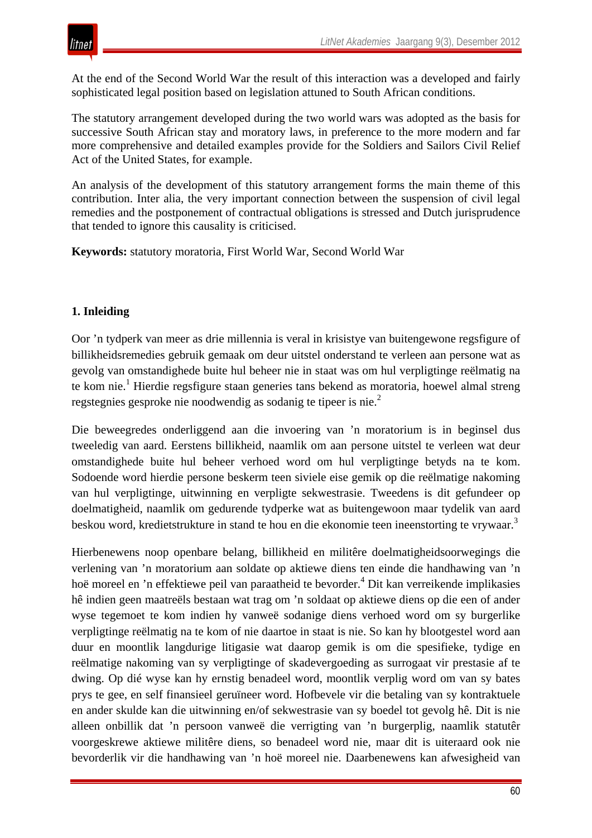At the end of the Second World War the result of this interaction was a developed and fairly sophisticated legal position based on legislation attuned to South African conditions.

The statutory arrangement developed during the two world wars was adopted as the basis for successive South African stay and moratory laws, in preference to the more modern and far more comprehensive and detailed examples provide for the Soldiers and Sailors Civil Relief Act of the United States, for example.

An analysis of the development of this statutory arrangement forms the main theme of this contribution. Inter alia, the very important connection between the suspension of civil legal remedies and the postponement of contractual obligations is stressed and Dutch jurisprudence that tended to ignore this causality is criticised.

**Keywords:** statutory moratoria, First World War, Second World War

#### **1. Inleiding**

Oor 'n tydperk van meer as drie millennia is veral in krisistye van buitengewone regsfigure of billikheidsremedies gebruik gemaak om deur uitstel onderstand te verleen aan persone wat as gevolg van omstandighede buite hul beheer nie in staat was om hul verpligtinge reëlmatig na te kom nie.1 Hierdie regsfigure staan generies tans bekend as moratoria*,* hoewel almal streng regstegnies gesproke nie noodwendig as sodanig te tipeer is nie.2

Die beweegredes onderliggend aan die invoering van 'n moratorium is in beginsel dus tweeledig van aard. Eerstens billikheid, naamlik om aan persone uitstel te verleen wat deur omstandighede buite hul beheer verhoed word om hul verpligtinge betyds na te kom. Sodoende word hierdie persone beskerm teen siviele eise gemik op die reëlmatige nakoming van hul verpligtinge, uitwinning en verpligte sekwestrasie. Tweedens is dit gefundeer op doelmatigheid, naamlik om gedurende tydperke wat as buitengewoon maar tydelik van aard beskou word, kredietstrukture in stand te hou en die ekonomie teen ineenstorting te vrywaar.<sup>3</sup>

Hierbenewens noop openbare belang, billikheid en militêre doelmatigheidsoorwegings die verlening van 'n moratorium aan soldate op aktiewe diens ten einde die handhawing van 'n hoë moreel en 'n effektiewe peil van paraatheid te bevorder.<sup>4</sup> Dit kan verreikende implikasies hê indien geen maatreëls bestaan wat trag om 'n soldaat op aktiewe diens op die een of ander wyse tegemoet te kom indien hy vanweë sodanige diens verhoed word om sy burgerlike verpligtinge reëlmatig na te kom of nie daartoe in staat is nie. So kan hy blootgestel word aan duur en moontlik langdurige litigasie wat daarop gemik is om die spesifieke, tydige en reëlmatige nakoming van sy verpligtinge of skadevergoeding as surrogaat vir prestasie af te dwing. Op dié wyse kan hy ernstig benadeel word, moontlik verplig word om van sy bates prys te gee, en self finansieel geruïneer word. Hofbevele vir die betaling van sy kontraktuele en ander skulde kan die uitwinning en/of sekwestrasie van sy boedel tot gevolg hê. Dit is nie alleen onbillik dat 'n persoon vanweë die verrigting van 'n burgerplig, naamlik statutêr voorgeskrewe aktiewe militêre diens, so benadeel word nie, maar dit is uiteraard ook nie bevorderlik vir die handhawing van 'n hoë moreel nie. Daarbenewens kan afwesigheid van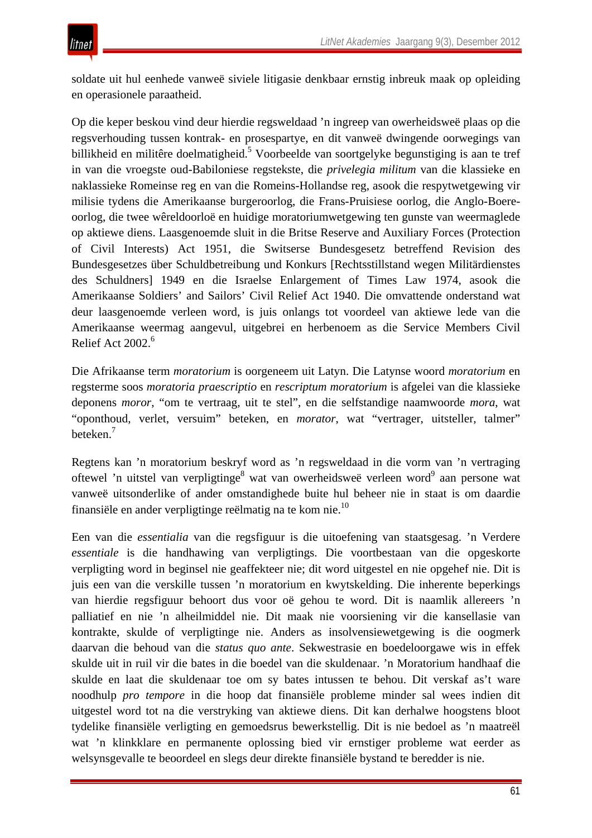soldate uit hul eenhede vanweë siviele litigasie denkbaar ernstig inbreuk maak op opleiding en operasionele paraatheid.

Op die keper beskou vind deur hierdie regsweldaad 'n ingreep van owerheidsweë plaas op die regsverhouding tussen kontrak- en prosespartye, en dit vanweë dwingende oorwegings van billikheid en militêre doelmatigheid.<sup>5</sup> Voorbeelde van soortgelyke begunstiging is aan te tref in van die vroegste oud-Babiloniese regstekste, die *privelegia militum* van die klassieke en naklassieke Romeinse reg en van die Romeins-Hollandse reg, asook die respytwetgewing vir milisie tydens die Amerikaanse burgeroorlog, die Frans-Pruisiese oorlog, die Anglo-Boereoorlog, die twee wêreldoorloë en huidige moratoriumwetgewing ten gunste van weermaglede op aktiewe diens. Laasgenoemde sluit in die Britse Reserve and Auxiliary Forces (Protection of Civil Interests) Act 1951, die Switserse Bundesgesetz betreffend Revision des Bundesgesetzes über Schuldbetreibung und Konkurs [Rechtsstillstand wegen Militärdienstes des Schuldners] 1949 en die Israelse Enlargement of Times Law 1974, asook die Amerikaanse Soldiers' and Sailors' Civil Relief Act 1940. Die omvattende onderstand wat deur laasgenoemde verleen word, is juis onlangs tot voordeel van aktiewe lede van die Amerikaanse weermag aangevul, uitgebrei en herbenoem as die Service Members Civil Relief Act  $2002<sup>6</sup>$ 

Die Afrikaanse term *moratorium* is oorgeneem uit Latyn. Die Latynse woord *moratorium* en regsterme soos *moratoria praescriptio* en *rescriptum moratorium* is afgelei van die klassieke deponens *moror*, "om te vertraag, uit te stel", en die selfstandige naamwoorde *mora*, wat "oponthoud, verlet, versuim" beteken, en *morator*, wat "vertrager, uitsteller, talmer" beteken.<sup>7</sup>

Regtens kan 'n moratorium beskryf word as 'n regsweldaad in die vorm van 'n vertraging oftewel 'n uitstel van verpligtinge<sup>8</sup> wat van owerheidsweë verleen word<sup>9</sup> aan persone wat vanweë uitsonderlike of ander omstandighede buite hul beheer nie in staat is om daardie finansiële en ander verpligtinge reëlmatig na te kom nie.10

Een van die *essentialia* van die regsfiguur is die uitoefening van staatsgesag. 'n Verdere *essentiale* is die handhawing van verpligtings. Die voortbestaan van die opgeskorte verpligting word in beginsel nie geaffekteer nie; dit word uitgestel en nie opgehef nie. Dit is juis een van die verskille tussen 'n moratorium en kwytskelding. Die inherente beperkings van hierdie regsfiguur behoort dus voor oë gehou te word. Dit is naamlik allereers 'n palliatief en nie 'n alheilmiddel nie. Dit maak nie voorsiening vir die kansellasie van kontrakte, skulde of verpligtinge nie. Anders as insolvensiewetgewing is die oogmerk daarvan die behoud van die *status quo ante*. Sekwestrasie en boedeloorgawe wis in effek skulde uit in ruil vir die bates in die boedel van die skuldenaar. 'n Moratorium handhaaf die skulde en laat die skuldenaar toe om sy bates intussen te behou. Dit verskaf as't ware noodhulp *pro tempore* in die hoop dat finansiële probleme minder sal wees indien dit uitgestel word tot na die verstryking van aktiewe diens. Dit kan derhalwe hoogstens bloot tydelike finansiële verligting en gemoedsrus bewerkstellig. Dit is nie bedoel as 'n maatreël wat 'n klinkklare en permanente oplossing bied vir ernstiger probleme wat eerder as welsynsgevalle te beoordeel en slegs deur direkte finansiële bystand te beredder is nie.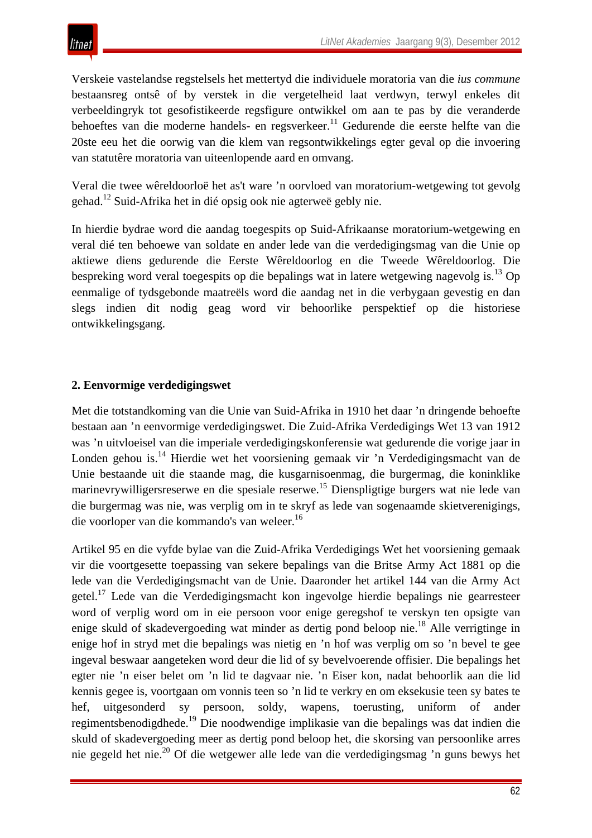Verskeie vastelandse regstelsels het mettertyd die individuele moratoria van die *ius commune* bestaansreg ontsê of by verstek in die vergetelheid laat verdwyn, terwyl enkeles dit verbeeldingryk tot gesofistikeerde regsfigure ontwikkel om aan te pas by die veranderde behoeftes van die moderne handels- en regsverkeer.<sup>11</sup> Gedurende die eerste helfte van die 20ste eeu het die oorwig van die klem van regsontwikkelings egter geval op die invoering van statutêre moratoria van uiteenlopende aard en omvang.

Veral die twee wêreldoorloë het as't ware 'n oorvloed van moratorium-wetgewing tot gevolg gehad.12 Suid-Afrika het in dié opsig ook nie agterweë gebly nie.

In hierdie bydrae word die aandag toegespits op Suid-Afrikaanse moratorium-wetgewing en veral dié ten behoewe van soldate en ander lede van die verdedigingsmag van die Unie op aktiewe diens gedurende die Eerste Wêreldoorlog en die Tweede Wêreldoorlog. Die bespreking word veral toegespits op die bepalings wat in latere wetgewing nagevolg is.<sup>13</sup> Op eenmalige of tydsgebonde maatreëls word die aandag net in die verbygaan gevestig en dan slegs indien dit nodig geag word vir behoorlike perspektief op die historiese ontwikkelingsgang.

# **2. Eenvormige verdedigingswet**

Met die totstandkoming van die Unie van Suid-Afrika in 1910 het daar 'n dringende behoefte bestaan aan 'n eenvormige verdedigingswet. Die Zuid-Afrika Verdedigings Wet 13 van 1912 was 'n uitvloeisel van die imperiale verdedigingskonferensie wat gedurende die vorige jaar in Londen gehou is.14 Hierdie wet het voorsiening gemaak vir 'n Verdedigingsmacht van de Unie bestaande uit die staande mag, die kusgarnisoenmag, die burgermag, die koninklike marinevrywilligersreserwe en die spesiale reserwe.<sup>15</sup> Dienspligtige burgers wat nie lede van die burgermag was nie, was verplig om in te skryf as lede van sogenaamde skietverenigings, die voorloper van die kommando's van weleer.<sup>16</sup>

Artikel 95 en die vyfde bylae van die Zuid-Afrika Verdedigings Wet het voorsiening gemaak vir die voortgesette toepassing van sekere bepalings van die Britse Army Act 1881 op die lede van die Verdedigingsmacht van de Unie. Daaronder het artikel 144 van die Army Act getel.17 Lede van die Verdedigingsmacht kon ingevolge hierdie bepalings nie gearresteer word of verplig word om in eie persoon voor enige geregshof te verskyn ten opsigte van enige skuld of skadevergoeding wat minder as dertig pond beloop nie.18 Alle verrigtinge in enige hof in stryd met die bepalings was nietig en 'n hof was verplig om so 'n bevel te gee ingeval beswaar aangeteken word deur die lid of sy bevelvoerende offisier. Die bepalings het egter nie 'n eiser belet om 'n lid te dagvaar nie. 'n Eiser kon, nadat behoorlik aan die lid kennis gegee is, voortgaan om vonnis teen so 'n lid te verkry en om eksekusie teen sy bates te hef, uitgesonderd sy persoon, soldy, wapens, toerusting, uniform of ander regimentsbenodigdhede.19 Die noodwendige implikasie van die bepalings was dat indien die skuld of skadevergoeding meer as dertig pond beloop het, die skorsing van persoonlike arres nie gegeld het nie.<sup>20</sup> Of die wetgewer alle lede van die verdedigingsmag 'n guns bewys het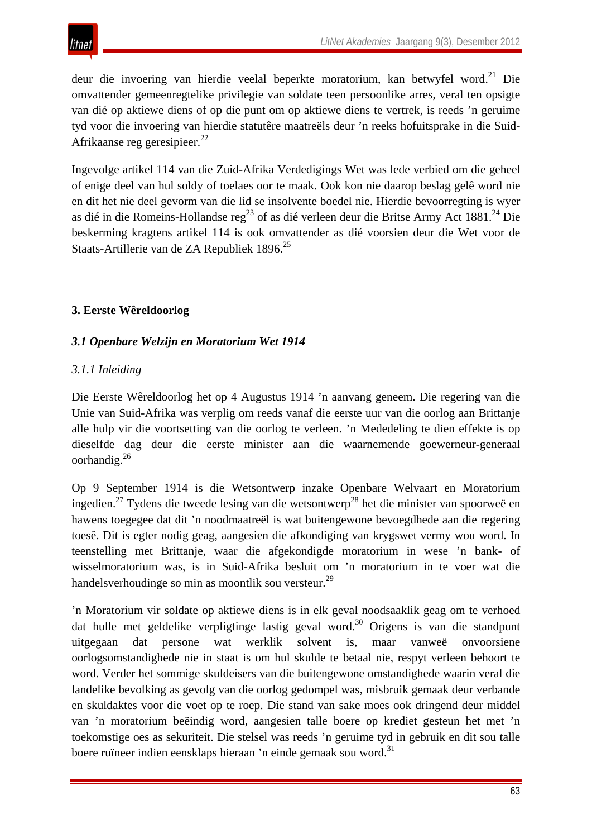

deur die invoering van hierdie veelal beperkte moratorium, kan betwyfel word.<sup>21</sup> Die omvattender gemeenregtelike privilegie van soldate teen persoonlike arres, veral ten opsigte van dié op aktiewe diens of op die punt om op aktiewe diens te vertrek, is reeds 'n geruime tyd voor die invoering van hierdie statutêre maatreëls deur 'n reeks hofuitsprake in die Suid-Afrikaanse reg geresipieer.<sup>22</sup>

Ingevolge artikel 114 van die Zuid-Afrika Verdedigings Wet was lede verbied om die geheel of enige deel van hul soldy of toelaes oor te maak. Ook kon nie daarop beslag gelê word nie en dit het nie deel gevorm van die lid se insolvente boedel nie. Hierdie bevoorregting is wyer as dié in die Romeins-Hollandse reg<sup>23</sup> of as dié verleen deur die Britse Army Act 1881.<sup>24</sup> Die beskerming kragtens artikel 114 is ook omvattender as dié voorsien deur die Wet voor de Staats-Artillerie van de ZA Republiek 1896.<sup>25</sup>

# **3. Eerste Wêreldoorlog**

## *3.1 Openbare Welzijn en Moratorium Wet 1914*

## *3.1.1 Inleiding*

Die Eerste Wêreldoorlog het op 4 Augustus 1914 'n aanvang geneem. Die regering van die Unie van Suid-Afrika was verplig om reeds vanaf die eerste uur van die oorlog aan Brittanje alle hulp vir die voortsetting van die oorlog te verleen. 'n Mededeling te dien effekte is op dieselfde dag deur die eerste minister aan die waarnemende goewerneur-generaal oorhandig.26

Op 9 September 1914 is die Wetsontwerp inzake Openbare Welvaart en Moratorium ingedien.<sup>27</sup> Tydens die tweede lesing van die wetsontwerp<sup>28</sup> het die minister van spoorweë en hawens toegegee dat dit 'n noodmaatreël is wat buitengewone bevoegdhede aan die regering toesê. Dit is egter nodig geag, aangesien die afkondiging van krygswet vermy wou word. In teenstelling met Brittanje, waar die afgekondigde moratorium in wese 'n bank- of wisselmoratorium was, is in Suid-Afrika besluit om 'n moratorium in te voer wat die handelsverhoudinge so min as moontlik sou versteur.<sup>29</sup>

'n Moratorium vir soldate op aktiewe diens is in elk geval noodsaaklik geag om te verhoed dat hulle met geldelike verpligtinge lastig geval word.<sup>30</sup> Origens is van die standpunt uitgegaan dat persone wat werklik solvent is, maar vanweë onvoorsiene oorlogsomstandighede nie in staat is om hul skulde te betaal nie, respyt verleen behoort te word. Verder het sommige skuldeisers van die buitengewone omstandighede waarin veral die landelike bevolking as gevolg van die oorlog gedompel was, misbruik gemaak deur verbande en skuldaktes voor die voet op te roep. Die stand van sake moes ook dringend deur middel van 'n moratorium beëindig word, aangesien talle boere op krediet gesteun het met 'n toekomstige oes as sekuriteit. Die stelsel was reeds 'n geruime tyd in gebruik en dit sou talle boere ruïneer indien eensklaps hieraan 'n einde gemaak sou word.<sup>31</sup>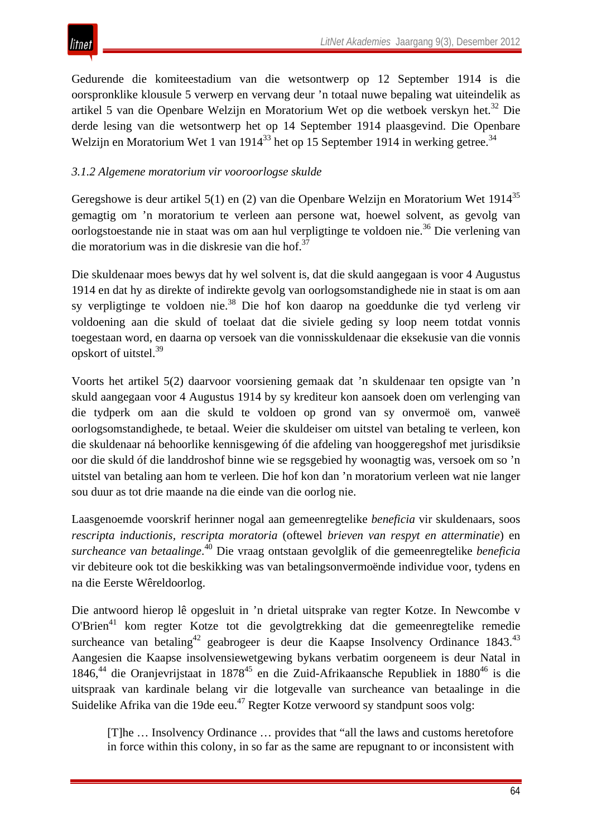Gedurende die komiteestadium van die wetsontwerp op 12 September 1914 is die oorspronklike klousule 5 verwerp en vervang deur 'n totaal nuwe bepaling wat uiteindelik as artikel 5 van die Openbare Welzijn en Moratorium Wet op die wetboek verskyn het.32 Die derde lesing van die wetsontwerp het op 14 September 1914 plaasgevind. Die Openbare Welzijn en Moratorium Wet 1 van 1914<sup>33</sup> het op 15 September 1914 in werking getree.<sup>34</sup>

# *3.1.2 Algemene moratorium vir vooroorlogse skulde*

Geregshowe is deur artikel  $5(1)$  en (2) van die Openbare Welzijn en Moratorium Wet 1914<sup>35</sup> gemagtig om 'n moratorium te verleen aan persone wat, hoewel solvent, as gevolg van oorlogstoestande nie in staat was om aan hul verpligtinge te voldoen nie.<sup>36</sup> Die verlening van die moratorium was in die diskresie van die hof.<sup>37</sup>

Die skuldenaar moes bewys dat hy wel solvent is, dat die skuld aangegaan is voor 4 Augustus 1914 en dat hy as direkte of indirekte gevolg van oorlogsomstandighede nie in staat is om aan sy verpligtinge te voldoen nie.38 Die hof kon daarop na goeddunke die tyd verleng vir voldoening aan die skuld of toelaat dat die siviele geding sy loop neem totdat vonnis toegestaan word, en daarna op versoek van die vonnisskuldenaar die eksekusie van die vonnis opskort of uitstel.<sup>39</sup>

Voorts het artikel 5(2) daarvoor voorsiening gemaak dat 'n skuldenaar ten opsigte van 'n skuld aangegaan voor 4 Augustus 1914 by sy krediteur kon aansoek doen om verlenging van die tydperk om aan die skuld te voldoen op grond van sy onvermoë om, vanweë oorlogsomstandighede, te betaal. Weier die skuldeiser om uitstel van betaling te verleen, kon die skuldenaar ná behoorlike kennisgewing óf die afdeling van hooggeregshof met jurisdiksie oor die skuld óf die landdroshof binne wie se regsgebied hy woonagtig was, versoek om so 'n uitstel van betaling aan hom te verleen. Die hof kon dan 'n moratorium verleen wat nie langer sou duur as tot drie maande na die einde van die oorlog nie.

Laasgenoemde voorskrif herinner nogal aan gemeenregtelike *beneficia* vir skuldenaars, soos *rescripta inductionis, rescripta moratoria* (oftewel *brieven van respyt en atterminatie*) en *surcheance van betaalinge*. <sup>40</sup> Die vraag ontstaan gevolglik of die gemeenregtelike *beneficia*  vir debiteure ook tot die beskikking was van betalingsonvermoënde individue voor, tydens en na die Eerste Wêreldoorlog.

Die antwoord hierop lê opgesluit in 'n drietal uitsprake van regter Kotze. In Newcombe v O'Brien41 kom regter Kotze tot die gevolgtrekking dat die gemeenregtelike remedie surcheance van betaling<sup>42</sup> geabrogeer is deur die Kaapse Insolvency Ordinance 1843.<sup>43</sup> Aangesien die Kaapse insolvensiewetgewing bykans verbatim oorgeneem is deur Natal in 1846,<sup>44</sup> die Oranjevrijstaat in 1878<sup>45</sup> en die Zuid-Afrikaansche Republiek in 1880<sup>46</sup> is die uitspraak van kardinale belang vir die lotgevalle van surcheance van betaalinge in die Suidelike Afrika van die 19de eeu.<sup>47</sup> Regter Kotze verwoord sy standpunt soos volg:

[T]he … Insolvency Ordinance … provides that "all the laws and customs heretofore in force within this colony, in so far as the same are repugnant to or inconsistent with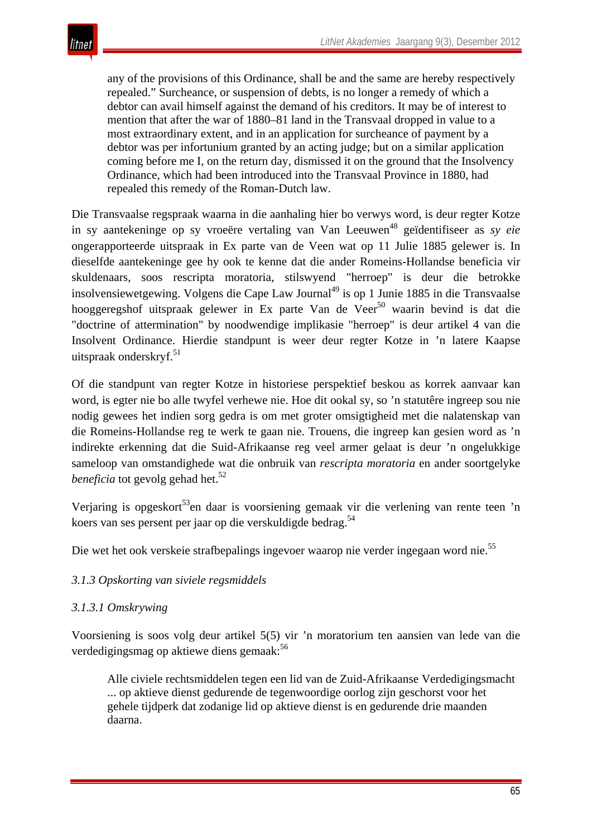any of the provisions of this Ordinance, shall be and the same are hereby respectively repealed." Surcheance, or suspension of debts, is no longer a remedy of which a debtor can avail himself against the demand of his creditors. It may be of interest to mention that after the war of 1880–81 land in the Transvaal dropped in value to a most extraordinary extent, and in an application for surcheance of payment by a debtor was per infortunium granted by an acting judge; but on a similar application coming before me I, on the return day, dismissed it on the ground that the Insolvency Ordinance, which had been introduced into the Transvaal Province in 1880, had repealed this remedy of the Roman-Dutch law.

Die Transvaalse regspraak waarna in die aanhaling hier bo verwys word, is deur regter Kotze in sy aantekeninge op sy vroeëre vertaling van Van Leeuwen<sup>48</sup> geïdentifiseer as *sy eie* ongerapporteerde uitspraak in Ex parte van de Veen wat op 11 Julie 1885 gelewer is. In dieselfde aantekeninge gee hy ook te kenne dat die ander Romeins-Hollandse beneficia vir skuldenaars, soos rescripta moratoria, stilswyend "herroep" is deur die betrokke insolvensiewetgewing. Volgens die Cape Law Journal<sup>49</sup> is op 1 Junie 1885 in die Transvaalse hooggeregshof uitspraak gelewer in Ex parte Van de Veer<sup>50</sup> waarin bevind is dat die "doctrine of attermination" by noodwendige implikasie "herroep" is deur artikel 4 van die Insolvent Ordinance. Hierdie standpunt is weer deur regter Kotze in 'n latere Kaapse uitspraak onderskryf. $51$ 

Of die standpunt van regter Kotze in historiese perspektief beskou as korrek aanvaar kan word, is egter nie bo alle twyfel verhewe nie. Hoe dit ookal sy, so 'n statutêre ingreep sou nie nodig gewees het indien sorg gedra is om met groter omsigtigheid met die nalatenskap van die Romeins-Hollandse reg te werk te gaan nie. Trouens, die ingreep kan gesien word as 'n indirekte erkenning dat die Suid-Afrikaanse reg veel armer gelaat is deur 'n ongelukkige sameloop van omstandighede wat die onbruik van *rescripta moratoria* en ander soortgelyke *beneficia* tot gevolg gehad het.<sup>52</sup>

Verjaring is opgeskort<sup>53</sup>en daar is voorsiening gemaak vir die verlening van rente teen 'n koers van ses persent per jaar op die verskuldigde bedrag.<sup>54</sup>

Die wet het ook verskeie strafbepalings ingevoer waarop nie verder ingegaan word nie.<sup>55</sup>

## *3.1.3 Opskorting van siviele regsmiddels*

## *3.1.3.1 Omskrywing*

Voorsiening is soos volg deur artikel 5(5) vir 'n moratorium ten aansien van lede van die verdedigingsmag op aktiewe diens gemaak:<sup>56</sup>

Alle civiele rechtsmiddelen tegen een lid van de Zuid-Afrikaanse Verdedigingsmacht ... op aktieve dienst gedurende de tegenwoordige oorlog zijn geschorst voor het gehele tijdperk dat zodanige lid op aktieve dienst is en gedurende drie maanden daarna.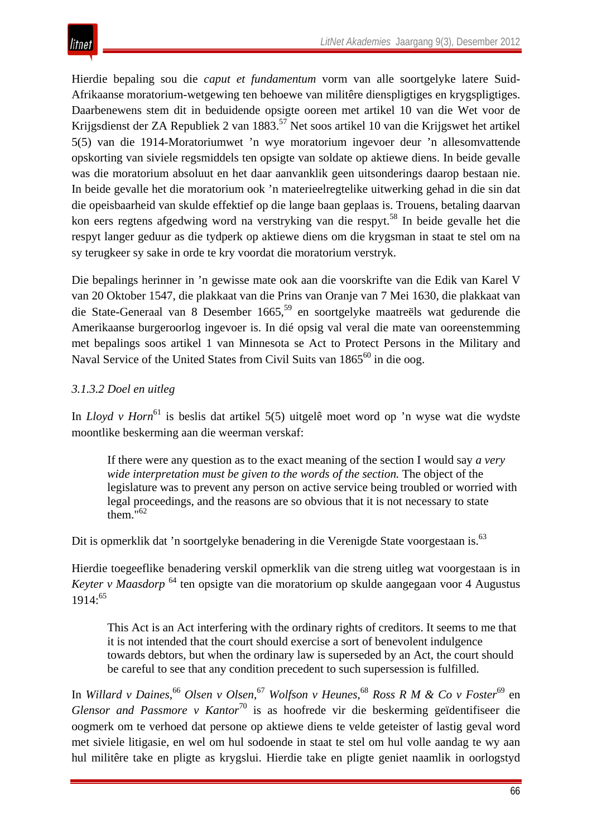Hierdie bepaling sou die *caput et fundamentum* vorm van alle soortgelyke latere Suid-Afrikaanse moratorium-wetgewing ten behoewe van militêre dienspligtiges en krygspligtiges. Daarbenewens stem dit in beduidende opsigte ooreen met artikel 10 van die Wet voor de Krijgsdienst der ZA Republiek 2 van 1883.<sup>57</sup> Net soos artikel 10 van die Krijgswet het artikel 5(5) van die 1914-Moratoriumwet 'n wye moratorium ingevoer deur 'n allesomvattende opskorting van siviele regsmiddels ten opsigte van soldate op aktiewe diens. In beide gevalle was die moratorium absoluut en het daar aanvanklik geen uitsonderings daarop bestaan nie. In beide gevalle het die moratorium ook 'n materieelregtelike uitwerking gehad in die sin dat die opeisbaarheid van skulde effektief op die lange baan geplaas is. Trouens, betaling daarvan kon eers regtens afgedwing word na verstryking van die respyt.<sup>58</sup> In beide gevalle het die respyt langer geduur as die tydperk op aktiewe diens om die krygsman in staat te stel om na sy terugkeer sy sake in orde te kry voordat die moratorium verstryk.

Die bepalings herinner in 'n gewisse mate ook aan die voorskrifte van die Edik van Karel V van 20 Oktober 1547, die plakkaat van die Prins van Oranje van 7 Mei 1630, die plakkaat van die State-Generaal van 8 Desember 1665,<sup>59</sup> en soortgelyke maatreëls wat gedurende die Amerikaanse burgeroorlog ingevoer is. In dié opsig val veral die mate van ooreenstemming met bepalings soos artikel 1 van Minnesota se Act to Protect Persons in the Military and Naval Service of the United States from Civil Suits van 1865<sup>60</sup> in die oog.

# *3.1.3.2 Doel en uitleg*

In *Lloyd v Horn*<sup>61</sup> is beslis dat artikel 5(5) uitgelê moet word op 'n wyse wat die wydste moontlike beskerming aan die weerman verskaf:

If there were any question as to the exact meaning of the section I would say *a very wide interpretation must be given to the words of the section.* The object of the legislature was to prevent any person on active service being troubled or worried with legal proceedings, and the reasons are so obvious that it is not necessary to state them."<sup>62</sup>

Dit is opmerklik dat 'n soortgelyke benadering in die Verenigde State voorgestaan is.<sup>63</sup>

Hierdie toegeeflike benadering verskil opmerklik van die streng uitleg wat voorgestaan is in *Keyter v Maasdorp* <sup>64</sup> ten opsigte van die moratorium op skulde aangegaan voor 4 Augustus  $1914:^{65}$ 

This Act is an Act interfering with the ordinary rights of creditors. It seems to me that it is not intended that the court should exercise a sort of benevolent indulgence towards debtors, but when the ordinary law is superseded by an Act, the court should be careful to see that any condition precedent to such supersession is fulfilled.

In *Willard v Daines*, <sup>66</sup> *Olsen v Olsen*, <sup>67</sup> *Wolfson v Heunes*, <sup>68</sup> *Ross R M & Co v Foster*<sup>69</sup> en *Glensor and Passmore v Kantor*<sup>70</sup> is as hoofrede vir die beskerming geïdentifiseer die oogmerk om te verhoed dat persone op aktiewe diens te velde geteister of lastig geval word met siviele litigasie, en wel om hul sodoende in staat te stel om hul volle aandag te wy aan hul militêre take en pligte as krygslui. Hierdie take en pligte geniet naamlik in oorlogstyd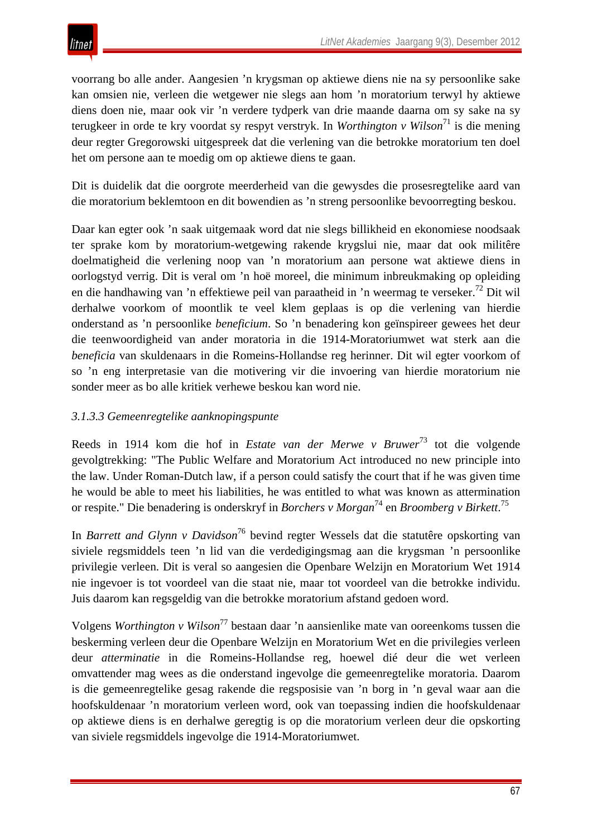voorrang bo alle ander. Aangesien 'n krygsman op aktiewe diens nie na sy persoonlike sake kan omsien nie, verleen die wetgewer nie slegs aan hom 'n moratorium terwyl hy aktiewe diens doen nie, maar ook vir 'n verdere tydperk van drie maande daarna om sy sake na sy terugkeer in orde te kry voordat sy respyt verstryk. In *Worthington v Wilson*<sup>71</sup> is die mening deur regter Gregorowski uitgespreek dat die verlening van die betrokke moratorium ten doel het om persone aan te moedig om op aktiewe diens te gaan.

Dit is duidelik dat die oorgrote meerderheid van die gewysdes die prosesregtelike aard van die moratorium beklemtoon en dit bowendien as 'n streng persoonlike bevoorregting beskou.

Daar kan egter ook 'n saak uitgemaak word dat nie slegs billikheid en ekonomiese noodsaak ter sprake kom by moratorium-wetgewing rakende krygslui nie, maar dat ook militêre doelmatigheid die verlening noop van 'n moratorium aan persone wat aktiewe diens in oorlogstyd verrig. Dit is veral om 'n hoë moreel, die minimum inbreukmaking op opleiding en die handhawing van 'n effektiewe peil van paraatheid in 'n weermag te verseker.<sup>72</sup> Dit wil derhalwe voorkom of moontlik te veel klem geplaas is op die verlening van hierdie onderstand as 'n persoonlike *beneficium*. So 'n benadering kon geïnspireer gewees het deur die teenwoordigheid van ander moratoria in die 1914-Moratoriumwet wat sterk aan die *beneficia* van skuldenaars in die Romeins-Hollandse reg herinner. Dit wil egter voorkom of so 'n eng interpretasie van die motivering vir die invoering van hierdie moratorium nie sonder meer as bo alle kritiek verhewe beskou kan word nie.

## *3.1.3.3 Gemeenregtelike aanknopingspunte*

Reeds in 1914 kom die hof in *Estate van der Merwe v Bruwer*<sup>73</sup> tot die volgende gevolgtrekking: "The Public Welfare and Moratorium Act introduced no new principle into the law. Under Roman-Dutch law, if a person could satisfy the court that if he was given time he would be able to meet his liabilities, he was entitled to what was known as attermination or respite." Die benadering is onderskryf in *Borchers v Morgan*<sup>74</sup> en *Broomberg v Birkett*. 75

In *Barrett and Glynn v Davidson*<sup>76</sup> bevind regter Wessels dat die statutêre opskorting van siviele regsmiddels teen 'n lid van die verdedigingsmag aan die krygsman 'n persoonlike privilegie verleen. Dit is veral so aangesien die Openbare Welzijn en Moratorium Wet 1914 nie ingevoer is tot voordeel van die staat nie, maar tot voordeel van die betrokke individu. Juis daarom kan regsgeldig van die betrokke moratorium afstand gedoen word.

Volgens *Worthington v Wilson*<sup>77</sup> bestaan daar 'n aansienlike mate van ooreenkoms tussen die beskerming verleen deur die Openbare Welzijn en Moratorium Wet en die privilegies verleen deur *atterminatie* in die Romeins-Hollandse reg, hoewel dié deur die wet verleen omvattender mag wees as die onderstand ingevolge die gemeenregtelike moratoria. Daarom is die gemeenregtelike gesag rakende die regsposisie van 'n borg in 'n geval waar aan die hoofskuldenaar 'n moratorium verleen word, ook van toepassing indien die hoofskuldenaar op aktiewe diens is en derhalwe geregtig is op die moratorium verleen deur die opskorting van siviele regsmiddels ingevolge die 1914-Moratoriumwet.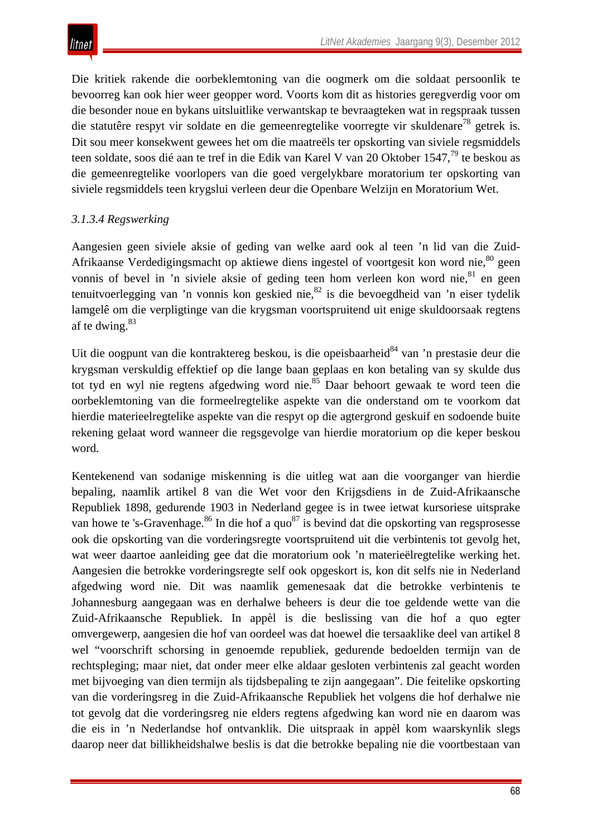Die kritiek rakende die oorbeklemtoning van die oogmerk om die soldaat persoonlik te bevoorreg kan ook hier weer geopper word. Voorts kom dit as histories geregverdig voor om die besonder noue en bykans uitsluitlike verwantskap te bevraagteken wat in regspraak tussen die statutêre respyt vir soldate en die gemeenregtelike voorregte vir skuldenare<sup>78</sup> getrek is. Dit sou meer konsekwent gewees het om die maatreëls ter opskorting van siviele regsmiddels teen soldate, soos dié aan te tref in die Edik van Karel V van 20 Oktober 1547,<sup>79</sup> te beskou as die gemeenregtelike voorlopers van die goed vergelykbare moratorium ter opskorting van siviele regsmiddels teen krygslui verleen deur die Openbare Welzijn en Moratorium Wet.

# *3.1.3.4 Regswerking*

Aangesien geen siviele aksie of geding van welke aard ook al teen 'n lid van die Zuid-Afrikaanse Verdedigingsmacht op aktiewe diens ingestel of voortgesit kon word nie, $80$  geen vonnis of bevel in 'n siviele aksie of geding teen hom verleen kon word nie, <sup>81</sup> en geen tenuitvoerlegging van 'n vonnis kon geskied nie.  $82$  is die bevoegdheid van 'n eiser tydelik lamgelê om die verpligtinge van die krygsman voortspruitend uit enige skuldoorsaak regtens af te dwing.<sup>83</sup>

Uit die oogpunt van die kontraktereg beskou, is die opeisbaarheid<sup>84</sup> van 'n prestasie deur die krygsman verskuldig effektief op die lange baan geplaas en kon betaling van sy skulde dus tot tyd en wyl nie regtens afgedwing word nie.<sup>85</sup> Daar behoort gewaak te word teen die oorbeklemtoning van die formeelregtelike aspekte van die onderstand om te voorkom dat hierdie materieelregtelike aspekte van die respyt op die agtergrond geskuif en sodoende buite rekening gelaat word wanneer die regsgevolge van hierdie moratorium op die keper beskou word.

Kentekenend van sodanige miskenning is die uitleg wat aan die voorganger van hierdie bepaling, naamlik artikel 8 van die Wet voor den Krijgsdiens in de Zuid-Afrikaansche Republiek 1898, gedurende 1903 in Nederland gegee is in twee ietwat kursoriese uitsprake van howe te 's-Gravenhage.<sup>86</sup> In die hof a quo<sup>87</sup> is bevind dat die opskorting van regsprosesse ook die opskorting van die vorderingsregte voortspruitend uit die verbintenis tot gevolg het, wat weer daartoe aanleiding gee dat die moratorium ook 'n materieëlregtelike werking het. Aangesien die betrokke vorderingsregte self ook opgeskort is, kon dit selfs nie in Nederland afgedwing word nie. Dit was naamlik gemenesaak dat die betrokke verbintenis te Johannesburg aangegaan was en derhalwe beheers is deur die toe geldende wette van die Zuid-Afrikaansche Republiek. In appèl is die beslissing van die hof a quo egter omvergewerp, aangesien die hof van oordeel was dat hoewel die tersaaklike deel van artikel 8 wel "voorschrift schorsing in genoemde republiek, gedurende bedoelden termijn van de rechtspleging; maar niet, dat onder meer elke aldaar gesloten verbintenis zal geacht worden met bijvoeging van dien termijn als tijdsbepaling te zijn aangegaan". Die feitelike opskorting van die vorderingsreg in die Zuid-Afrikaansche Republiek het volgens die hof derhalwe nie tot gevolg dat die vorderingsreg nie elders regtens afgedwing kan word nie en daarom was die eis in 'n Nederlandse hof ontvanklik. Die uitspraak in appèl kom waarskynlik slegs daarop neer dat billikheidshalwe beslis is dat die betrokke bepaling nie die voortbestaan van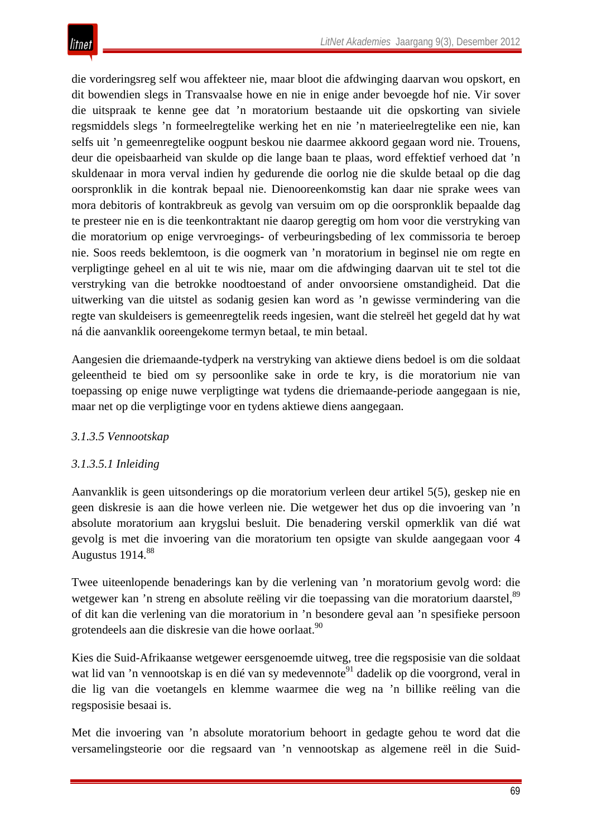die vorderingsreg self wou affekteer nie, maar bloot die afdwinging daarvan wou opskort, en dit bowendien slegs in Transvaalse howe en nie in enige ander bevoegde hof nie. Vir sover die uitspraak te kenne gee dat 'n moratorium bestaande uit die opskorting van siviele regsmiddels slegs 'n formeelregtelike werking het en nie 'n materieelregtelike een nie, kan selfs uit 'n gemeenregtelike oogpunt beskou nie daarmee akkoord gegaan word nie. Trouens, deur die opeisbaarheid van skulde op die lange baan te plaas, word effektief verhoed dat 'n skuldenaar in mora verval indien hy gedurende die oorlog nie die skulde betaal op die dag oorspronklik in die kontrak bepaal nie. Dienooreenkomstig kan daar nie sprake wees van mora debitoris of kontrakbreuk as gevolg van versuim om op die oorspronklik bepaalde dag te presteer nie en is die teenkontraktant nie daarop geregtig om hom voor die verstryking van die moratorium op enige vervroegings- of verbeuringsbeding of lex commissoria te beroep nie. Soos reeds beklemtoon, is die oogmerk van 'n moratorium in beginsel nie om regte en verpligtinge geheel en al uit te wis nie, maar om die afdwinging daarvan uit te stel tot die verstryking van die betrokke noodtoestand of ander onvoorsiene omstandigheid. Dat die uitwerking van die uitstel as sodanig gesien kan word as 'n gewisse vermindering van die regte van skuldeisers is gemeenregtelik reeds ingesien, want die stelreël het gegeld dat hy wat ná die aanvanklik ooreengekome termyn betaal, te min betaal.

Aangesien die driemaande-tydperk na verstryking van aktiewe diens bedoel is om die soldaat geleentheid te bied om sy persoonlike sake in orde te kry, is die moratorium nie van toepassing op enige nuwe verpligtinge wat tydens die driemaande-periode aangegaan is nie, maar net op die verpligtinge voor en tydens aktiewe diens aangegaan.

# *3.1.3.5 Vennootskap*

## *3.1.3.5.1 Inleiding*

Aanvanklik is geen uitsonderings op die moratorium verleen deur artikel 5(5), geskep nie en geen diskresie is aan die howe verleen nie. Die wetgewer het dus op die invoering van 'n absolute moratorium aan krygslui besluit. Die benadering verskil opmerklik van dié wat gevolg is met die invoering van die moratorium ten opsigte van skulde aangegaan voor 4 Augustus 1914.<sup>88</sup>

Twee uiteenlopende benaderings kan by die verlening van 'n moratorium gevolg word: die wetgewer kan 'n streng en absolute reëling vir die toepassing van die moratorium daarstel,<sup>89</sup> of dit kan die verlening van die moratorium in 'n besondere geval aan 'n spesifieke persoon grotendeels aan die diskresie van die howe oorlaat.<sup>90</sup>

Kies die Suid-Afrikaanse wetgewer eersgenoemde uitweg, tree die regsposisie van die soldaat wat lid van 'n vennootskap is en dié van sy medevennote<sup>91</sup> dadelik op die voorgrond, veral in die lig van die voetangels en klemme waarmee die weg na 'n billike reëling van die regsposisie besaai is.

Met die invoering van 'n absolute moratorium behoort in gedagte gehou te word dat die versamelingsteorie oor die regsaard van 'n vennootskap as algemene reël in die Suid-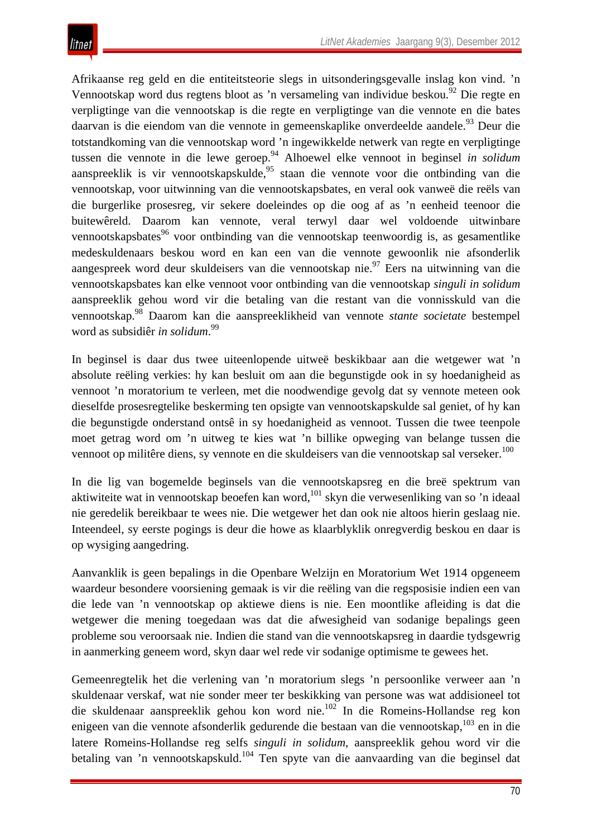Afrikaanse reg geld en die entiteitsteorie slegs in uitsonderingsgevalle inslag kon vind. 'n Vennootskap word dus regtens bloot as 'n versameling van individue beskou.<sup>92</sup> Die regte en verpligtinge van die vennootskap is die regte en verpligtinge van die vennote en die bates daarvan is die eiendom van die vennote in gemeenskaplike onverdeelde aandele.<sup>93</sup> Deur die totstandkoming van die vennootskap word 'n ingewikkelde netwerk van regte en verpligtinge tussen die vennote in die lewe geroep.94 Alhoewel elke vennoot in beginsel *in solidum* aanspreeklik is vir vennootskapskulde,<sup>95</sup> staan die vennote voor die ontbinding van die vennootskap, voor uitwinning van die vennootskapsbates, en veral ook vanweë die reëls van die burgerlike prosesreg, vir sekere doeleindes op die oog af as 'n eenheid teenoor die buitewêreld. Daarom kan vennote, veral terwyl daar wel voldoende uitwinbare vennootskapsbates<sup>96</sup> voor ontbinding van die vennootskap teenwoordig is, as gesamentlike medeskuldenaars beskou word en kan een van die vennote gewoonlik nie afsonderlik aangespreek word deur skuldeisers van die vennootskap nie.<sup>97</sup> Eers na uitwinning van die vennootskapsbates kan elke vennoot voor ontbinding van die vennootskap *singuli in solidum* aanspreeklik gehou word vir die betaling van die restant van die vonnisskuld van die vennootskap.98 Daarom kan die aanspreeklikheid van vennote *stante societate* bestempel word as subsidiêr *in solidum*. 99

In beginsel is daar dus twee uiteenlopende uitweë beskikbaar aan die wetgewer wat 'n absolute reëling verkies: hy kan besluit om aan die begunstigde ook in sy hoedanigheid as vennoot 'n moratorium te verleen, met die noodwendige gevolg dat sy vennote meteen ook dieselfde prosesregtelike beskerming ten opsigte van vennootskapskulde sal geniet, of hy kan die begunstigde onderstand ontsê in sy hoedanigheid as vennoot. Tussen die twee teenpole moet getrag word om 'n uitweg te kies wat 'n billike opweging van belange tussen die vennoot op militêre diens, sy vennote en die skuldeisers van die vennootskap sal verseker.<sup>100</sup>

In die lig van bogemelde beginsels van die vennootskapsreg en die breë spektrum van aktiwiteite wat in vennootskap beoefen kan word,  $101$  skyn die verwesenliking van so 'n ideaal nie geredelik bereikbaar te wees nie. Die wetgewer het dan ook nie altoos hierin geslaag nie. Inteendeel, sy eerste pogings is deur die howe as klaarblyklik onregverdig beskou en daar is op wysiging aangedring.

Aanvanklik is geen bepalings in die Openbare Welzijn en Moratorium Wet 1914 opgeneem waardeur besondere voorsiening gemaak is vir die reëling van die regsposisie indien een van die lede van 'n vennootskap op aktiewe diens is nie. Een moontlike afleiding is dat die wetgewer die mening toegedaan was dat die afwesigheid van sodanige bepalings geen probleme sou veroorsaak nie. Indien die stand van die vennootskapsreg in daardie tydsgewrig in aanmerking geneem word, skyn daar wel rede vir sodanige optimisme te gewees het.

Gemeenregtelik het die verlening van 'n moratorium slegs 'n persoonlike verweer aan 'n skuldenaar verskaf, wat nie sonder meer ter beskikking van persone was wat addisioneel tot die skuldenaar aanspreeklik gehou kon word nie.102 In die Romeins-Hollandse reg kon enigeen van die vennote afsonderlik gedurende die bestaan van die vennootskap, <sup>103</sup> en in die latere Romeins-Hollandse reg selfs *singuli in solidum*, aanspreeklik gehou word vir die betaling van 'n vennootskapskuld.<sup>104</sup> Ten spyte van die aanvaarding van die beginsel dat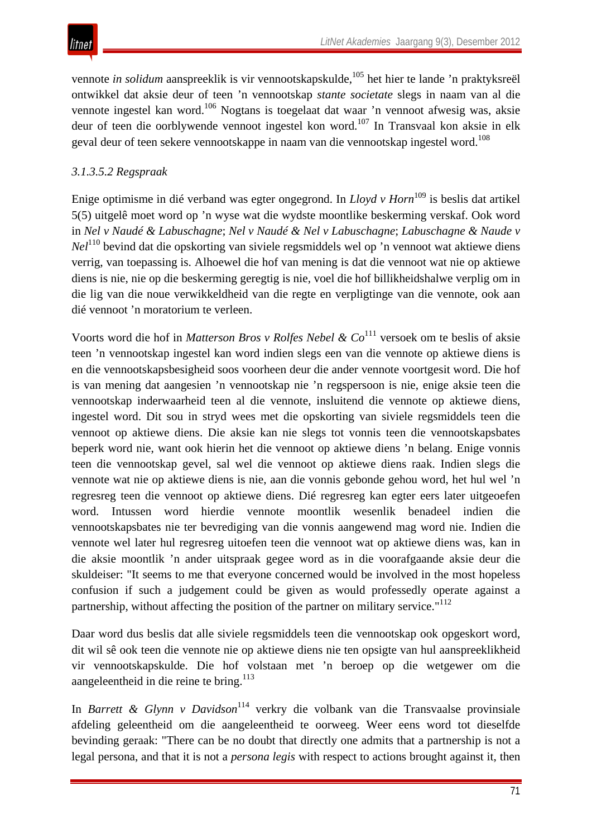

vennote *in solidum* aanspreeklik is vir vennootskapskulde,<sup>105</sup> het hier te lande 'n praktyksreël ontwikkel dat aksie deur of teen 'n vennootskap *stante societate* slegs in naam van al die vennote ingestel kan word.106 Nogtans is toegelaat dat waar 'n vennoot afwesig was, aksie deur of teen die oorblywende vennoot ingestel kon word.<sup>107</sup> In Transvaal kon aksie in elk geval deur of teen sekere vennootskappe in naam van die vennootskap ingestel word.<sup>108</sup>

## *3.1.3.5.2 Regspraak*

Enige optimisme in dié verband was egter ongegrond. In *Lloyd v Horn*<sup>109</sup> is beslis dat artikel 5(5) uitgelê moet word op 'n wyse wat die wydste moontlike beskerming verskaf. Ook word in *Nel v Naudé & Labuschagne*; *Nel v Naudé & Nel v Labuschagne*; *Labuschagne & Naude v Nel*<sup>110</sup> bevind dat die opskorting van siviele regsmiddels wel op 'n vennoot wat aktiewe diens verrig, van toepassing is. Alhoewel die hof van mening is dat die vennoot wat nie op aktiewe diens is nie, nie op die beskerming geregtig is nie, voel die hof billikheidshalwe verplig om in die lig van die noue verwikkeldheid van die regte en verpligtinge van die vennote, ook aan dié vennoot 'n moratorium te verleen.

Voorts word die hof in *Matterson Bros v Rolfes Nebel & Co*<sup>111</sup> versoek om te beslis of aksie teen 'n vennootskap ingestel kan word indien slegs een van die vennote op aktiewe diens is en die vennootskapsbesigheid soos voorheen deur die ander vennote voortgesit word. Die hof is van mening dat aangesien 'n vennootskap nie 'n regspersoon is nie, enige aksie teen die vennootskap inderwaarheid teen al die vennote, insluitend die vennote op aktiewe diens, ingestel word. Dit sou in stryd wees met die opskorting van siviele regsmiddels teen die vennoot op aktiewe diens. Die aksie kan nie slegs tot vonnis teen die vennootskapsbates beperk word nie, want ook hierin het die vennoot op aktiewe diens 'n belang. Enige vonnis teen die vennootskap gevel, sal wel die vennoot op aktiewe diens raak. Indien slegs die vennote wat nie op aktiewe diens is nie, aan die vonnis gebonde gehou word, het hul wel 'n regresreg teen die vennoot op aktiewe diens. Dié regresreg kan egter eers later uitgeoefen word. Intussen word hierdie vennote moontlik wesenlik benadeel indien die vennootskapsbates nie ter bevrediging van die vonnis aangewend mag word nie. Indien die vennote wel later hul regresreg uitoefen teen die vennoot wat op aktiewe diens was, kan in die aksie moontlik 'n ander uitspraak gegee word as in die voorafgaande aksie deur die skuldeiser: "It seems to me that everyone concerned would be involved in the most hopeless confusion if such a judgement could be given as would professedly operate against a partnership, without affecting the position of the partner on military service."<sup>112</sup>

Daar word dus beslis dat alle siviele regsmiddels teen die vennootskap ook opgeskort word, dit wil sê ook teen die vennote nie op aktiewe diens nie ten opsigte van hul aanspreeklikheid vir vennootskapskulde. Die hof volstaan met 'n beroep op die wetgewer om die aangeleentheid in die reine te bring.<sup>113</sup>

In *Barrett & Glynn v Davidson*<sup>114</sup> verkry die volbank van die Transvaalse provinsiale afdeling geleentheid om die aangeleentheid te oorweeg. Weer eens word tot dieselfde bevinding geraak: "There can be no doubt that directly one admits that a partnership is not a legal persona, and that it is not a *persona legis* with respect to actions brought against it, then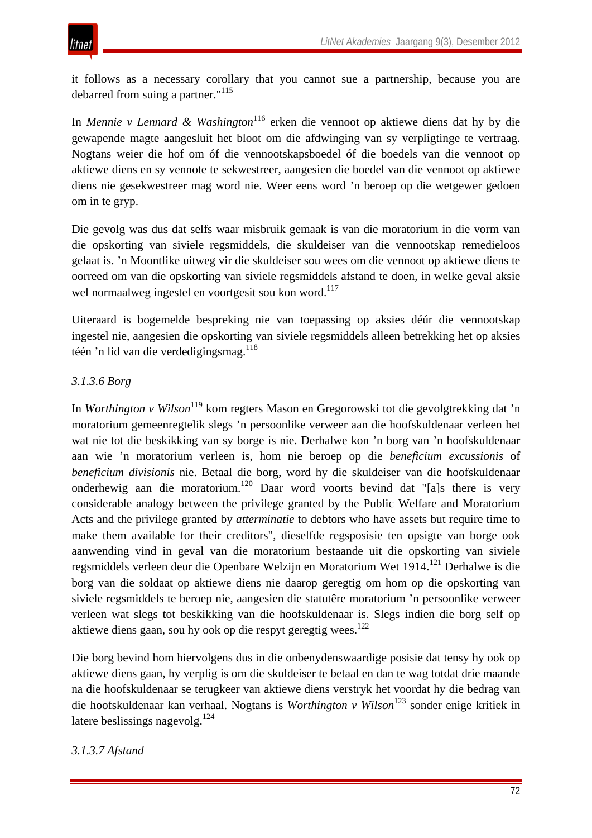it follows as a necessary corollary that you cannot sue a partnership, because you are debarred from suing a partner."<sup>115</sup>

In *Mennie v Lennard & Washington*<sup>116</sup> erken die vennoot op aktiewe diens dat hy by die gewapende magte aangesluit het bloot om die afdwinging van sy verpligtinge te vertraag. Nogtans weier die hof om óf die vennootskapsboedel óf die boedels van die vennoot op aktiewe diens en sy vennote te sekwestreer, aangesien die boedel van die vennoot op aktiewe diens nie gesekwestreer mag word nie. Weer eens word 'n beroep op die wetgewer gedoen om in te gryp.

Die gevolg was dus dat selfs waar misbruik gemaak is van die moratorium in die vorm van die opskorting van siviele regsmiddels, die skuldeiser van die vennootskap remedieloos gelaat is. 'n Moontlike uitweg vir die skuldeiser sou wees om die vennoot op aktiewe diens te oorreed om van die opskorting van siviele regsmiddels afstand te doen, in welke geval aksie wel normaalweg ingestel en voortgesit sou kon word.<sup>117</sup>

Uiteraard is bogemelde bespreking nie van toepassing op aksies déúr die vennootskap ingestel nie, aangesien die opskorting van siviele regsmiddels alleen betrekking het op aksies téén 'n lid van die verdedigingsmag.<sup>118</sup>

## *3.1.3.6 Borg*

In *Worthington v Wilson*<sup>119</sup> kom regters Mason en Gregorowski tot die gevolgtrekking dat 'n moratorium gemeenregtelik slegs 'n persoonlike verweer aan die hoofskuldenaar verleen het wat nie tot die beskikking van sy borge is nie. Derhalwe kon 'n borg van 'n hoofskuldenaar aan wie 'n moratorium verleen is, hom nie beroep op die *beneficium excussionis* of *beneficium divisionis* nie. Betaal die borg, word hy die skuldeiser van die hoofskuldenaar onderhewig aan die moratorium.<sup>120</sup> Daar word voorts bevind dat "[a]s there is very considerable analogy between the privilege granted by the Public Welfare and Moratorium Acts and the privilege granted by *atterminatie* to debtors who have assets but require time to make them available for their creditors", dieselfde regsposisie ten opsigte van borge ook aanwending vind in geval van die moratorium bestaande uit die opskorting van siviele regsmiddels verleen deur die Openbare Welzijn en Moratorium Wet 1914.<sup>121</sup> Derhalwe is die borg van die soldaat op aktiewe diens nie daarop geregtig om hom op die opskorting van siviele regsmiddels te beroep nie, aangesien die statutêre moratorium 'n persoonlike verweer verleen wat slegs tot beskikking van die hoofskuldenaar is. Slegs indien die borg self op aktiewe diens gaan, sou hy ook op die respyt geregtig wees.<sup>122</sup>

Die borg bevind hom hiervolgens dus in die onbenydenswaardige posisie dat tensy hy ook op aktiewe diens gaan, hy verplig is om die skuldeiser te betaal en dan te wag totdat drie maande na die hoofskuldenaar se terugkeer van aktiewe diens verstryk het voordat hy die bedrag van die hoofskuldenaar kan verhaal. Nogtans is *Worthington v Wilson*<sup>123</sup> sonder enige kritiek in latere beslissings nagevolg. $^{124}$ 

## *3.1.3.7 Afstand*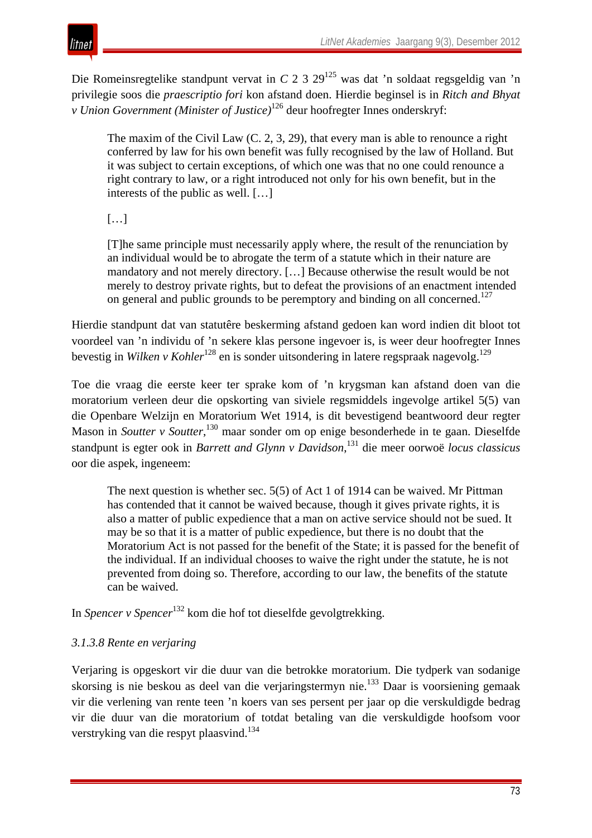

itnet

Die Romeinsregtelike standpunt vervat in *C* 2 3 29<sup>125</sup> was dat 'n soldaat regsgeldig van 'n privilegie soos die *praescriptio fori* kon afstand doen. Hierdie beginsel is in *Ritch and Bhyat v Union Government (Minister of Justice)*<sup>126</sup> deur hoofregter Innes onderskryf:

The maxim of the Civil Law (C. 2, 3, 29), that every man is able to renounce a right conferred by law for his own benefit was fully recognised by the law of Holland. But it was subject to certain exceptions, of which one was that no one could renounce a right contrary to law, or a right introduced not only for his own benefit, but in the interests of the public as well. […]

[…]

[T]he same principle must necessarily apply where, the result of the renunciation by an individual would be to abrogate the term of a statute which in their nature are mandatory and not merely directory. […] Because otherwise the result would be not merely to destroy private rights, but to defeat the provisions of an enactment intended on general and public grounds to be peremptory and binding on all concerned.<sup>127</sup>

Hierdie standpunt dat van statutêre beskerming afstand gedoen kan word indien dit bloot tot voordeel van 'n individu of 'n sekere klas persone ingevoer is, is weer deur hoofregter Innes bevestig in *Wilken v Kohler*<sup>128</sup> en is sonder uitsondering in latere regspraak nagevolg.<sup>129</sup>

Toe die vraag die eerste keer ter sprake kom of 'n krygsman kan afstand doen van die moratorium verleen deur die opskorting van siviele regsmiddels ingevolge artikel 5(5) van die Openbare Welzijn en Moratorium Wet 1914, is dit bevestigend beantwoord deur regter Mason in *Soutter v Soutter*, <sup>130</sup> maar sonder om op enige besonderhede in te gaan. Dieselfde standpunt is egter ook in *Barrett and Glynn v Davidson*, <sup>131</sup> die meer oorwoë *locus classicus* oor die aspek, ingeneem:

The next question is whether sec. 5(5) of Act 1 of 1914 can be waived. Mr Pittman has contended that it cannot be waived because, though it gives private rights, it is also a matter of public expedience that a man on active service should not be sued. It may be so that it is a matter of public expedience, but there is no doubt that the Moratorium Act is not passed for the benefit of the State; it is passed for the benefit of the individual. If an individual chooses to waive the right under the statute, he is not prevented from doing so. Therefore, according to our law, the benefits of the statute can be waived.

In *Spencer v Spencer*<sup>132</sup> kom die hof tot dieselfde gevolgtrekking.

# *3.1.3.8 Rente en verjaring*

Verjaring is opgeskort vir die duur van die betrokke moratorium. Die tydperk van sodanige skorsing is nie beskou as deel van die verjaringstermyn nie.133 Daar is voorsiening gemaak vir die verlening van rente teen 'n koers van ses persent per jaar op die verskuldigde bedrag vir die duur van die moratorium of totdat betaling van die verskuldigde hoofsom voor verstryking van die respyt plaasvind.134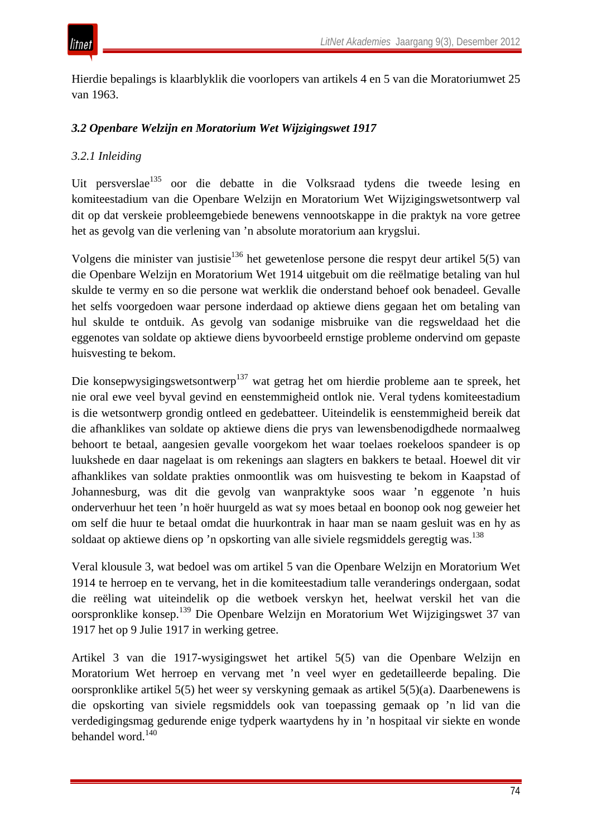

Hierdie bepalings is klaarblyklik die voorlopers van artikels 4 en 5 van die Moratoriumwet 25 van 1963.

## *3.2 Openbare Welzijn en Moratorium Wet Wijzigingswet 1917*

## *3.2.1 Inleiding*

Uit persverslae<sup>135</sup> oor die debatte in die Volksraad tydens die tweede lesing en komiteestadium van die Openbare Welzijn en Moratorium Wet Wijzigingswetsontwerp val dit op dat verskeie probleemgebiede benewens vennootskappe in die praktyk na vore getree het as gevolg van die verlening van 'n absolute moratorium aan krygslui.

Volgens die minister van justisie<sup>136</sup> het gewetenlose persone die respyt deur artikel 5(5) van die Openbare Welzijn en Moratorium Wet 1914 uitgebuit om die reëlmatige betaling van hul skulde te vermy en so die persone wat werklik die onderstand behoef ook benadeel. Gevalle het selfs voorgedoen waar persone inderdaad op aktiewe diens gegaan het om betaling van hul skulde te ontduik. As gevolg van sodanige misbruike van die regsweldaad het die eggenotes van soldate op aktiewe diens byvoorbeeld ernstige probleme ondervind om gepaste huisvesting te bekom.

Die konsepwysigingswetsontwerp<sup>137</sup> wat getrag het om hierdie probleme aan te spreek, het nie oral ewe veel byval gevind en eenstemmigheid ontlok nie. Veral tydens komiteestadium is die wetsontwerp grondig ontleed en gedebatteer. Uiteindelik is eenstemmigheid bereik dat die afhanklikes van soldate op aktiewe diens die prys van lewensbenodigdhede normaalweg behoort te betaal, aangesien gevalle voorgekom het waar toelaes roekeloos spandeer is op luukshede en daar nagelaat is om rekenings aan slagters en bakkers te betaal. Hoewel dit vir afhanklikes van soldate prakties onmoontlik was om huisvesting te bekom in Kaapstad of Johannesburg, was dit die gevolg van wanpraktyke soos waar 'n eggenote 'n huis onderverhuur het teen 'n hoër huurgeld as wat sy moes betaal en boonop ook nog geweier het om self die huur te betaal omdat die huurkontrak in haar man se naam gesluit was en hy as soldaat op aktiewe diens op 'n opskorting van alle siviele regsmiddels geregtig was.138

Veral klousule 3, wat bedoel was om artikel 5 van die Openbare Welzijn en Moratorium Wet 1914 te herroep en te vervang, het in die komiteestadium talle veranderings ondergaan, sodat die reëling wat uiteindelik op die wetboek verskyn het, heelwat verskil het van die oorspronklike konsep.<sup>139</sup> Die Openbare Welzijn en Moratorium Wet Wijzigingswet 37 van 1917 het op 9 Julie 1917 in werking getree.

Artikel 3 van die 1917-wysigingswet het artikel 5(5) van die Openbare Welzijn en Moratorium Wet herroep en vervang met 'n veel wyer en gedetailleerde bepaling. Die oorspronklike artikel 5(5) het weer sy verskyning gemaak as artikel 5(5)(a). Daarbenewens is die opskorting van siviele regsmiddels ook van toepassing gemaak op 'n lid van die verdedigingsmag gedurende enige tydperk waartydens hy in 'n hospitaal vir siekte en wonde behandel word.<sup>140</sup>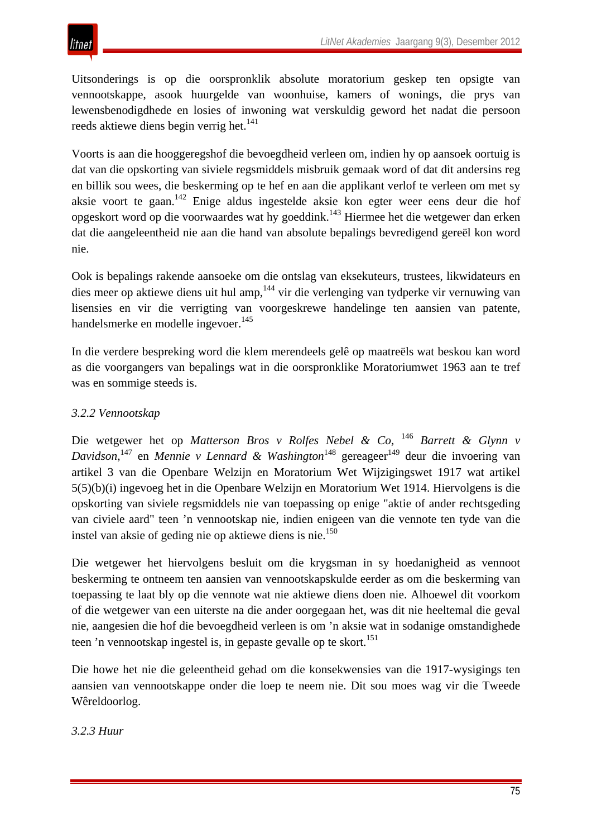Uitsonderings is op die oorspronklik absolute moratorium geskep ten opsigte van vennootskappe, asook huurgelde van woonhuise, kamers of wonings, die prys van lewensbenodigdhede en losies of inwoning wat verskuldig geword het nadat die persoon reeds aktiewe diens begin verrig het. $141$ 

Voorts is aan die hooggeregshof die bevoegdheid verleen om, indien hy op aansoek oortuig is dat van die opskorting van siviele regsmiddels misbruik gemaak word of dat dit andersins reg en billik sou wees, die beskerming op te hef en aan die applikant verlof te verleen om met sy aksie voort te gaan.<sup>142</sup> Enige aldus ingestelde aksie kon egter weer eens deur die hof opgeskort word op die voorwaardes wat hy goeddink.143 Hiermee het die wetgewer dan erken dat die aangeleentheid nie aan die hand van absolute bepalings bevredigend gereël kon word nie.

Ook is bepalings rakende aansoeke om die ontslag van eksekuteurs, trustees, likwidateurs en dies meer op aktiewe diens uit hul amp, <sup>144</sup> vir die verlenging van tydperke vir vernuwing van lisensies en vir die verrigting van voorgeskrewe handelinge ten aansien van patente, handelsmerke en modelle ingevoer.<sup>145</sup>

In die verdere bespreking word die klem merendeels gelê op maatreëls wat beskou kan word as die voorgangers van bepalings wat in die oorspronklike Moratoriumwet 1963 aan te tref was en sommige steeds is.

# *3.2.2 Vennootskap*

Die wetgewer het op *Matterson Bros v Rolfes Nebel & Co*, <sup>146</sup> *Barrett & Glynn v*  Davidson,<sup>147</sup> en *Mennie v Lennard & Washington*<sup>148</sup> gereageer<sup>149</sup> deur die invoering van artikel 3 van die Openbare Welzijn en Moratorium Wet Wijzigingswet 1917 wat artikel 5(5)(b)(i) ingevoeg het in die Openbare Welzijn en Moratorium Wet 1914. Hiervolgens is die opskorting van siviele regsmiddels nie van toepassing op enige "aktie of ander rechtsgeding van civiele aard" teen 'n vennootskap nie, indien enigeen van die vennote ten tyde van die instel van aksie of geding nie op aktiewe diens is nie.<sup>150</sup>

Die wetgewer het hiervolgens besluit om die krygsman in sy hoedanigheid as vennoot beskerming te ontneem ten aansien van vennootskapskulde eerder as om die beskerming van toepassing te laat bly op die vennote wat nie aktiewe diens doen nie. Alhoewel dit voorkom of die wetgewer van een uiterste na die ander oorgegaan het, was dit nie heeltemal die geval nie, aangesien die hof die bevoegdheid verleen is om 'n aksie wat in sodanige omstandighede teen 'n vennootskap ingestel is, in gepaste gevalle op te skort.<sup>151</sup>

Die howe het nie die geleentheid gehad om die konsekwensies van die 1917-wysigings ten aansien van vennootskappe onder die loep te neem nie. Dit sou moes wag vir die Tweede Wêreldoorlog.

## *3.2.3 Huur*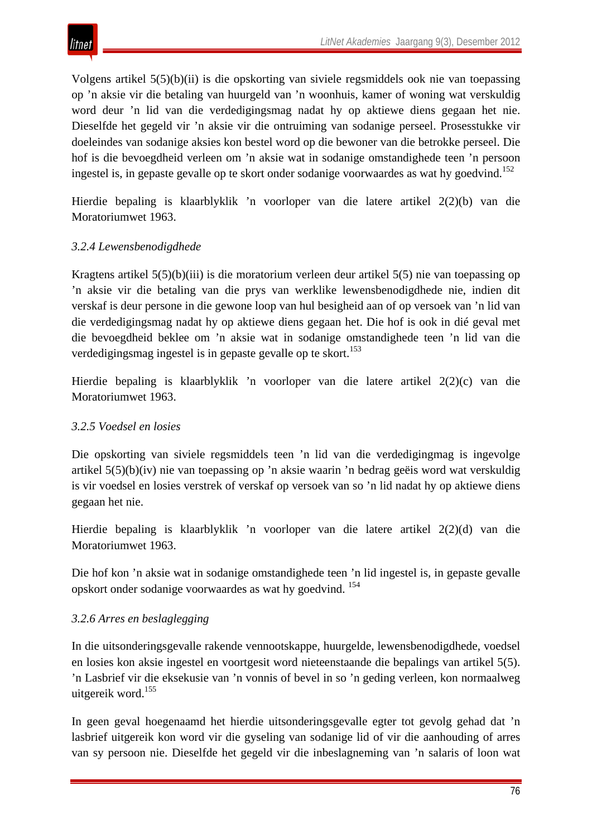Volgens artikel 5(5)(b)(ii) is die opskorting van siviele regsmiddels ook nie van toepassing op 'n aksie vir die betaling van huurgeld van 'n woonhuis, kamer of woning wat verskuldig word deur 'n lid van die verdedigingsmag nadat hy op aktiewe diens gegaan het nie. Dieselfde het gegeld vir 'n aksie vir die ontruiming van sodanige perseel. Prosesstukke vir doeleindes van sodanige aksies kon bestel word op die bewoner van die betrokke perseel. Die hof is die bevoegdheid verleen om 'n aksie wat in sodanige omstandighede teen 'n persoon ingestel is, in gepaste gevalle op te skort onder sodanige voorwaardes as wat hy goedvind.<sup>152</sup>

Hierdie bepaling is klaarblyklik 'n voorloper van die latere artikel 2(2)(b) van die Moratoriumwet 1963.

# *3.2.4 Lewensbenodigdhede*

Kragtens artikel 5(5)(b)(iii) is die moratorium verleen deur artikel 5(5) nie van toepassing op 'n aksie vir die betaling van die prys van werklike lewensbenodigdhede nie, indien dit verskaf is deur persone in die gewone loop van hul besigheid aan of op versoek van 'n lid van die verdedigingsmag nadat hy op aktiewe diens gegaan het. Die hof is ook in dié geval met die bevoegdheid beklee om 'n aksie wat in sodanige omstandighede teen 'n lid van die verdedigingsmag ingestel is in gepaste gevalle op te skort.<sup>153</sup>

Hierdie bepaling is klaarblyklik 'n voorloper van die latere artikel 2(2)(c) van die Moratoriumwet 1963.

## *3.2.5 Voedsel en losies*

Die opskorting van siviele regsmiddels teen 'n lid van die verdedigingmag is ingevolge artikel 5(5)(b)(iv) nie van toepassing op 'n aksie waarin 'n bedrag geëis word wat verskuldig is vir voedsel en losies verstrek of verskaf op versoek van so 'n lid nadat hy op aktiewe diens gegaan het nie.

Hierdie bepaling is klaarblyklik 'n voorloper van die latere artikel 2(2)(d) van die Moratoriumwet 1963.

Die hof kon 'n aksie wat in sodanige omstandighede teen 'n lid ingestel is, in gepaste gevalle opskort onder sodanige voorwaardes as wat hy goedvind. 154

## *3.2.6 Arres en beslaglegging*

In die uitsonderingsgevalle rakende vennootskappe, huurgelde, lewensbenodigdhede, voedsel en losies kon aksie ingestel en voortgesit word nieteenstaande die bepalings van artikel 5(5). 'n Lasbrief vir die eksekusie van 'n vonnis of bevel in so 'n geding verleen, kon normaalweg uitgereik word.<sup>155</sup>

In geen geval hoegenaamd het hierdie uitsonderingsgevalle egter tot gevolg gehad dat 'n lasbrief uitgereik kon word vir die gyseling van sodanige lid of vir die aanhouding of arres van sy persoon nie. Dieselfde het gegeld vir die inbeslagneming van 'n salaris of loon wat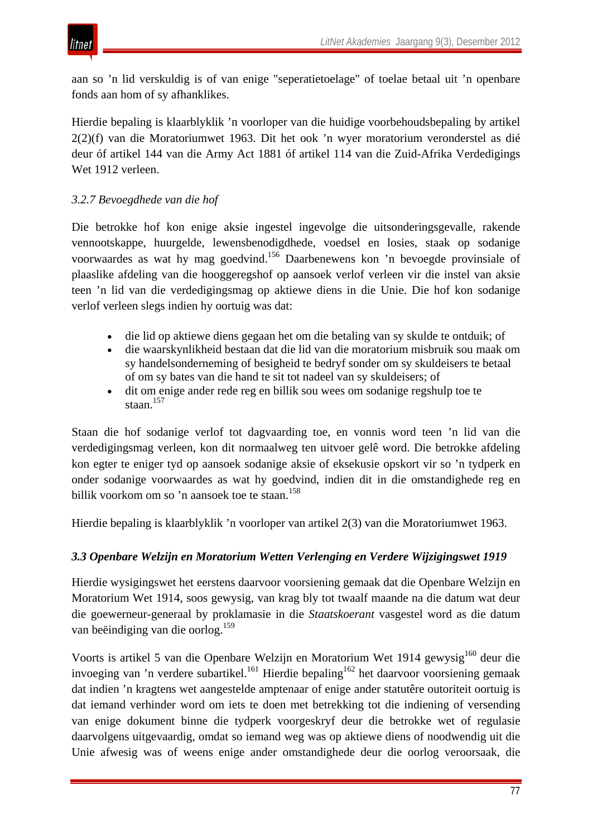

aan so 'n lid verskuldig is of van enige "seperatietoelage" of toelae betaal uit 'n openbare fonds aan hom of sy afhanklikes.

Hierdie bepaling is klaarblyklik 'n voorloper van die huidige voorbehoudsbepaling by artikel 2(2)(f) van die Moratoriumwet 1963. Dit het ook 'n wyer moratorium veronderstel as dié deur óf artikel 144 van die Army Act 1881 óf artikel 114 van die Zuid-Afrika Verdedigings Wet 1912 verleen.

## *3.2.7 Bevoegdhede van die hof*

Die betrokke hof kon enige aksie ingestel ingevolge die uitsonderingsgevalle, rakende vennootskappe, huurgelde, lewensbenodigdhede, voedsel en losies, staak op sodanige voorwaardes as wat hy mag goedvind.156 Daarbenewens kon 'n bevoegde provinsiale of plaaslike afdeling van die hooggeregshof op aansoek verlof verleen vir die instel van aksie teen 'n lid van die verdedigingsmag op aktiewe diens in die Unie. Die hof kon sodanige verlof verleen slegs indien hy oortuig was dat:

- die lid op aktiewe diens gegaan het om die betaling van sy skulde te ontduik; of
- die waarskynlikheid bestaan dat die lid van die moratorium misbruik sou maak om sy handelsonderneming of besigheid te bedryf sonder om sy skuldeisers te betaal of om sy bates van die hand te sit tot nadeel van sy skuldeisers; of
- dit om enige ander rede reg en billik sou wees om sodanige regshulp toe te staan. $157$

Staan die hof sodanige verlof tot dagvaarding toe, en vonnis word teen 'n lid van die verdedigingsmag verleen, kon dit normaalweg ten uitvoer gelê word. Die betrokke afdeling kon egter te eniger tyd op aansoek sodanige aksie of eksekusie opskort vir so 'n tydperk en onder sodanige voorwaardes as wat hy goedvind, indien dit in die omstandighede reg en billik voorkom om so 'n aansoek toe te staan.<sup>158</sup>

Hierdie bepaling is klaarblyklik 'n voorloper van artikel 2(3) van die Moratoriumwet 1963.

## *3.3 Openbare Welzijn en Moratorium Wetten Verlenging en Verdere Wijzigingswet 1919*

Hierdie wysigingswet het eerstens daarvoor voorsiening gemaak dat die Openbare Welzijn en Moratorium Wet 1914, soos gewysig, van krag bly tot twaalf maande na die datum wat deur die goewerneur-generaal by proklamasie in die *Staatskoerant* vasgestel word as die datum van beëindiging van die oorlog.<sup>159</sup>

Voorts is artikel 5 van die Openbare Welzijn en Moratorium Wet 1914 gewysig<sup>160</sup> deur die invoeging van 'n verdere subartikel.<sup>161</sup> Hierdie bepaling<sup>162</sup> het daarvoor voorsiening gemaak dat indien 'n kragtens wet aangestelde amptenaar of enige ander statutêre outoriteit oortuig is dat iemand verhinder word om iets te doen met betrekking tot die indiening of versending van enige dokument binne die tydperk voorgeskryf deur die betrokke wet of regulasie daarvolgens uitgevaardig, omdat so iemand weg was op aktiewe diens of noodwendig uit die Unie afwesig was of weens enige ander omstandighede deur die oorlog veroorsaak, die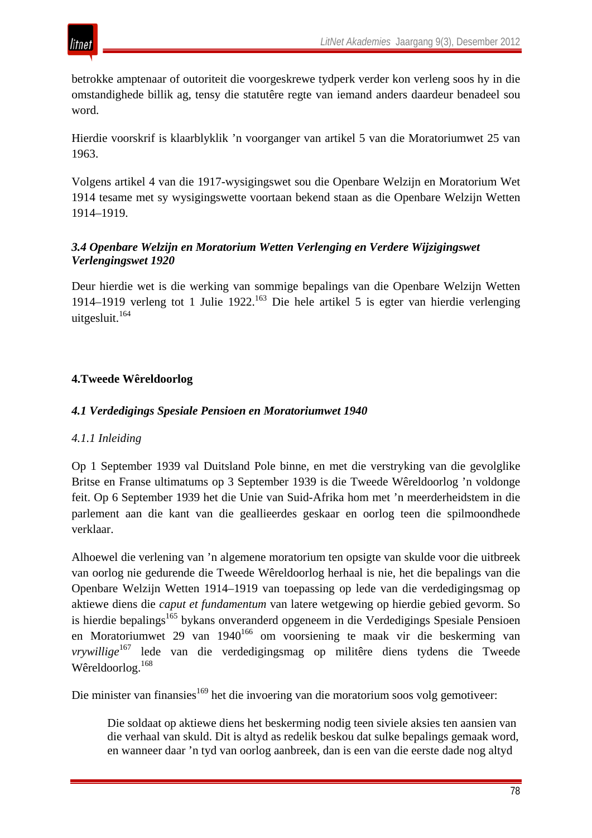

betrokke amptenaar of outoriteit die voorgeskrewe tydperk verder kon verleng soos hy in die omstandighede billik ag, tensy die statutêre regte van iemand anders daardeur benadeel sou word.

Hierdie voorskrif is klaarblyklik 'n voorganger van artikel 5 van die Moratoriumwet 25 van 1963.

Volgens artikel 4 van die 1917-wysigingswet sou die Openbare Welzijn en Moratorium Wet 1914 tesame met sy wysigingswette voortaan bekend staan as die Openbare Welzijn Wetten 1914–1919.

## *3.4 Openbare Welzijn en Moratorium Wetten Verlenging en Verdere Wijzigingswet Verlengingswet 1920*

Deur hierdie wet is die werking van sommige bepalings van die Openbare Welzijn Wetten 1914–1919 verleng tot 1 Julie 1922.163 Die hele artikel 5 is egter van hierdie verlenging uitgesluit.<sup>164</sup>

# **4.Tweede Wêreldoorlog**

#### *4.1 Verdedigings Spesiale Pensioen en Moratoriumwet 1940*

## *4.1.1 Inleiding*

Op 1 September 1939 val Duitsland Pole binne, en met die verstryking van die gevolglike Britse en Franse ultimatums op 3 September 1939 is die Tweede Wêreldoorlog 'n voldonge feit. Op 6 September 1939 het die Unie van Suid-Afrika hom met 'n meerderheidstem in die parlement aan die kant van die geallieerdes geskaar en oorlog teen die spilmoondhede verklaar.

Alhoewel die verlening van 'n algemene moratorium ten opsigte van skulde voor die uitbreek van oorlog nie gedurende die Tweede Wêreldoorlog herhaal is nie, het die bepalings van die Openbare Welzijn Wetten 1914–1919 van toepassing op lede van die verdedigingsmag op aktiewe diens die *caput et fundamentum* van latere wetgewing op hierdie gebied gevorm. So is hierdie bepalings<sup>165</sup> bykans onveranderd opgeneem in die Verdedigings Spesiale Pensioen en Moratoriumwet 29 van 1940<sup>166</sup> om voorsiening te maak vir die beskerming van *vrywillige*<sup>167</sup> lede van die verdedigingsmag op militêre diens tydens die Tweede Wêreldoorlog. 168

Die minister van finansies<sup>169</sup> het die invoering van die moratorium soos volg gemotiveer:

Die soldaat op aktiewe diens het beskerming nodig teen siviele aksies ten aansien van die verhaal van skuld. Dit is altyd as redelik beskou dat sulke bepalings gemaak word, en wanneer daar 'n tyd van oorlog aanbreek, dan is een van die eerste dade nog altyd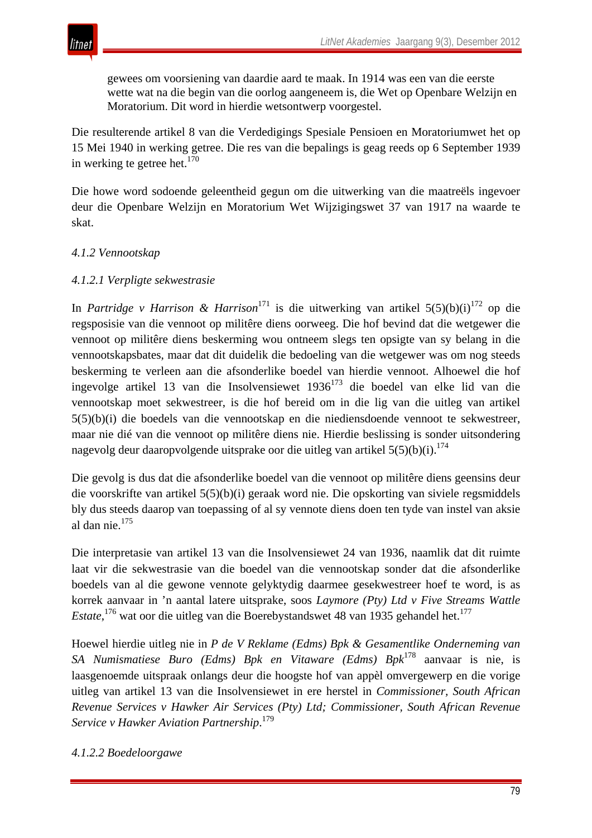

gewees om voorsiening van daardie aard te maak. In 1914 was een van die eerste wette wat na die begin van die oorlog aangeneem is, die Wet op Openbare Welzijn en Moratorium. Dit word in hierdie wetsontwerp voorgestel.

Die resulterende artikel 8 van die Verdedigings Spesiale Pensioen en Moratoriumwet het op 15 Mei 1940 in werking getree. Die res van die bepalings is geag reeds op 6 September 1939 in werking te getree het. $170$ 

Die howe word sodoende geleentheid gegun om die uitwerking van die maatreëls ingevoer deur die Openbare Welzijn en Moratorium Wet Wijzigingswet 37 van 1917 na waarde te skat.

## *4.1.2 Vennootskap*

#### *4.1.2.1 Verpligte sekwestrasie*

In *Partridge v Harrison & Harrison*<sup>171</sup> is die uitwerking van artikel  $5(5)(b)(i)^{172}$  op die regsposisie van die vennoot op militêre diens oorweeg. Die hof bevind dat die wetgewer die vennoot op militêre diens beskerming wou ontneem slegs ten opsigte van sy belang in die vennootskapsbates, maar dat dit duidelik die bedoeling van die wetgewer was om nog steeds beskerming te verleen aan die afsonderlike boedel van hierdie vennoot. Alhoewel die hof ingevolge artikel 13 van die Insolvensiewet 1936<sup>173</sup> die boedel van elke lid van die vennootskap moet sekwestreer, is die hof bereid om in die lig van die uitleg van artikel 5(5)(b)(i) die boedels van die vennootskap en die niediensdoende vennoot te sekwestreer, maar nie dié van die vennoot op militêre diens nie. Hierdie beslissing is sonder uitsondering nagevolg deur daaropvolgende uitsprake oor die uitleg van artikel  $5(5)(b)(i).$ <sup>174</sup>

Die gevolg is dus dat die afsonderlike boedel van die vennoot op militêre diens geensins deur die voorskrifte van artikel 5(5)(b)(i) geraak word nie. Die opskorting van siviele regsmiddels bly dus steeds daarop van toepassing of al sy vennote diens doen ten tyde van instel van aksie al dan nie.175

Die interpretasie van artikel 13 van die Insolvensiewet 24 van 1936, naamlik dat dit ruimte laat vir die sekwestrasie van die boedel van die vennootskap sonder dat die afsonderlike boedels van al die gewone vennote gelyktydig daarmee gesekwestreer hoef te word, is as korrek aanvaar in 'n aantal latere uitsprake, soos *Laymore (Pty) Ltd v Five Streams Wattle*  Estate,<sup>176</sup> wat oor die uitleg van die Boerebystandswet 48 van 1935 gehandel het.<sup>177</sup>

Hoewel hierdie uitleg nie in *P de V Reklame (Edms) Bpk & Gesamentlike Onderneming van SA Numismatiese Buro (Edms) Bpk en Vitaware (Edms) Bpk*<sup>178</sup> aanvaar is nie, is laasgenoemde uitspraak onlangs deur die hoogste hof van appèl omvergewerp en die vorige uitleg van artikel 13 van die Insolvensiewet in ere herstel in *Commissioner, South African Revenue Services v Hawker Air Services (Pty) Ltd; Commissioner, South African Revenue Service v Hawker Aviation Partnership*. 179

#### *4.1.2.2 Boedeloorgawe*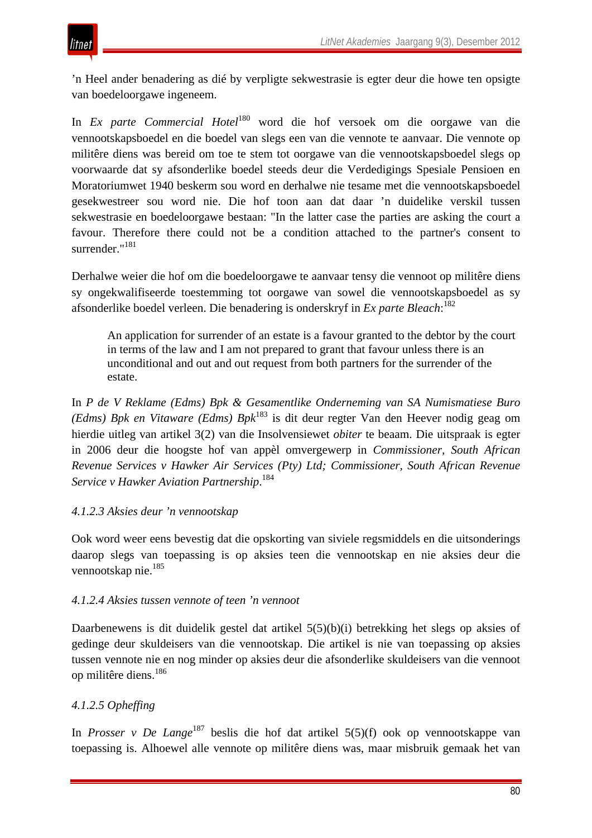'n Heel ander benadering as dié by verpligte sekwestrasie is egter deur die howe ten opsigte van boedeloorgawe ingeneem.

In *Ex parte Commercial Hotel*<sup>180</sup> word die hof versoek om die oorgawe van die vennootskapsboedel en die boedel van slegs een van die vennote te aanvaar. Die vennote op militêre diens was bereid om toe te stem tot oorgawe van die vennootskapsboedel slegs op voorwaarde dat sy afsonderlike boedel steeds deur die Verdedigings Spesiale Pensioen en Moratoriumwet 1940 beskerm sou word en derhalwe nie tesame met die vennootskapsboedel gesekwestreer sou word nie. Die hof toon aan dat daar 'n duidelike verskil tussen sekwestrasie en boedeloorgawe bestaan: "In the latter case the parties are asking the court a favour. Therefore there could not be a condition attached to the partner's consent to surrender."<sup>181</sup>

Derhalwe weier die hof om die boedeloorgawe te aanvaar tensy die vennoot op militêre diens sy ongekwalifiseerde toestemming tot oorgawe van sowel die vennootskapsboedel as sy afsonderlike boedel verleen. Die benadering is onderskryf in *Ex parte Bleach*: 182

An application for surrender of an estate is a favour granted to the debtor by the court in terms of the law and I am not prepared to grant that favour unless there is an unconditional and out and out request from both partners for the surrender of the estate.

In *P de V Reklame (Edms) Bpk & Gesamentlike Onderneming van SA Numismatiese Buro (Edms) Bpk en Vitaware (Edms) Bpk*<sup>183</sup> is dit deur regter Van den Heever nodig geag om hierdie uitleg van artikel 3(2) van die Insolvensiewet *obiter* te beaam. Die uitspraak is egter in 2006 deur die hoogste hof van appèl omvergewerp in *Commissioner, South African Revenue Services v Hawker Air Services (Pty) Ltd; Commissioner, South African Revenue Service v Hawker Aviation Partnership*. 184

## *4.1.2.3 Aksies deur 'n vennootskap*

Ook word weer eens bevestig dat die opskorting van siviele regsmiddels en die uitsonderings daarop slegs van toepassing is op aksies teen die vennootskap en nie aksies deur die vennootskap nie.<sup>185</sup>

#### *4.1.2.4 Aksies tussen vennote of teen 'n vennoot*

Daarbenewens is dit duidelik gestel dat artikel 5(5)(b)(i) betrekking het slegs op aksies of gedinge deur skuldeisers van die vennootskap. Die artikel is nie van toepassing op aksies tussen vennote nie en nog minder op aksies deur die afsonderlike skuldeisers van die vennoot op militêre diens.186

## *4.1.2.5 Opheffing*

In *Prosser v De Lange*<sup>187</sup> beslis die hof dat artikel 5(5)(f) ook op vennootskappe van toepassing is. Alhoewel alle vennote op militêre diens was, maar misbruik gemaak het van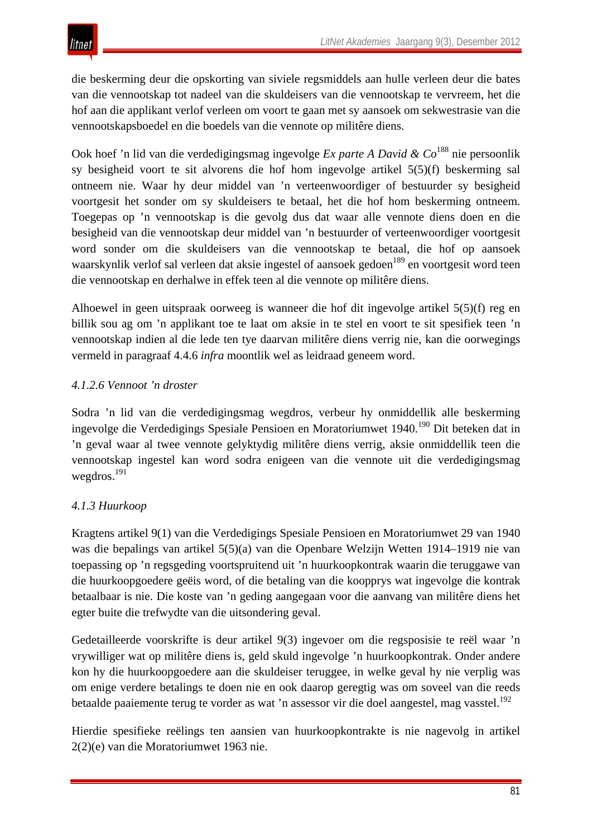

die beskerming deur die opskorting van siviele regsmiddels aan hulle verleen deur die bates van die vennootskap tot nadeel van die skuldeisers van die vennootskap te vervreem, het die hof aan die applikant verlof verleen om voort te gaan met sy aansoek om sekwestrasie van die vennootskapsboedel en die boedels van die vennote op militêre diens.

Ook hoef 'n lid van die verdedigingsmag ingevolge *Ex parte A David & Co*<sup>188</sup> nie persoonlik sy besigheid voort te sit alvorens die hof hom ingevolge artikel 5(5)(f) beskerming sal ontneem nie. Waar hy deur middel van 'n verteenwoordiger of bestuurder sy besigheid voortgesit het sonder om sy skuldeisers te betaal, het die hof hom beskerming ontneem. Toegepas op 'n vennootskap is die gevolg dus dat waar alle vennote diens doen en die besigheid van die vennootskap deur middel van 'n bestuurder of verteenwoordiger voortgesit word sonder om die skuldeisers van die vennootskap te betaal, die hof op aansoek waarskynlik verlof sal verleen dat aksie ingestel of aansoek gedoen<sup>189</sup> en voortgesit word teen die vennootskap en derhalwe in effek teen al die vennote op militêre diens.

Alhoewel in geen uitspraak oorweeg is wanneer die hof dit ingevolge artikel 5(5)(f) reg en billik sou ag om 'n applikant toe te laat om aksie in te stel en voort te sit spesifiek teen 'n vennootskap indien al die lede ten tye daarvan militêre diens verrig nie, kan die oorwegings vermeld in paragraaf 4.4.6 *infra* moontlik wel as leidraad geneem word.

#### *4.1.2.6 Vennoot 'n droster*

Sodra 'n lid van die verdedigingsmag wegdros, verbeur hy onmiddellik alle beskerming ingevolge die Verdedigings Spesiale Pensioen en Moratoriumwet 1940.<sup>190</sup> Dit beteken dat in 'n geval waar al twee vennote gelyktydig militêre diens verrig, aksie onmiddellik teen die vennootskap ingestel kan word sodra enigeen van die vennote uit die verdedigingsmag wegdros.<sup>191</sup>

## *4.1.3 Huurkoop*

Kragtens artikel 9(1) van die Verdedigings Spesiale Pensioen en Moratoriumwet 29 van 1940 was die bepalings van artikel 5(5)(a) van die Openbare Welzijn Wetten 1914–1919 nie van toepassing op 'n regsgeding voortspruitend uit 'n huurkoopkontrak waarin die teruggawe van die huurkoopgoedere geëis word, of die betaling van die koopprys wat ingevolge die kontrak betaalbaar is nie. Die koste van 'n geding aangegaan voor die aanvang van militêre diens het egter buite die trefwydte van die uitsondering geval.

Gedetailleerde voorskrifte is deur artikel 9(3) ingevoer om die regsposisie te reël waar 'n vrywilliger wat op militêre diens is, geld skuld ingevolge 'n huurkoopkontrak. Onder andere kon hy die huurkoopgoedere aan die skuldeiser teruggee, in welke geval hy nie verplig was om enige verdere betalings te doen nie en ook daarop geregtig was om soveel van die reeds betaalde paaiemente terug te vorder as wat 'n assessor vir die doel aangestel, mag vasstel.<sup>192</sup>

Hierdie spesifieke reëlings ten aansien van huurkoopkontrakte is nie nagevolg in artikel 2(2)(e) van die Moratoriumwet 1963 nie.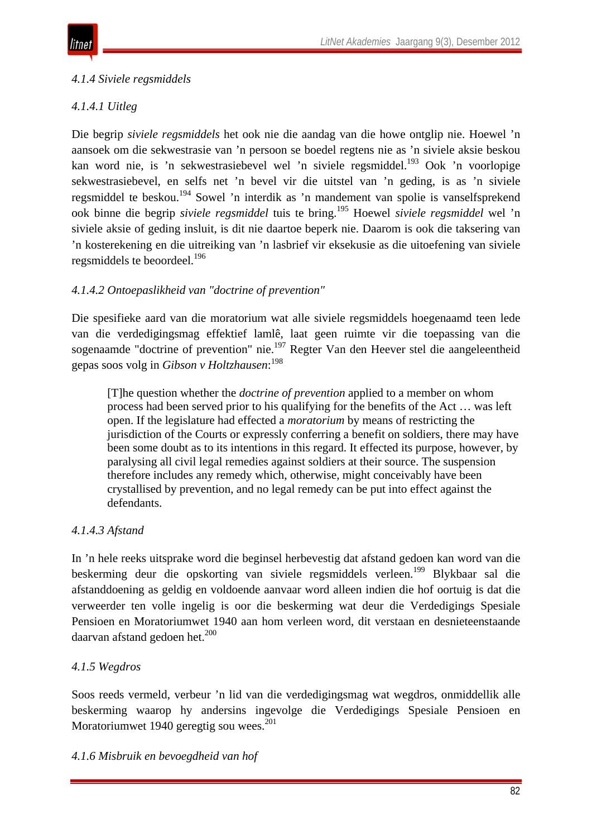# *4.1.4 Siviele regsmiddels*

# *4.1.4.1 Uitleg*

Die begrip *siviele regsmiddels* het ook nie die aandag van die howe ontglip nie. Hoewel 'n aansoek om die sekwestrasie van 'n persoon se boedel regtens nie as 'n siviele aksie beskou kan word nie, is 'n sekwestrasiebevel wel 'n siviele regsmiddel.<sup>193</sup> Ook 'n voorlopige sekwestrasiebevel, en selfs net 'n bevel vir die uitstel van 'n geding, is as 'n siviele regsmiddel te beskou.194 Sowel 'n interdik as 'n mandement van spolie is vanselfsprekend ook binne die begrip *siviele regsmiddel* tuis te bring.195 Hoewel *siviele regsmiddel* wel 'n siviele aksie of geding insluit, is dit nie daartoe beperk nie. Daarom is ook die taksering van 'n kosterekening en die uitreiking van 'n lasbrief vir eksekusie as die uitoefening van siviele regsmiddels te beoordeel.<sup>196</sup>

# *4.1.4.2 Ontoepaslikheid van "doctrine of prevention"*

Die spesifieke aard van die moratorium wat alle siviele regsmiddels hoegenaamd teen lede van die verdedigingsmag effektief lamlê, laat geen ruimte vir die toepassing van die sogenaamde "doctrine of prevention" nie.<sup>197</sup> Regter Van den Heever stel die aangeleentheid gepas soos volg in *Gibson v Holtzhausen*: 198

[T]he question whether the *doctrine of prevention* applied to a member on whom process had been served prior to his qualifying for the benefits of the Act … was left open. If the legislature had effected a *moratorium* by means of restricting the jurisdiction of the Courts or expressly conferring a benefit on soldiers, there may have been some doubt as to its intentions in this regard. It effected its purpose, however, by paralysing all civil legal remedies against soldiers at their source. The suspension therefore includes any remedy which, otherwise, might conceivably have been crystallised by prevention, and no legal remedy can be put into effect against the defendants.

# *4.1.4.3 Afstand*

In 'n hele reeks uitsprake word die beginsel herbevestig dat afstand gedoen kan word van die beskerming deur die opskorting van siviele regsmiddels verleen.<sup>199</sup> Blykbaar sal die afstanddoening as geldig en voldoende aanvaar word alleen indien die hof oortuig is dat die verweerder ten volle ingelig is oor die beskerming wat deur die Verdedigings Spesiale Pensioen en Moratoriumwet 1940 aan hom verleen word, dit verstaan en desnieteenstaande daarvan afstand gedoen het. $200$ 

# *4.1.5 Wegdros*

Soos reeds vermeld, verbeur 'n lid van die verdedigingsmag wat wegdros, onmiddellik alle beskerming waarop hy andersins ingevolge die Verdedigings Spesiale Pensioen en Moratoriumwet 1940 geregtig sou wees. $^{201}$ 

## *4.1.6 Misbruik en bevoegdheid van hof*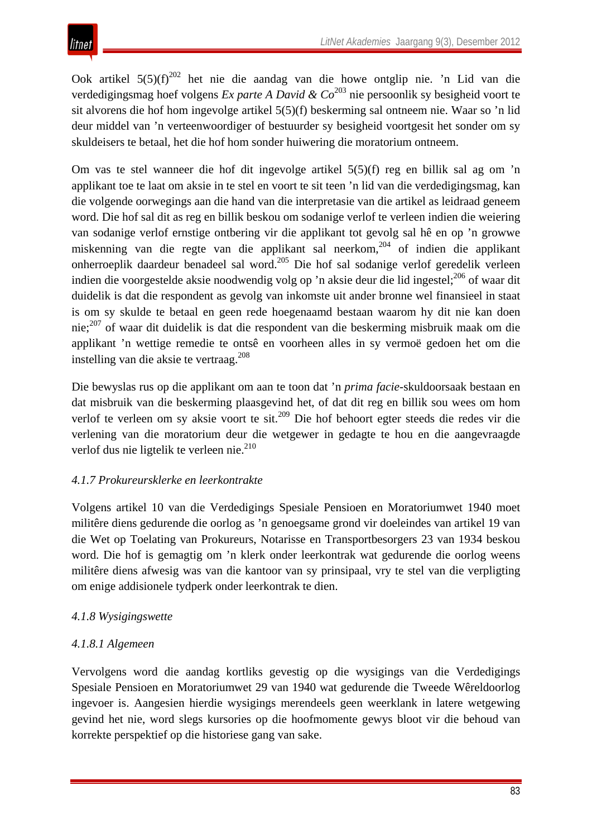Ook artikel 5(5)(f)<sup>202</sup> het nie die aandag van die howe ontglip nie. 'n Lid van die verdedigingsmag hoef volgens *Ex parte A David & Co*<sup>203</sup> nie persoonlik sy besigheid voort te sit alvorens die hof hom ingevolge artikel 5(5)(f) beskerming sal ontneem nie. Waar so 'n lid deur middel van 'n verteenwoordiger of bestuurder sy besigheid voortgesit het sonder om sy skuldeisers te betaal, het die hof hom sonder huiwering die moratorium ontneem.

Om vas te stel wanneer die hof dit ingevolge artikel 5(5)(f) reg en billik sal ag om 'n applikant toe te laat om aksie in te stel en voort te sit teen 'n lid van die verdedigingsmag, kan die volgende oorwegings aan die hand van die interpretasie van die artikel as leidraad geneem word. Die hof sal dit as reg en billik beskou om sodanige verlof te verleen indien die weiering van sodanige verlof ernstige ontbering vir die applikant tot gevolg sal hê en op 'n growwe miskenning van die regte van die applikant sal neerkom,<sup>204</sup> of indien die applikant onherroeplik daardeur benadeel sal word.205 Die hof sal sodanige verlof geredelik verleen indien die voorgestelde aksie noodwendig volg op 'n aksie deur die lid ingestel;<sup>206</sup> of waar dit duidelik is dat die respondent as gevolg van inkomste uit ander bronne wel finansieel in staat is om sy skulde te betaal en geen rede hoegenaamd bestaan waarom hy dit nie kan doen nie;<sup>207</sup> of waar dit duidelik is dat die respondent van die beskerming misbruik maak om die applikant 'n wettige remedie te ontsê en voorheen alles in sy vermoë gedoen het om die instelling van die aksie te vertraag.208

Die bewyslas rus op die applikant om aan te toon dat 'n *prima facie*-skuldoorsaak bestaan en dat misbruik van die beskerming plaasgevind het, of dat dit reg en billik sou wees om hom verlof te verleen om sy aksie voort te sit.<sup>209</sup> Die hof behoort egter steeds die redes vir die verlening van die moratorium deur die wetgewer in gedagte te hou en die aangevraagde verlof dus nie ligtelik te verleen nie.<sup>210</sup>

# *4.1.7 Prokureursklerke en leerkontrakte*

Volgens artikel 10 van die Verdedigings Spesiale Pensioen en Moratoriumwet 1940 moet militêre diens gedurende die oorlog as 'n genoegsame grond vir doeleindes van artikel 19 van die Wet op Toelating van Prokureurs, Notarisse en Transportbesorgers 23 van 1934 beskou word. Die hof is gemagtig om 'n klerk onder leerkontrak wat gedurende die oorlog weens militêre diens afwesig was van die kantoor van sy prinsipaal, vry te stel van die verpligting om enige addisionele tydperk onder leerkontrak te dien.

# *4.1.8 Wysigingswette*

# *4.1.8.1 Algemeen*

Vervolgens word die aandag kortliks gevestig op die wysigings van die Verdedigings Spesiale Pensioen en Moratoriumwet 29 van 1940 wat gedurende die Tweede Wêreldoorlog ingevoer is. Aangesien hierdie wysigings merendeels geen weerklank in latere wetgewing gevind het nie, word slegs kursories op die hoofmomente gewys bloot vir die behoud van korrekte perspektief op die historiese gang van sake.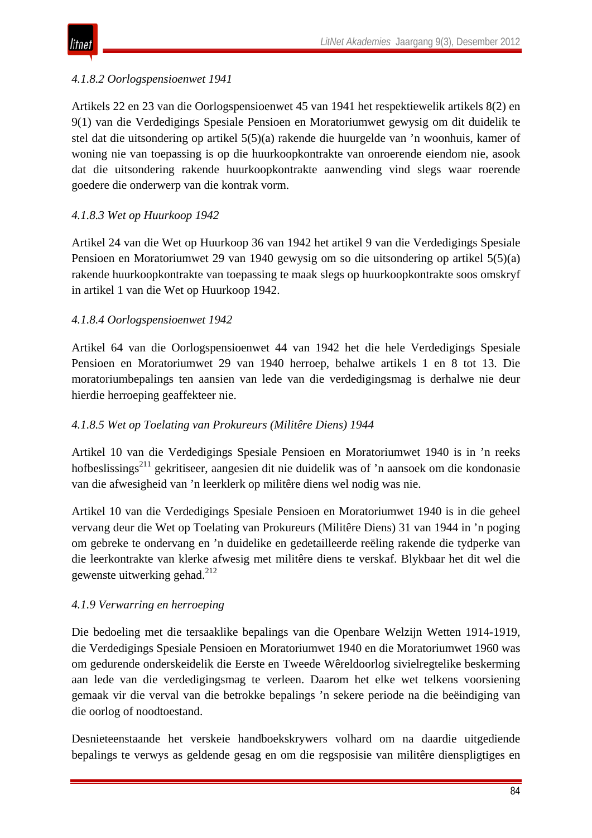

#### *4.1.8.2 Oorlogspensioenwet 1941*

Artikels 22 en 23 van die Oorlogspensioenwet 45 van 1941 het respektiewelik artikels 8(2) en 9(1) van die Verdedigings Spesiale Pensioen en Moratoriumwet gewysig om dit duidelik te stel dat die uitsondering op artikel 5(5)(a) rakende die huurgelde van 'n woonhuis, kamer of woning nie van toepassing is op die huurkoopkontrakte van onroerende eiendom nie, asook dat die uitsondering rakende huurkoopkontrakte aanwending vind slegs waar roerende goedere die onderwerp van die kontrak vorm.

#### *4.1.8.3 Wet op Huurkoop 1942*

Artikel 24 van die Wet op Huurkoop 36 van 1942 het artikel 9 van die Verdedigings Spesiale Pensioen en Moratoriumwet 29 van 1940 gewysig om so die uitsondering op artikel 5(5)(a) rakende huurkoopkontrakte van toepassing te maak slegs op huurkoopkontrakte soos omskryf in artikel 1 van die Wet op Huurkoop 1942.

#### *4.1.8.4 Oorlogspensioenwet 1942*

Artikel 64 van die Oorlogspensioenwet 44 van 1942 het die hele Verdedigings Spesiale Pensioen en Moratoriumwet 29 van 1940 herroep, behalwe artikels 1 en 8 tot 13. Die moratoriumbepalings ten aansien van lede van die verdedigingsmag is derhalwe nie deur hierdie herroeping geaffekteer nie.

#### *4.1.8.5 Wet op Toelating van Prokureurs (Militêre Diens) 1944*

Artikel 10 van die Verdedigings Spesiale Pensioen en Moratoriumwet 1940 is in 'n reeks hofbeslissings<sup>211</sup> gekritiseer, aangesien dit nie duidelik was of 'n aansoek om die kondonasie van die afwesigheid van 'n leerklerk op militêre diens wel nodig was nie.

Artikel 10 van die Verdedigings Spesiale Pensioen en Moratoriumwet 1940 is in die geheel vervang deur die Wet op Toelating van Prokureurs (Militêre Diens) 31 van 1944 in 'n poging om gebreke te ondervang en 'n duidelike en gedetailleerde reëling rakende die tydperke van die leerkontrakte van klerke afwesig met militêre diens te verskaf. Blykbaar het dit wel die gewenste uitwerking gehad.<sup>212</sup>

#### *4.1.9 Verwarring en herroeping*

Die bedoeling met die tersaaklike bepalings van die Openbare Welzijn Wetten 1914-1919, die Verdedigings Spesiale Pensioen en Moratoriumwet 1940 en die Moratoriumwet 1960 was om gedurende onderskeidelik die Eerste en Tweede Wêreldoorlog sivielregtelike beskerming aan lede van die verdedigingsmag te verleen. Daarom het elke wet telkens voorsiening gemaak vir die verval van die betrokke bepalings 'n sekere periode na die beëindiging van die oorlog of noodtoestand.

Desnieteenstaande het verskeie handboekskrywers volhard om na daardie uitgediende bepalings te verwys as geldende gesag en om die regsposisie van militêre dienspligtiges en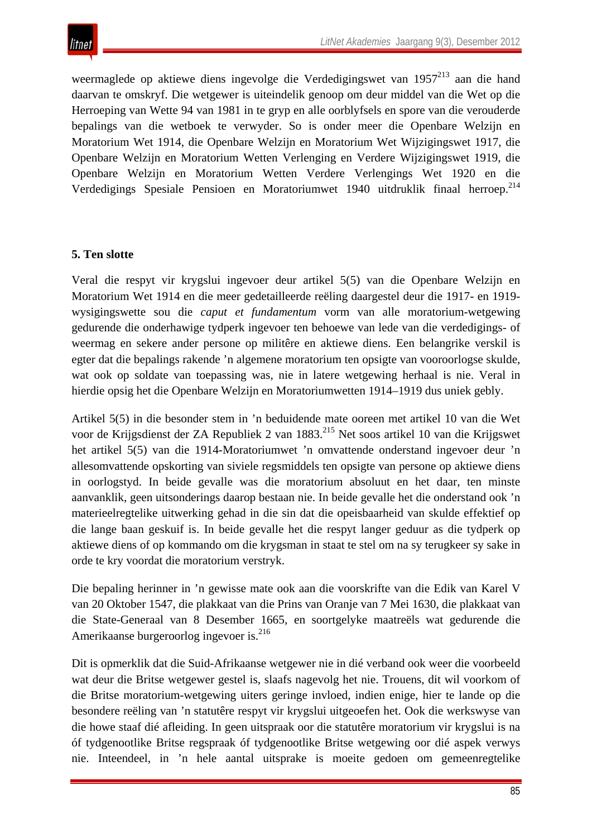weermaglede op aktiewe diens ingevolge die Verdedigingswet van 1957<sup>213</sup> aan die hand daarvan te omskryf. Die wetgewer is uiteindelik genoop om deur middel van die Wet op die Herroeping van Wette 94 van 1981 in te gryp en alle oorblyfsels en spore van die verouderde bepalings van die wetboek te verwyder. So is onder meer die Openbare Welzijn en Moratorium Wet 1914, die Openbare Welzijn en Moratorium Wet Wijzigingswet 1917, die Openbare Welzijn en Moratorium Wetten Verlenging en Verdere Wijzigingswet 1919, die Openbare Welzijn en Moratorium Wetten Verdere Verlengings Wet 1920 en die Verdedigings Spesiale Pensioen en Moratoriumwet 1940 uitdruklik finaal herroep. 214

#### **5. Ten slotte**

Veral die respyt vir krygslui ingevoer deur artikel 5(5) van die Openbare Welzijn en Moratorium Wet 1914 en die meer gedetailleerde reëling daargestel deur die 1917- en 1919 wysigingswette sou die *caput et fundamentum* vorm van alle moratorium-wetgewing gedurende die onderhawige tydperk ingevoer ten behoewe van lede van die verdedigings- of weermag en sekere ander persone op militêre en aktiewe diens. Een belangrike verskil is egter dat die bepalings rakende 'n algemene moratorium ten opsigte van vooroorlogse skulde, wat ook op soldate van toepassing was, nie in latere wetgewing herhaal is nie. Veral in hierdie opsig het die Openbare Welzijn en Moratoriumwetten 1914–1919 dus uniek gebly.

Artikel 5(5) in die besonder stem in 'n beduidende mate ooreen met artikel 10 van die Wet voor de Krijgsdienst der ZA Republiek 2 van 1883.<sup>215</sup> Net soos artikel 10 van die Krijgswet het artikel 5(5) van die 1914-Moratoriumwet 'n omvattende onderstand ingevoer deur 'n allesomvattende opskorting van siviele regsmiddels ten opsigte van persone op aktiewe diens in oorlogstyd. In beide gevalle was die moratorium absoluut en het daar, ten minste aanvanklik, geen uitsonderings daarop bestaan nie. In beide gevalle het die onderstand ook 'n materieelregtelike uitwerking gehad in die sin dat die opeisbaarheid van skulde effektief op die lange baan geskuif is. In beide gevalle het die respyt langer geduur as die tydperk op aktiewe diens of op kommando om die krygsman in staat te stel om na sy terugkeer sy sake in orde te kry voordat die moratorium verstryk.

Die bepaling herinner in 'n gewisse mate ook aan die voorskrifte van die Edik van Karel V van 20 Oktober 1547, die plakkaat van die Prins van Oranje van 7 Mei 1630, die plakkaat van die State-Generaal van 8 Desember 1665, en soortgelyke maatreëls wat gedurende die Amerikaanse burgeroorlog ingevoer is.<sup>216</sup>

Dit is opmerklik dat die Suid-Afrikaanse wetgewer nie in dié verband ook weer die voorbeeld wat deur die Britse wetgewer gestel is, slaafs nagevolg het nie. Trouens, dit wil voorkom of die Britse moratorium-wetgewing uiters geringe invloed, indien enige, hier te lande op die besondere reëling van 'n statutêre respyt vir krygslui uitgeoefen het. Ook die werkswyse van die howe staaf dié afleiding. In geen uitspraak oor die statutêre moratorium vir krygslui is na óf tydgenootlike Britse regspraak óf tydgenootlike Britse wetgewing oor dié aspek verwys nie. Inteendeel, in 'n hele aantal uitsprake is moeite gedoen om gemeenregtelike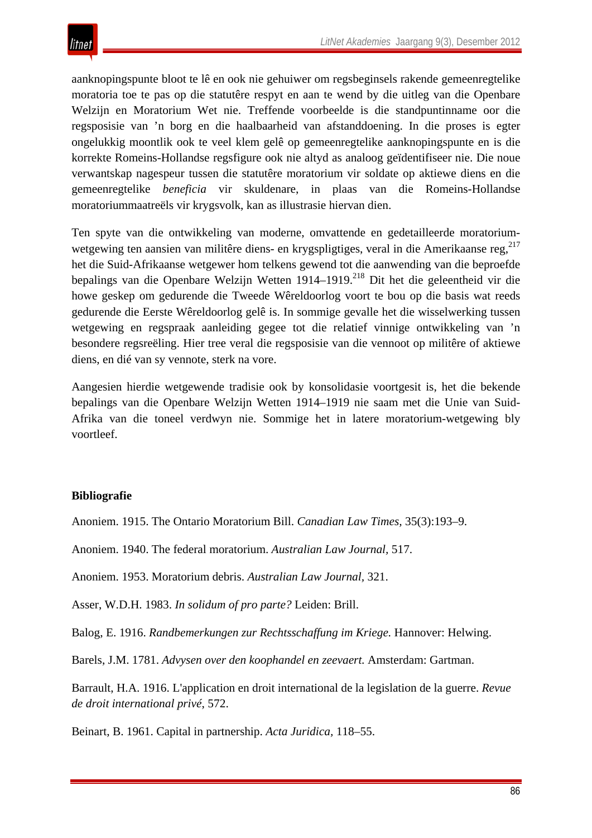aanknopingspunte bloot te lê en ook nie gehuiwer om regsbeginsels rakende gemeenregtelike moratoria toe te pas op die statutêre respyt en aan te wend by die uitleg van die Openbare Welzijn en Moratorium Wet nie. Treffende voorbeelde is die standpuntinname oor die regsposisie van 'n borg en die haalbaarheid van afstanddoening. In die proses is egter ongelukkig moontlik ook te veel klem gelê op gemeenregtelike aanknopingspunte en is die korrekte Romeins-Hollandse regsfigure ook nie altyd as analoog geïdentifiseer nie. Die noue verwantskap nagespeur tussen die statutêre moratorium vir soldate op aktiewe diens en die gemeenregtelike *beneficia* vir skuldenare, in plaas van die Romeins-Hollandse moratoriummaatreëls vir krygsvolk, kan as illustrasie hiervan dien.

Ten spyte van die ontwikkeling van moderne, omvattende en gedetailleerde moratoriumwetgewing ten aansien van militêre diens- en krygspligtiges, veral in die Amerikaanse reg,<sup>217</sup> het die Suid-Afrikaanse wetgewer hom telkens gewend tot die aanwending van die beproefde bepalings van die Openbare Welzijn Wetten 1914–1919.<sup>218</sup> Dit het die geleentheid vir die howe geskep om gedurende die Tweede Wêreldoorlog voort te bou op die basis wat reeds gedurende die Eerste Wêreldoorlog gelê is. In sommige gevalle het die wisselwerking tussen wetgewing en regspraak aanleiding gegee tot die relatief vinnige ontwikkeling van 'n besondere regsreëling. Hier tree veral die regsposisie van die vennoot op militêre of aktiewe diens, en dié van sy vennote, sterk na vore.

Aangesien hierdie wetgewende tradisie ook by konsolidasie voortgesit is, het die bekende bepalings van die Openbare Welzijn Wetten 1914–1919 nie saam met die Unie van Suid-Afrika van die toneel verdwyn nie. Sommige het in latere moratorium-wetgewing bly voortleef.

## **Bibliografie**

Anoniem. 1915. The Ontario Moratorium Bill. *Canadian Law Times,* 35(3):193–9.

Anoniem. 1940. The federal moratorium. *Australian Law Journal,* 517.

Anoniem. 1953. Moratorium debris. *Australian Law Journal,* 321.

Asser, W.D.H. 1983. *In solidum of pro parte?* Leiden: Brill.

Balog, E. 1916. *Randbemerkungen zur Rechtsschaffung im Kriege.* Hannover: Helwing.

Barels, J.M. 1781. *Advysen over den koophandel en zeevaert.* Amsterdam: Gartman.

Barrault, H.A. 1916. L'application en droit international de la legislation de la guerre. *Revue de droit international privé*, 572.

Beinart, B. 1961. Capital in partnership. *Acta Juridica,* 118–55.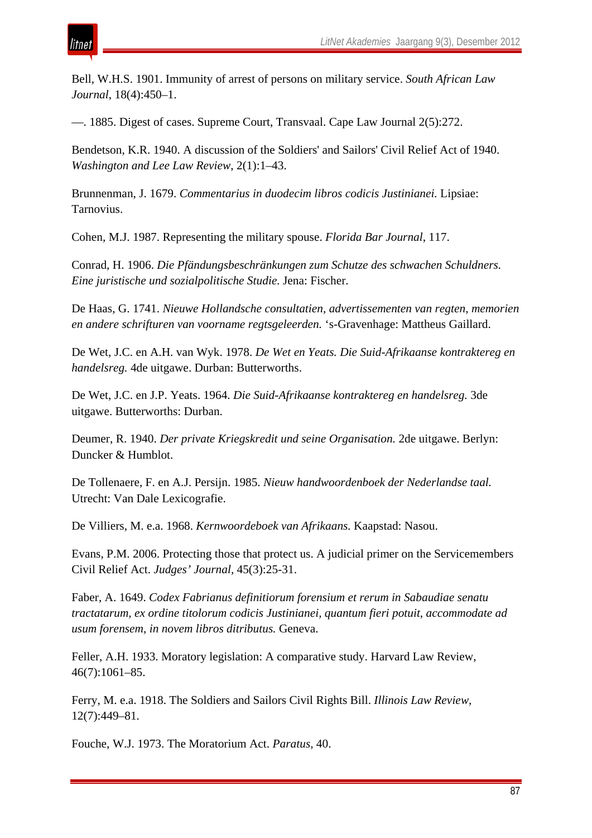Bell, W.H.S. 1901. Immunity of arrest of persons on military service. *South African Law Journal*, 18(4):450–1.

—. 1885. Digest of cases. Supreme Court, Transvaal. Cape Law Journal 2(5):272.

Bendetson, K.R. 1940. A discussion of the Soldiers' and Sailors' Civil Relief Act of 1940. *Washington and Lee Law Review*, 2(1):1–43.

Brunnenman, J. 1679. *Commentarius in duodecim libros codicis Justinianei.* Lipsiae: Tarnovius.

Cohen, M.J. 1987. Representing the military spouse. *Florida Bar Journal*, 117.

Conrad, H. 1906. *Die Pfändungsbeschränkungen zum Schutze des schwachen Schuldners. Eine juristische und sozialpolitische Studie.* Jena: Fischer.

De Haas, G. 1741. *Nieuwe Hollandsche consultatien, advertissementen van regten, memorien en andere schrifturen van voorname regtsgeleerden.* 's-Gravenhage: Mattheus Gaillard.

De Wet, J.C. en A.H. van Wyk. 1978. *De Wet en Yeats. Die Suid-Afrikaanse kontraktereg en handelsreg.* 4de uitgawe. Durban: Butterworths.

De Wet, J.C. en J.P. Yeats. 1964. *Die Suid-Afrikaanse kontraktereg en handelsreg.* 3de uitgawe. Butterworths: Durban.

Deumer, R. 1940. *Der private Kriegskredit und seine Organisation.* 2de uitgawe. Berlyn: Duncker & Humblot.

De Tollenaere, F. en A.J. Persijn. 1985. *Nieuw handwoordenboek der Nederlandse taal.* Utrecht: Van Dale Lexicografie.

De Villiers, M. e.a. 1968. *Kernwoordeboek van Afrikaans.* Kaapstad: Nasou.

Evans, P.M. 2006. Protecting those that protect us. A judicial primer on the Servicemembers Civil Relief Act. *Judges' Journal,* 45(3):25-31.

Faber, A. 1649. *Codex Fabrianus definitiorum forensium et rerum in Sabaudiae senatu tractatarum, ex ordine titolorum codicis Justinianei, quantum fieri potuit, accommodate ad usum forensem, in novem libros ditributus.* Geneva.

Feller, A.H. 1933. Moratory legislation: A comparative study. Harvard Law Review, 46(7):1061*–*85.

Ferry, M. e.a. 1918. The Soldiers and Sailors Civil Rights Bill. *Illinois Law Review,* 12(7):449*–*81.

Fouche, W.J. 1973. The Moratorium Act. *Paratus,* 40.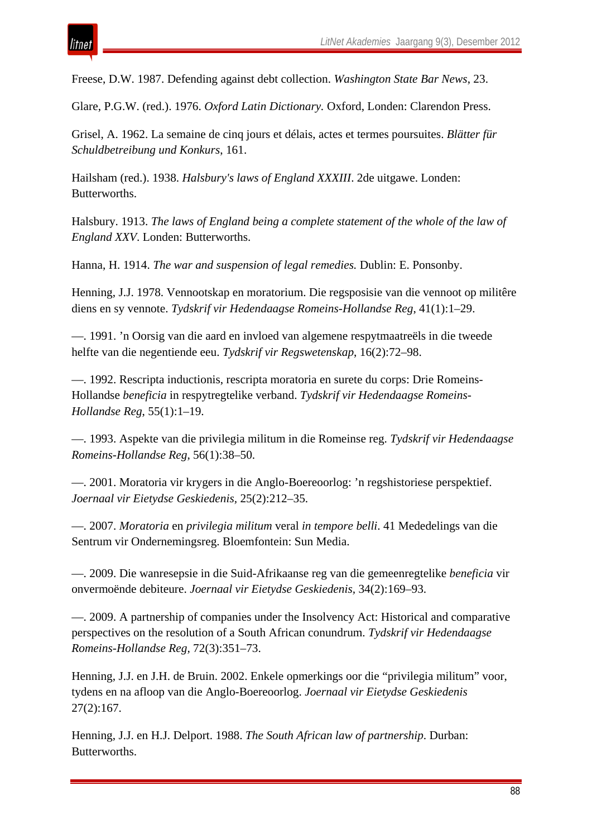Freese, D.W. 1987. Defending against debt collection. *Washington State Bar News*, 23.

Glare, P.G.W. (red.). 1976. *Oxford Latin Dictionary.* Oxford, Londen: Clarendon Press.

Grisel, A. 1962. La semaine de cinq jours et délais, actes et termes poursuites. *Blätter für Schuldbetreibung und Konkurs*, 161.

Hailsham (red.). 1938. *Halsbury's laws of England XXXIII*. 2de uitgawe. Londen: Butterworths.

Halsbury. 1913. *The laws of England being a complete statement of the whole of the law of England XXV*. Londen: Butterworths.

Hanna, H. 1914. *The war and suspension of legal remedies.* Dublin: E. Ponsonby.

Henning, J.J. 1978. Vennootskap en moratorium. Die regsposisie van die vennoot op militêre diens en sy vennote. *Tydskrif vir Hedendaagse Romeins-Hollandse Reg*, 41(1):1*–*29.

—. 1991. 'n Oorsig van die aard en invloed van algemene respytmaatreëls in die tweede helfte van die negentiende eeu. *Tydskrif vir Regswetenskap*, 16(2):72*–*98.

—. 1992. Rescripta inductionis, rescripta moratoria en surete du corps: Drie Romeins-Hollandse *beneficia* in respytregtelike verband. *Tydskrif vir Hedendaagse Romeins-Hollandse Reg*, 55(1):1*–*19.

—. 1993. Aspekte van die privilegia militum in die Romeinse reg. *Tydskrif vir Hedendaagse Romeins-Hollandse Reg*, 56(1):38*–*50.

—. 2001. Moratoria vir krygers in die Anglo-Boereoorlog: 'n regshistoriese perspektief. *Joernaal vir Eietydse Geskiedenis,* 25(2):212*–*35.

—. 2007. *Moratoria* en *privilegia militum* veral *in tempore belli*. 41 Mededelings van die Sentrum vir Ondernemingsreg. Bloemfontein: Sun Media.

—. 2009. Die wanresepsie in die Suid-Afrikaanse reg van die gemeenregtelike *beneficia* vir onvermoënde debiteure. *Joernaal vir Eietydse Geskiedenis,* 34(2):169*–*93.

—. 2009. A partnership of companies under the Insolvency Act: Historical and comparative perspectives on the resolution of a South African conundrum. *Tydskrif vir Hedendaagse Romeins-Hollandse Reg,* 72(3):351*–*73.

Henning, J.J. en J.H. de Bruin. 2002. Enkele opmerkings oor die "privilegia militum" voor, tydens en na afloop van die Anglo-Boereoorlog. *Joernaal vir Eietydse Geskiedenis* 27(2):167.

Henning, J.J. en H.J. Delport. 1988. *The South African law of partnership*. Durban: Butterworths.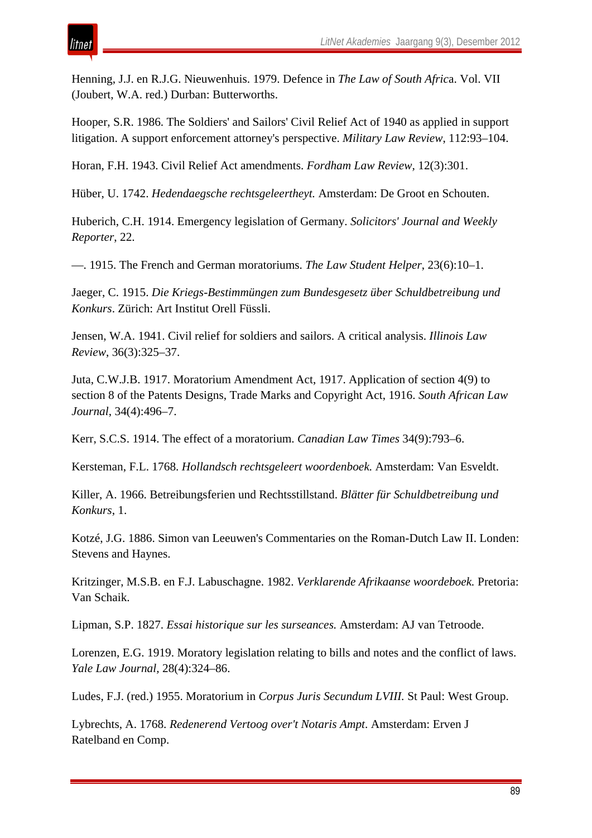itnet

Henning, J.J. en R.J.G. Nieuwenhuis. 1979. Defence in *The Law of South Afric*a. Vol. VII (Joubert, W.A. red.) Durban: Butterworths.

Hooper, S.R. 1986. The Soldiers' and Sailors' Civil Relief Act of 1940 as applied in support litigation. A support enforcement attorney's perspective. *Military Law Review*, 112:93*–*104.

Horan, F.H. 1943. Civil Relief Act amendments. *Fordham Law Review,* 12(3):301.

Hüber, U. 1742. *Hedendaegsche rechtsgeleertheyt.* Amsterdam: De Groot en Schouten.

Huberich, C.H. 1914. Emergency legislation of Germany. *Solicitors' Journal and Weekly Reporter*, 22.

—. 1915. The French and German moratoriums. *The Law Student Helper*, 23(6):10*–*1.

Jaeger, C. 1915. *Die Kriegs-Bestimmüngen zum Bundesgesetz über Schuldbetreibung und Konkurs*. Zürich: Art Institut Orell Füssli.

Jensen, W.A. 1941. Civil relief for soldiers and sailors. A critical analysis. *Illinois Law Review*, 36(3):325*–*37.

Juta, C.W.J.B. 1917. Moratorium Amendment Act, 1917. Application of section 4(9) to section 8 of the Patents Designs, Trade Marks and Copyright Act, 1916. *South African Law Journal*, 34(4):496*–*7.

Kerr, S.C.S. 1914. The effect of a moratorium. *Canadian Law Times* 34(9):793*–*6.

Kersteman, F.L. 1768. *Hollandsch rechtsgeleert woordenboek.* Amsterdam: Van Esveldt.

Killer, A. 1966. Betreibungsferien und Rechtsstillstand. *Blätter für Schuldbetreibung und Konkurs*, 1.

Kotzé, J.G. 1886. Simon van Leeuwen's Commentaries on the Roman-Dutch Law II. Londen: Stevens and Haynes.

Kritzinger, M.S.B. en F.J. Labuschagne. 1982. *Verklarende Afrikaanse woordeboek.* Pretoria: Van Schaik.

Lipman, S.P. 1827. *Essai historique sur les surseances.* Amsterdam: AJ van Tetroode.

Lorenzen, E.G. 1919. Moratory legislation relating to bills and notes and the conflict of laws. *Yale Law Journal,* 28(4):324*–*86.

Ludes, F.J. (red.) 1955. Moratorium in *Corpus Juris Secundum LVIII.* St Paul: West Group.

Lybrechts, A. 1768. *Redenerend Vertoog over't Notaris Ampt*. Amsterdam: Erven J Ratelband en Comp.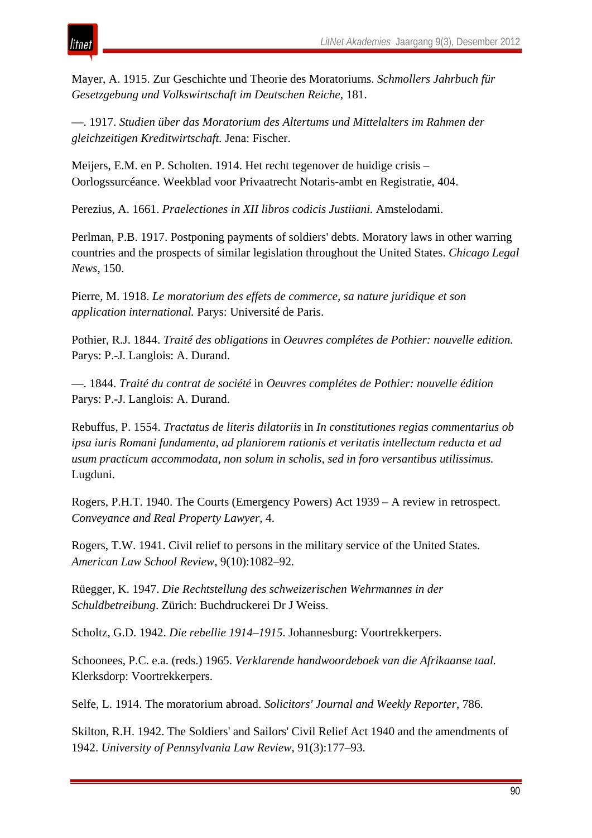

Mayer, A. 1915. Zur Geschichte und Theorie des Moratoriums. *Schmollers Jahrbuch für Gesetzgebung und Volkswirtschaft im Deutschen Reiche,* 181.

—. 1917. *Studien über das Moratorium des Altertums und Mittelalters im Rahmen der gleichzeitigen Kreditwirtschaft.* Jena: Fischer.

Meijers, E.M. en P. Scholten. 1914. Het recht tegenover de huidige crisis *–* Oorlogssurcéance. Weekblad voor Privaatrecht Notaris-ambt en Registratie, 404.

Perezius, A. 1661. *Praelectiones in XII libros codicis Justiiani.* Amstelodami.

Perlman, P.B. 1917. Postponing payments of soldiers' debts. Moratory laws in other warring countries and the prospects of similar legislation throughout the United States. *Chicago Legal News*, 150.

Pierre, M. 1918. *Le moratorium des effets de commerce, sa nature juridique et son application international.* Parys: Université de Paris.

Pothier, R.J. 1844. *Traité des obligations* in *Oeuvres complétes de Pothier: nouvelle edition.* Parys: P.-J. Langlois: A. Durand.

—. 1844. *Traité du contrat de société* in *Oeuvres complétes de Pothier: nouvelle édition* Parys: P.-J. Langlois: A. Durand.

Rebuffus, P. 1554. *Tractatus de literis dilatoriis* in *In constitutiones regias commentarius ob ipsa iuris Romani fundamenta, ad planiorem rationis et veritatis intellectum reducta et ad usum practicum accommodata, non solum in scholis, sed in foro versantibus utilissimus.* Lugduni.

Rogers, P.H.T. 1940. The Courts (Emergency Powers) Act 1939 – A review in retrospect. *Conveyance and Real Property Lawyer*, 4.

Rogers, T.W. 1941. Civil relief to persons in the military service of the United States. *American Law School Review*, 9(10):1082*–*92.

Rüegger, K. 1947. *Die Rechtstellung des schweizerischen Wehrmannes in der Schuldbetreibung*. Zürich: Buchdruckerei Dr J Weiss.

Scholtz, G.D. 1942. *Die rebellie 1914–1915*. Johannesburg: Voortrekkerpers.

Schoonees, P.C. e.a. (reds.) 1965. *Verklarende handwoordeboek van die Afrikaanse taal.* Klerksdorp: Voortrekkerpers.

Selfe, L. 1914. The moratorium abroad. *Solicitors' Journal and Weekly Reporter*, 786.

Skilton, R.H. 1942. The Soldiers' and Sailors' Civil Relief Act 1940 and the amendments of 1942. *University of Pennsylvania Law Review*, 91(3):177*–*93.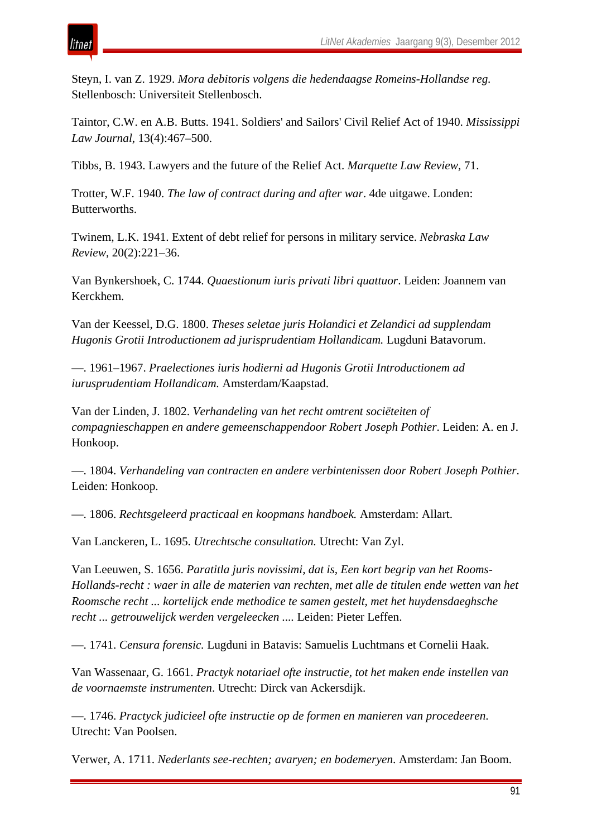tnei

Steyn, I. van Z. 1929. *Mora debitoris volgens die hedendaagse Romeins-Hollandse reg.*  Stellenbosch: Universiteit Stellenbosch.

Taintor, C.W. en A.B. Butts. 1941. Soldiers' and Sailors' Civil Relief Act of 1940. *Mississippi Law Journal*, 13(4):467*–*500.

Tibbs, B. 1943. Lawyers and the future of the Relief Act. *Marquette Law Review,* 71.

Trotter, W.F. 1940. *The law of contract during and after war*. 4de uitgawe. Londen: Butterworths.

Twinem, L.K. 1941. Extent of debt relief for persons in military service. *Nebraska Law Review*, 20(2):221*–*36.

Van Bynkershoek, C. 1744. *Quaestionum iuris privati libri quattuor*. Leiden: Joannem van Kerckhem.

Van der Keessel, D.G. 1800. *Theses seletae juris Holandici et Zelandici ad supplendam Hugonis Grotii Introductionem ad jurisprudentiam Hollandicam.* Lugduni Batavorum.

—. 1961*–*1967. *Praelectiones iuris hodierni ad Hugonis Grotii Introductionem ad iurusprudentiam Hollandicam.* Amsterdam/Kaapstad.

Van der Linden, J. 1802. *Verhandeling van het recht omtrent sociëteiten of compagnieschappen en andere gemeenschappendoor Robert Joseph Pothier*. Leiden: A. en J. Honkoop.

—. 1804. *Verhandeling van contracten en andere verbintenissen door Robert Joseph Pothier*. Leiden: Honkoop.

—. 1806. *Rechtsgeleerd practicaal en koopmans handboek.* Amsterdam: Allart.

Van Lanckeren, L. 1695. *Utrechtsche consultation.* Utrecht: Van Zyl.

Van Leeuwen, S. 1656. *Paratitla juris novissimi, dat is, Een kort begrip van het Rooms-Hollands-recht : waer in alle de materien van rechten, met alle de titulen ende wetten van het Roomsche recht ... kortelijck ende methodice te samen gestelt, met het huydensdaeghsche recht ... getrouwelijck werden vergeleecken ....* Leiden: Pieter Leffen.

—. 1741. *Censura forensic.* Lugduni in Batavis: Samuelis Luchtmans et Cornelii Haak.

Van Wassenaar, G. 1661. *Practyk notariael ofte instructie, tot het maken ende instellen van de voornaemste instrumenten*. Utrecht: Dirck van Ackersdijk.

—. 1746. *Practyck judicieel ofte instructie op de formen en manieren van procedeeren*. Utrecht: Van Poolsen.

Verwer, A. 1711. *Nederlants see-rechten; avaryen; en bodemeryen*. Amsterdam: Jan Boom.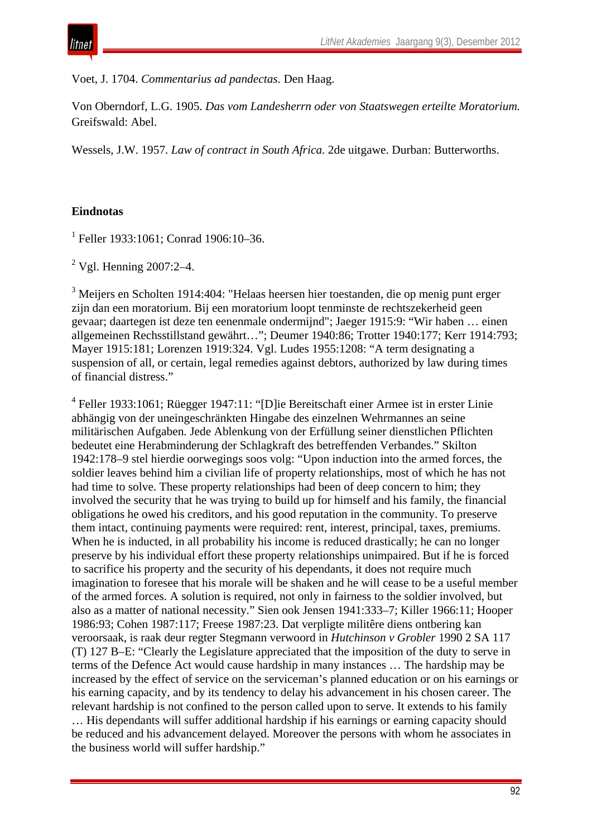Voet, J. 1704. *Commentarius ad pandectas.* Den Haag.

Von Oberndorf, L.G. 1905. *Das vom Landesherrn oder von Staatswegen erteilte Moratorium.* Greifswald: Abel.

Wessels, J.W. 1957. *Law of contract in South Africa.* 2de uitgawe. Durban: Butterworths.

# **Eindnotas**

 $1$  Feller 1933:1061: Conrad 1906:10–36.

 $2$  Vgl. Henning 2007:2-4.

<sup>3</sup> Meijers en Scholten 1914:404: "Helaas heersen hier toestanden, die op menig punt erger zijn dan een moratorium. Bij een moratorium loopt tenminste de rechtszekerheid geen gevaar; daartegen ist deze ten eenenmale ondermijnd"; Jaeger 1915:9: "Wir haben … einen allgemeinen Rechsstillstand gewährt…"; Deumer 1940:86; Trotter 1940:177; Kerr 1914:793; Mayer 1915:181; Lorenzen 1919:324. Vgl. Ludes 1955:1208: "A term designating a suspension of all, or certain, legal remedies against debtors, authorized by law during times of financial distress."

<sup>4</sup> Feller 1933:1061; Rüegger 1947:11: "[D]ie Bereitschaft einer Armee ist in erster Linie abhängig von der uneingeschränkten Hingabe des einzelnen Wehrmannes an seine militärischen Aufgaben. Jede Ablenkung von der Erfüllung seiner dienstlichen Pflichten bedeutet eine Herabminderung der Schlagkraft des betreffenden Verbandes." Skilton 1942:178–9 stel hierdie oorwegings soos volg: "Upon induction into the armed forces, the soldier leaves behind him a civilian life of property relationships, most of which he has not had time to solve. These property relationships had been of deep concern to him; they involved the security that he was trying to build up for himself and his family, the financial obligations he owed his creditors, and his good reputation in the community. To preserve them intact, continuing payments were required: rent, interest, principal, taxes, premiums. When he is inducted, in all probability his income is reduced drastically; he can no longer preserve by his individual effort these property relationships unimpaired. But if he is forced to sacrifice his property and the security of his dependants, it does not require much imagination to foresee that his morale will be shaken and he will cease to be a useful member of the armed forces. A solution is required, not only in fairness to the soldier involved, but also as a matter of national necessity." Sien ook Jensen 1941:333–7; Killer 1966:11; Hooper 1986:93; Cohen 1987:117; Freese 1987:23. Dat verpligte militêre diens ontbering kan veroorsaak, is raak deur regter Stegmann verwoord in *Hutchinson v Grobler* 1990 2 SA 117 (T) 127 B–E: "Clearly the Legislature appreciated that the imposition of the duty to serve in terms of the Defence Act would cause hardship in many instances … The hardship may be increased by the effect of service on the serviceman's planned education or on his earnings or his earning capacity, and by its tendency to delay his advancement in his chosen career. The relevant hardship is not confined to the person called upon to serve. It extends to his family … His dependants will suffer additional hardship if his earnings or earning capacity should be reduced and his advancement delayed. Moreover the persons with whom he associates in the business world will suffer hardship."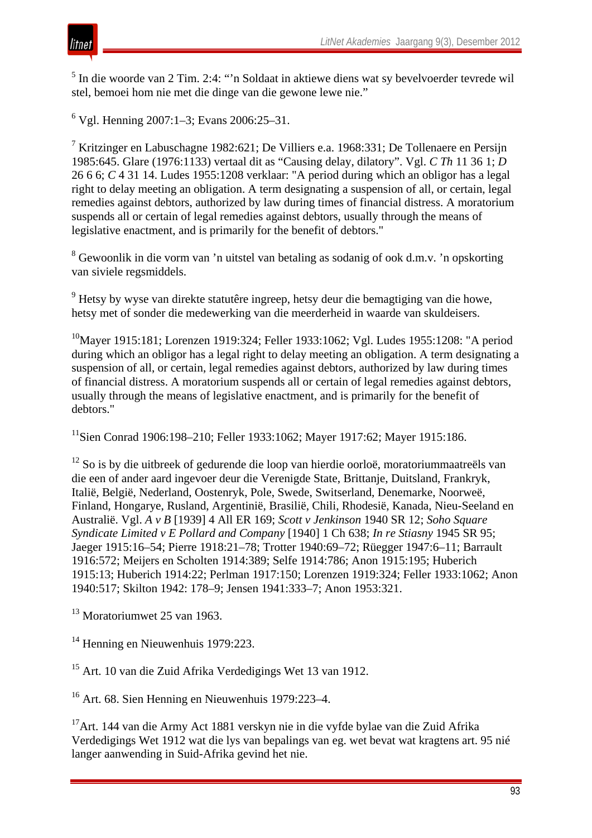<sup>5</sup> In die woorde van 2 Tim. 2:4: "'n Soldaat in aktiewe diens wat sy bevelvoerder tevrede wil stel, bemoei hom nie met die dinge van die gewone lewe nie."

 $6$  Vgl. Henning 2007:1–3; Evans 2006:25–31.

<sup>7</sup> Kritzinger en Labuschagne 1982:621; De Villiers e.a. 1968:331; De Tollenaere en Persijn 1985:645. Glare (1976:1133) vertaal dit as "Causing delay, dilatory". Vgl. *C Th* 11 36 1; *D* 26 6 6; *C* 4 31 14. Ludes 1955:1208 verklaar: "A period during which an obligor has a legal right to delay meeting an obligation. A term designating a suspension of all, or certain, legal remedies against debtors, authorized by law during times of financial distress. A moratorium suspends all or certain of legal remedies against debtors, usually through the means of legislative enactment, and is primarily for the benefit of debtors."

<sup>8</sup> Gewoonlik in die vorm van 'n uitstel van betaling as sodanig of ook d.m.v. 'n opskorting van siviele regsmiddels.

<sup>9</sup> Hetsy by wyse van direkte statutêre ingreep, hetsy deur die bemagtiging van die howe, hetsy met of sonder die medewerking van die meerderheid in waarde van skuldeisers.

10Mayer 1915:181; Lorenzen 1919:324; Feller 1933:1062; Vgl. Ludes 1955:1208: "A period during which an obligor has a legal right to delay meeting an obligation. A term designating a suspension of all, or certain, legal remedies against debtors, authorized by law during times of financial distress. A moratorium suspends all or certain of legal remedies against debtors, usually through the means of legislative enactment, and is primarily for the benefit of debtors."

11Sien Conrad 1906:198–210; Feller 1933:1062; Mayer 1917:62; Mayer 1915:186.

<sup>12</sup> So is by die uitbreek of gedurende die loop van hierdie oorloë, moratoriummaatreëls van die een of ander aard ingevoer deur die Verenigde State, Brittanje, Duitsland, Frankryk, Italië, België, Nederland, Oostenryk, Pole, Swede, Switserland, Denemarke, Noorweë, Finland, Hongarye, Rusland, Argentinië, Brasilië, Chili, Rhodesië, Kanada, Nieu-Seeland en Australië. Vgl. *A v B* [1939] 4 All ER 169; *Scott v Jenkinson* 1940 SR 12; *Soho Square Syndicate Limited v E Pollard and Company* [1940] 1 Ch 638; *In re Stiasny* 1945 SR 95; Jaeger 1915:16–54; Pierre 1918:21–78; Trotter 1940:69–72; Rüegger 1947:6–11; Barrault 1916:572; Meijers en Scholten 1914:389; Selfe 1914:786; Anon 1915:195; Huberich 1915:13; Huberich 1914:22; Perlman 1917:150; Lorenzen 1919:324; Feller 1933:1062; Anon 1940:517; Skilton 1942: 178–9; Jensen 1941:333–7; Anon 1953:321.

<sup>13</sup> Moratoriumwet 25 van 1963.

<sup>14</sup> Henning en Nieuwenhuis 1979:223.

<sup>15</sup> Art. 10 van die Zuid Afrika Verdedigings Wet 13 van 1912.

<sup>16</sup> Art. 68. Sien Henning en Nieuwenhuis 1979:223–4.

17Art. 144 van die Army Act 1881 verskyn nie in die vyfde bylae van die Zuid Afrika Verdedigings Wet 1912 wat die lys van bepalings van eg. wet bevat wat kragtens art. 95 nié langer aanwending in Suid-Afrika gevind het nie.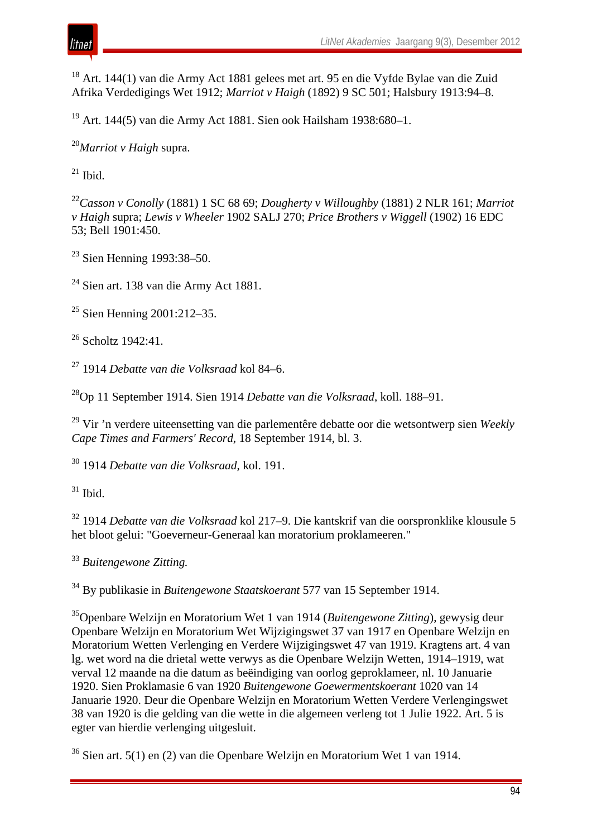<sup>18</sup> Art. 144(1) van die Army Act 1881 gelees met art. 95 en die Vyfde Bylae van die Zuid Afrika Verdedigings Wet 1912; *Marriot v Haigh* (1892) 9 SC 501; Halsbury 1913:94–8.

<sup>19</sup> Art. 144(5) van die Army Act 1881. Sien ook Hailsham 1938:680–1.

<sup>20</sup>*Marriot v Haigh* supra.

 $^{21}$  Ibid.

<sup>22</sup>*Casson v Conolly* (1881) 1 SC 68 69; *Dougherty v Willoughby* (1881) 2 NLR 161; *Marriot v Haigh* supra; *Lewis v Wheeler* 1902 SALJ 270; *Price Brothers v Wiggell* (1902) 16 EDC 53; Bell 1901:450.

<sup>23</sup> Sien Henning 1993:38–50.

<sup>24</sup> Sien art. 138 van die Army Act 1881.

<sup>25</sup> Sien Henning 2001:212-35.

<sup>26</sup> Scholtz 1942:41.

<sup>27</sup> 1914 *Debatte van die Volksraad* kol 84–6.

28Op 11 September 1914. Sien 1914 *Debatte van die Volksraad*, koll. 188–91.

<sup>29</sup> Vir 'n verdere uiteensetting van die parlementêre debatte oor die wetsontwerp sien *Weekly Cape Times and Farmers' Record*, 18 September 1914, bl. 3.

<sup>30</sup> 1914 *Debatte van die Volksraad*, kol. 191.

 $31$  Ibid.

<sup>32</sup> 1914 *Debatte van die Volksraad* kol 217–9. Die kantskrif van die oorspronklike klousule 5 het bloot gelui: "Goeverneur-Generaal kan moratorium proklameeren."

<sup>33</sup> *Buitengewone Zitting.*

<sup>34</sup> By publikasie in *Buitengewone Staatskoerant* 577 van 15 September 1914.

35Openbare Welzijn en Moratorium Wet 1 van 1914 (*Buitengewone Zitting*), gewysig deur Openbare Welzijn en Moratorium Wet Wijzigingswet 37 van 1917 en Openbare Welzijn en Moratorium Wetten Verlenging en Verdere Wijzigingswet 47 van 1919. Kragtens art. 4 van lg. wet word na die drietal wette verwys as die Openbare Welzijn Wetten, 1914–1919, wat verval 12 maande na die datum as beëindiging van oorlog geproklameer, nl. 10 Januarie 1920. Sien Proklamasie 6 van 1920 *Buitengewone Goewermentskoerant* 1020 van 14 Januarie 1920. Deur die Openbare Welzijn en Moratorium Wetten Verdere Verlengingswet 38 van 1920 is die gelding van die wette in die algemeen verleng tot 1 Julie 1922. Art. 5 is egter van hierdie verlenging uitgesluit.

<sup>36</sup> Sien art. 5(1) en (2) van die Openbare Welzijn en Moratorium Wet 1 van 1914.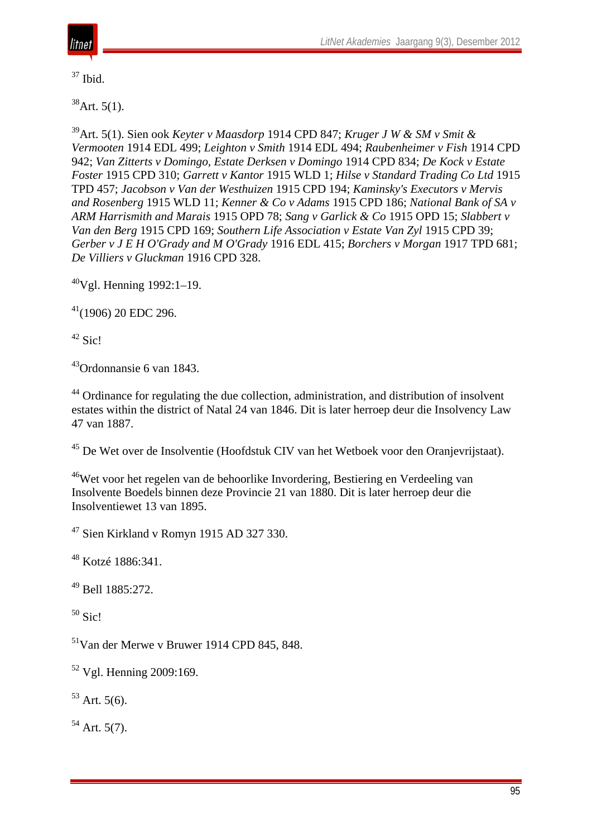

 $37$  Ibid.

 $38$ Art. 5(1).

39Art. 5(1). Sien ook *Keyter v Maasdorp* 1914 CPD 847; *Kruger J W & SM v Smit & Vermooten* 1914 EDL 499; *Leighton v Smith* 1914 EDL 494; *Raubenheimer v Fish* 1914 CPD 942; *Van Zitterts v Domingo, Estate Derksen v Domingo* 1914 CPD 834; *De Kock v Estate Foster* 1915 CPD 310; *Garrett v Kantor* 1915 WLD 1; *Hilse v Standard Trading Co Ltd* 1915 TPD 457; *Jacobson v Van der Westhuizen* 1915 CPD 194; *Kaminsky's Executors v Mervis and Rosenberg* 1915 WLD 11; *Kenner & Co v Adams* 1915 CPD 186; *National Bank of SA v ARM Harrismith and Marais* 1915 OPD 78; *Sang v Garlick & Co* 1915 OPD 15; *Slabbert v Van den Berg* 1915 CPD 169; *Southern Life Association v Estate Van Zyl* 1915 CPD 39; *Gerber v J E H O'Grady and M O'Grady* 1916 EDL 415; *Borchers v Morgan* 1917 TPD 681; *De Villiers v Gluckman* 1916 CPD 328.

 $40Vgl.$  Henning 1992:1–19.

 $41(1906)$  20 EDC 296.

 $42$  Sic!

 $43$ Ordonnansie 6 van 1843.

<sup>44</sup> Ordinance for regulating the due collection, administration, and distribution of insolvent estates within the district of Natal 24 van 1846. Dit is later herroep deur die Insolvency Law 47 van 1887.

<sup>45</sup> De Wet over de Insolventie (Hoofdstuk CIV van het Wetboek voor den Oranjevrijstaat).

<sup>46</sup>Wet voor het regelen van de behoorlike Invordering, Bestiering en Verdeeling van Insolvente Boedels binnen deze Provincie 21 van 1880. Dit is later herroep deur die Insolventiewet 13 van 1895.

<sup>47</sup> Sien Kirkland v Romyn 1915 AD 327 330.

<sup>48</sup> Kotzé 1886:341.

<sup>49</sup> Bell 1885:272.

 $50$  Sic!

51Van der Merwe v Bruwer 1914 CPD 845, 848.

 $52$  Vgl. Henning 2009:169.

 $53$  Art. 5(6).

 $54$  Art. 5(7).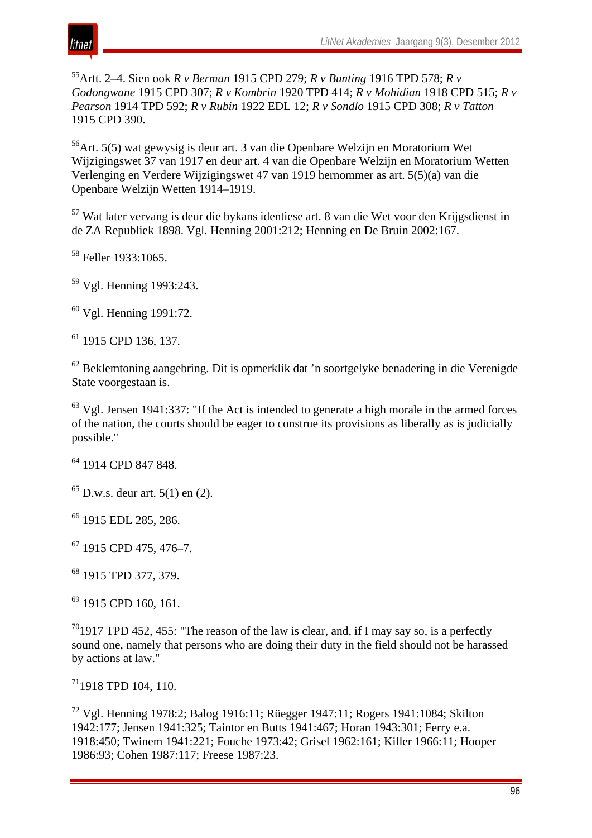

55Artt. 2–4. Sien ook *R v Berman* 1915 CPD 279; *R v Bunting* 1916 TPD 578; *R v Godongwane* 1915 CPD 307; *R v Kombrin* 1920 TPD 414; *R v Mohidian* 1918 CPD 515; *R v Pearson* 1914 TPD 592; *R v Rubin* 1922 EDL 12; *R v Sondlo* 1915 CPD 308; *R v Tatton* 1915 CPD 390.

 $56$ Art. 5(5) wat gewysig is deur art. 3 van die Openbare Welzijn en Moratorium Wet Wijzigingswet 37 van 1917 en deur art. 4 van die Openbare Welzijn en Moratorium Wetten Verlenging en Verdere Wijzigingswet 47 van 1919 hernommer as art. 5(5)(a) van die Openbare Welzijn Wetten 1914–1919.

<sup>57</sup> Wat later vervang is deur die bykans identiese art. 8 van die Wet voor den Krijgsdienst in de ZA Republiek 1898. Vgl. Henning 2001:212; Henning en De Bruin 2002:167.

<sup>58</sup> Feller 1933:1065.

<sup>59</sup> Vgl. Henning 1993:243.

<sup>60</sup> Vgl. Henning 1991:72.

<sup>61</sup> 1915 CPD 136, 137.

<sup>62</sup> Beklemtoning aangebring. Dit is opmerklik dat 'n soortgelyke benadering in die Verenigde State voorgestaan is.

 $63$  Vgl. Jensen 1941:337: "If the Act is intended to generate a high morale in the armed forces of the nation, the courts should be eager to construe its provisions as liberally as is judicially possible."

<sup>64</sup> 1914 CPD 847 848.

 $65$  D.w.s. deur art.  $5(1)$  en (2).

<sup>66</sup> 1915 EDL 285, 286.

<sup>67</sup> 1915 CPD 475, 476–7.

<sup>68</sup> 1915 TPD 377, 379.

<sup>69</sup> 1915 CPD 160, 161.

 $^{70}$ 1917 TPD 452, 455: "The reason of the law is clear, and, if I may say so, is a perfectly sound one, namely that persons who are doing their duty in the field should not be harassed by actions at law."

711918 TPD 104, 110.

<sup>72</sup> Vgl. Henning 1978:2; Balog 1916:11; Rüegger 1947:11; Rogers 1941:1084; Skilton 1942:177; Jensen 1941:325; Taintor en Butts 1941:467; Horan 1943:301; Ferry e.a. 1918:450; Twinem 1941:221; Fouche 1973:42; Grisel 1962:161; Killer 1966:11; Hooper 1986:93; Cohen 1987:117; Freese 1987:23.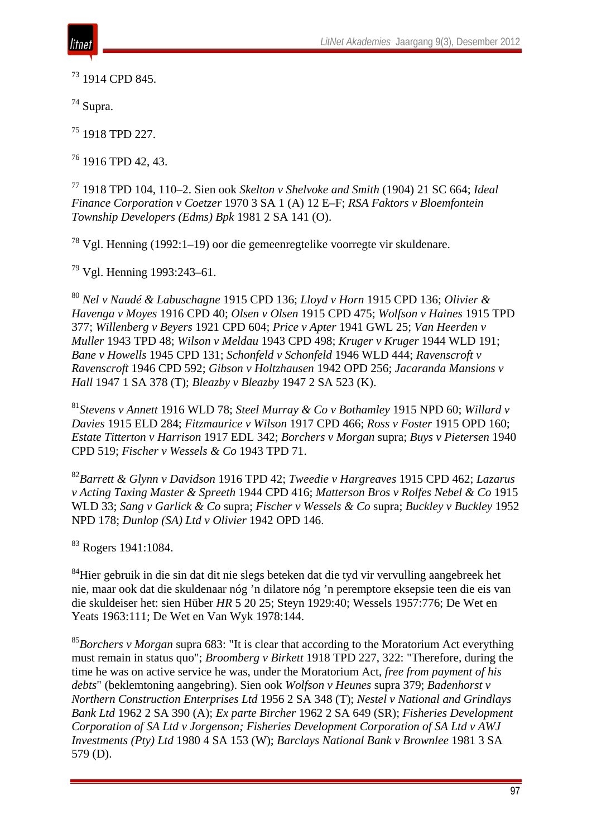

<sup>73</sup> 1914 CPD 845.

<sup>74</sup> Supra.

<sup>75</sup> 1918 TPD 227.

 $76$  1916 TPD 42, 43.

<sup>77</sup> 1918 TPD 104, 110–2. Sien ook *Skelton v Shelvoke and Smith* (1904) 21 SC 664; *Ideal Finance Corporation v Coetzer* 1970 3 SA 1 (A) 12 E–F; *RSA Faktors v Bloemfontein Township Developers (Edms) Bpk* 1981 2 SA 141 (O).

<sup>78</sup> Vgl. Henning (1992:1–19) oor die gemeenregtelike voorregte vir skuldenare.

<sup>79</sup> Vgl. Henning 1993:243–61.

<sup>80</sup> *Nel v Naudé & Labuschagne* 1915 CPD 136; *Lloyd v Horn* 1915 CPD 136; *Olivier & Havenga v Moyes* 1916 CPD 40; *Olsen v Olsen* 1915 CPD 475; *Wolfson v Haines* 1915 TPD 377; *Willenberg v Beyers* 1921 CPD 604; *Price v Apter* 1941 GWL 25; *Van Heerden v Muller* 1943 TPD 48; *Wilson v Meldau* 1943 CPD 498; *Kruger v Kruger* 1944 WLD 191; *Bane v Howells* 1945 CPD 131; *Schonfeld v Schonfeld* 1946 WLD 444; *Ravenscroft v Ravenscroft* 1946 CPD 592; *Gibson v Holtzhausen* 1942 OPD 256; *Jacaranda Mansions v Hall* 1947 1 SA 378 (T); *Bleazby v Bleazby* 1947 2 SA 523 (K).

<sup>81</sup>*Stevens v Annett* 1916 WLD 78; *Steel Murray & Co v Bothamley* 1915 NPD 60; *Willard v Davies* 1915 ELD 284; *Fitzmaurice v Wilson* 1917 CPD 466; *Ross v Foster* 1915 OPD 160; *Estate Titterton v Harrison* 1917 EDL 342; *Borchers v Morgan* supra; *Buys v Pietersen* 1940 CPD 519; *Fischer v Wessels & Co* 1943 TPD 71.

<sup>82</sup>*Barrett & Glynn v Davidson* 1916 TPD 42; *Tweedie v Hargreaves* 1915 CPD 462; *Lazarus v Acting Taxing Master & Spreeth* 1944 CPD 416; *Matterson Bros v Rolfes Nebel & Co* 1915 WLD 33; *Sang v Garlick & Co* supra; *Fischer v Wessels & Co* supra; *Buckley v Buckley* 1952 NPD 178; *Dunlop (SA) Ltd v Olivier* 1942 OPD 146.

<sup>83</sup> Rogers 1941:1084.

 $84$ Hier gebruik in die sin dat dit nie slegs beteken dat die tyd vir vervulling aangebreek het nie, maar ook dat die skuldenaar nóg 'n dilatore nóg 'n peremptore eksepsie teen die eis van die skuldeiser het: sien Hüber *HR* 5 20 25; Steyn 1929:40; Wessels 1957:776; De Wet en Yeats 1963:111; De Wet en Van Wyk 1978:144.

<sup>85</sup>*Borchers v Morgan* supra 683: "It is clear that according to the Moratorium Act everything must remain in status quo"; *Broomberg v Birkett* 1918 TPD 227, 322: "Therefore, during the time he was on active service he was, under the Moratorium Act, *free from payment of his debts*" (beklemtoning aangebring). Sien ook *Wolfson v Heunes* supra 379; *Badenhorst v Northern Construction Enterprises Ltd* 1956 2 SA 348 (T); *Nestel v National and Grindlays Bank Ltd* 1962 2 SA 390 (A); *Ex parte Bircher* 1962 2 SA 649 (SR); *Fisheries Development Corporation of SA Ltd v Jorgenson; Fisheries Development Corporation of SA Ltd v AWJ Investments (Pty) Ltd* 1980 4 SA 153 (W); *Barclays National Bank v Brownlee* 1981 3 SA 579 (D).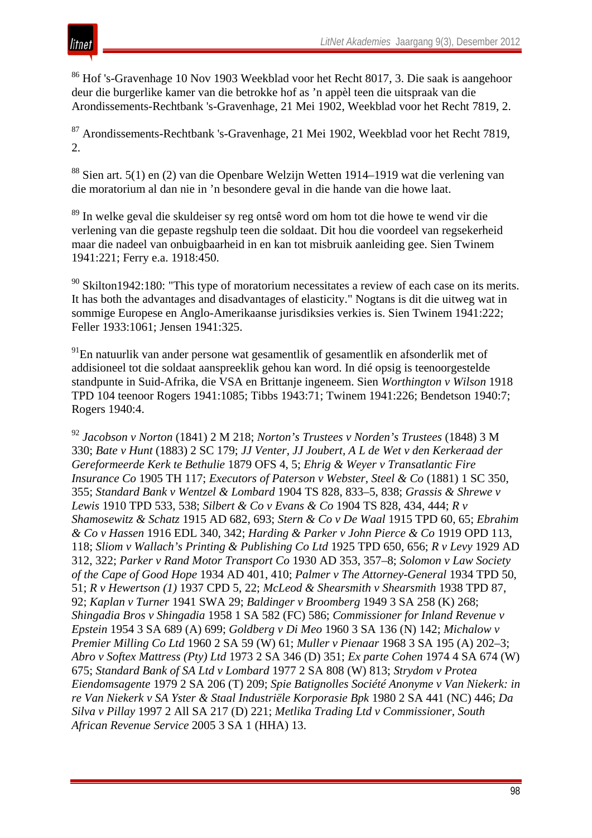

<sup>86</sup> Hof 's-Gravenhage 10 Nov 1903 Weekblad voor het Recht 8017, 3. Die saak is aangehoor deur die burgerlike kamer van die betrokke hof as 'n appèl teen die uitspraak van die Arondissements-Rechtbank 's-Gravenhage, 21 Mei 1902, Weekblad voor het Recht 7819, 2.

<sup>87</sup> Arondissements-Rechtbank 's-Gravenhage, 21 Mei 1902, Weekblad voor het Recht 7819, 2.

<sup>88</sup> Sien art. 5(1) en (2) van die Openbare Welzijn Wetten 1914–1919 wat die verlening van die moratorium al dan nie in 'n besondere geval in die hande van die howe laat.

<sup>89</sup> In welke geval die skuldeiser sy reg ontsê word om hom tot die howe te wend vir die verlening van die gepaste regshulp teen die soldaat. Dit hou die voordeel van regsekerheid maar die nadeel van onbuigbaarheid in en kan tot misbruik aanleiding gee. Sien Twinem 1941:221; Ferry e.a. 1918:450.

 $90$  Skilton1942:180: "This type of moratorium necessitates a review of each case on its merits. It has both the advantages and disadvantages of elasticity." Nogtans is dit die uitweg wat in sommige Europese en Anglo-Amerikaanse jurisdiksies verkies is. Sien Twinem 1941:222; Feller 1933:1061; Jensen 1941:325.

<sup>91</sup>En natuurlik van ander persone wat gesamentlik of gesamentlik en afsonderlik met of addisioneel tot die soldaat aanspreeklik gehou kan word. In dié opsig is teenoorgestelde standpunte in Suid-Afrika, die VSA en Brittanje ingeneem. Sien *Worthington v Wilson* 1918 TPD 104 teenoor Rogers 1941:1085; Tibbs 1943:71; Twinem 1941:226; Bendetson 1940:7; Rogers 1940:4.

<sup>92</sup> *Jacobson v Norton* (1841) 2 M 218; *Norton's Trustees v Norden's Trustees* (1848) 3 M 330; *Bate v Hunt* (1883) 2 SC 179; *JJ Venter, JJ Joubert, A L de Wet v den Kerkeraad der Gereformeerde Kerk te Bethulie* 1879 OFS 4, 5; *Ehrig & Weyer v Transatlantic Fire Insurance Co* 1905 TH 117; *Executors of Paterson v Webster, Steel & Co* (1881) 1 SC 350, 355; *Standard Bank v Wentzel & Lombard* 1904 TS 828, 833–5, 838; *Grassis & Shrewe v Lewis* 1910 TPD 533, 538; *Silbert & Co v Evans & Co* 1904 TS 828, 434, 444; *R v Shamosewitz & Schatz* 1915 AD 682, 693; *Stern & Co v De Waal* 1915 TPD 60, 65; *Ebrahim & Co v Hassen* 1916 EDL 340, 342; *Harding & Parker v John Pierce & Co* 1919 OPD 113, 118; *Sliom v Wallach's Printing & Publishing Co Ltd* 1925 TPD 650, 656; *R v Levy* 1929 AD 312, 322; *Parker v Rand Motor Transport Co* 1930 AD 353, 357–8; *Solomon v Law Society of the Cape of Good Hope* 1934 AD 401, 410; *Palmer v The Attorney-General* 1934 TPD 50, 51; *R v Hewertson (1)* 1937 CPD 5, 22; *McLeod & Shearsmith v Shearsmith* 1938 TPD 87, 92; *Kaplan v Turner* 1941 SWA 29; *Baldinger v Broomberg* 1949 3 SA 258 (K) 268; *Shingadia Bros v Shingadia* 1958 1 SA 582 (FC) 586; *Commissioner for Inland Revenue v Epstein* 1954 3 SA 689 (A) 699; *Goldberg v Di Meo* 1960 3 SA 136 (N) 142; *Michalow v Premier Milling Co Ltd* 1960 2 SA 59 (W) 61; *Muller v Pienaar* 1968 3 SA 195 (A) 202–3; *Abro v Softex Mattress (Pty) Ltd* 1973 2 SA 346 (D) 351; *Ex parte Cohen* 1974 4 SA 674 (W) 675; *Standard Bank of SA Ltd v Lombard* 1977 2 SA 808 (W) 813; *Strydom v Protea Eiendomsagente* 1979 2 SA 206 (T) 209; *Spie Batignolles Société Anonyme v Van Niekerk: in re Van Niekerk v SA Yster & Staal Industriële Korporasie Bpk* 1980 2 SA 441 (NC) 446; *Da Silva v Pillay* 1997 2 All SA 217 (D) 221; *Metlika Trading Ltd v Commissioner, South African Revenue Service* 2005 3 SA 1 (HHA) 13.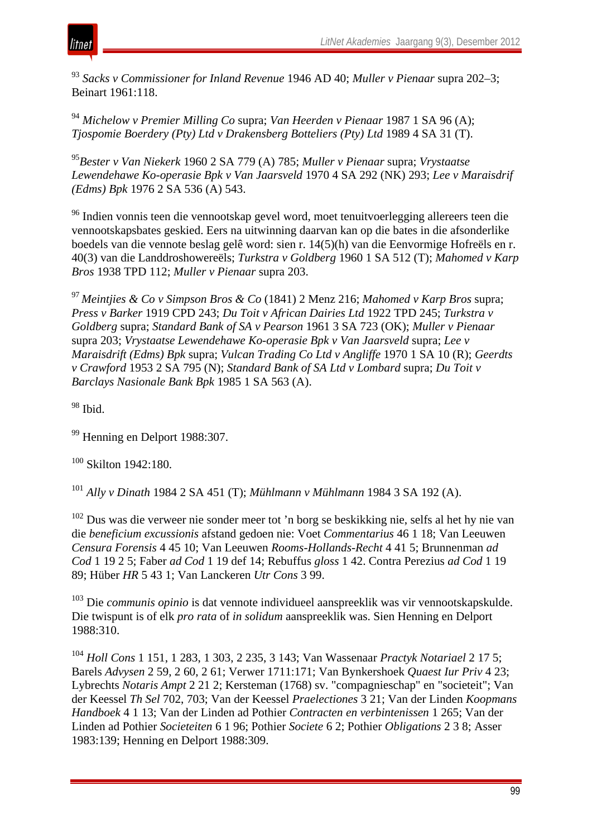

<sup>93</sup> *Sacks v Commissioner for Inland Revenue* 1946 AD 40; *Muller v Pienaar* supra 202–3; Beinart 1961:118.

<sup>94</sup> *Michelow v Premier Milling Co* supra; *Van Heerden v Pienaar* 1987 1 SA 96 (A); *Tjospomie Boerdery (Pty) Ltd v Drakensberg Botteliers (Pty) Ltd* 1989 4 SA 31 (T).

<sup>95</sup>*Bester v Van Niekerk* 1960 2 SA 779 (A) 785; *Muller v Pienaar* supra; *Vrystaatse Lewendehawe Ko-operasie Bpk v Van Jaarsveld* 1970 4 SA 292 (NK) 293; *Lee v Maraisdrif (Edms) Bpk* 1976 2 SA 536 (A) 543.

<sup>96</sup> Indien vonnis teen die vennootskap gevel word, moet tenuitvoerlegging allereers teen die vennootskapsbates geskied. Eers na uitwinning daarvan kan op die bates in die afsonderlike boedels van die vennote beslag gelê word: sien r. 14(5)(h) van die Eenvormige Hofreëls en r. 40(3) van die Landdroshowereëls; *Turkstra v Goldberg* 1960 1 SA 512 (T); *Mahomed v Karp Bros* 1938 TPD 112; *Muller v Pienaar* supra 203.

<sup>97</sup>*Meintjies & Co v Simpson Bros & Co* (1841) 2 Menz 216; *Mahomed v Karp Bros* supra; *Press v Barker* 1919 CPD 243; *Du Toit v African Dairies Ltd* 1922 TPD 245; *Turkstra v Goldberg* supra; *Standard Bank of SA v Pearson* 1961 3 SA 723 (OK); *Muller v Pienaar* supra 203; *Vrystaatse Lewendehawe Ko-operasie Bpk v Van Jaarsveld* supra; *Lee v Maraisdrift (Edms) Bpk* supra; *Vulcan Trading Co Ltd v Angliffe* 1970 1 SA 10 (R); *Geerdts v Crawford* 1953 2 SA 795 (N); *Standard Bank of SA Ltd v Lombard* supra; *Du Toit v Barclays Nasionale Bank Bpk* 1985 1 SA 563 (A).

<sup>98</sup> Ibid.

<sup>99</sup> Henning en Delport 1988:307.

<sup>100</sup> Skilton 1942:180.

<sup>101</sup> *Ally v Dinath* 1984 2 SA 451 (T); *Mühlmann v Mühlmann* 1984 3 SA 192 (A).

<sup>102</sup> Dus was die verweer nie sonder meer tot 'n borg se beskikking nie, selfs al het hy nie van die *beneficium excussionis* afstand gedoen nie: Voet *Commentarius* 46 1 18; Van Leeuwen *Censura Forensis* 4 45 10; Van Leeuwen *Rooms-Hollands-Recht* 4 41 5; Brunnenman *ad Cod* 1 19 2 5; Faber *ad Cod* 1 19 def 14; Rebuffus *gloss* 1 42. Contra Perezius *ad Cod* 1 19 89; Hüber *HR* 5 43 1; Van Lanckeren *Utr Cons* 3 99.

<sup>103</sup> Die *communis opinio* is dat vennote individueel aanspreeklik was vir vennootskapskulde. Die twispunt is of elk *pro rata* of *in solidum* aanspreeklik was. Sien Henning en Delport 1988:310.

<sup>104</sup> *Holl Cons* 1 151, 1 283, 1 303, 2 235, 3 143; Van Wassenaar *Practyk Notariael* 2 17 5; Barels *Advysen* 2 59, 2 60, 2 61; Verwer 1711:171; Van Bynkershoek *Quaest Iur Priv* 4 23; Lybrechts *Notaris Ampt* 2 21 2; Kersteman (1768) sv. "compagnieschap" en "societeit"; Van der Keessel *Th Sel* 702, 703; Van der Keessel *Praelectiones* 3 21; Van der Linden *Koopmans Handboek* 4 1 13; Van der Linden ad Pothier *Contracten en verbintenissen* 1 265; Van der Linden ad Pothier *Societeiten* 6 1 96; Pothier *Societe* 6 2; Pothier *Obligations* 2 3 8; Asser 1983:139; Henning en Delport 1988:309.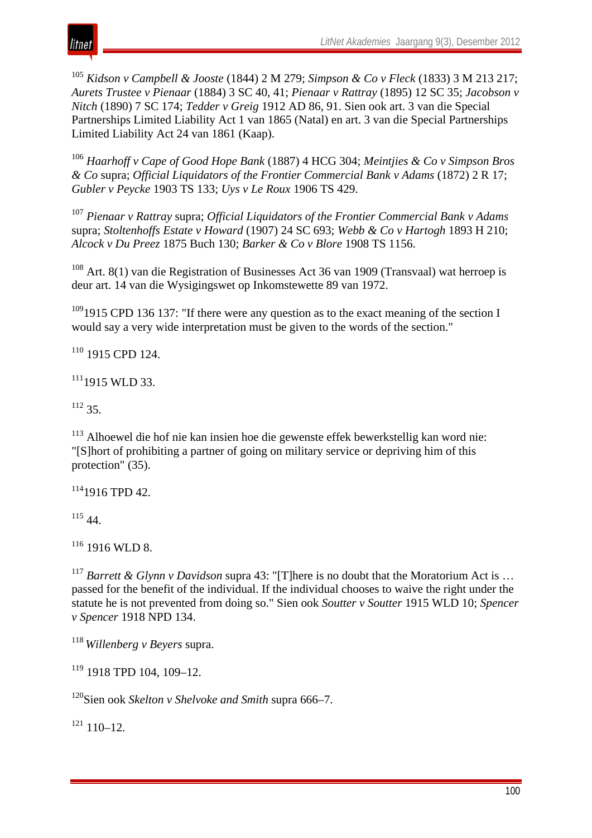

<sup>105</sup> *Kidson v Campbell & Jooste* (1844) 2 M 279; *Simpson & Co v Fleck* (1833) 3 M 213 217; *Aurets Trustee v Pienaar* (1884) 3 SC 40, 41; *Pienaar v Rattray* (1895) 12 SC 35; *Jacobson v Nitch* (1890) 7 SC 174; *Tedder v Greig* 1912 AD 86, 91. Sien ook art. 3 van die Special Partnerships Limited Liability Act 1 van 1865 (Natal) en art. 3 van die Special Partnerships Limited Liability Act 24 van 1861 (Kaap).

<sup>106</sup> *Haarhoff v Cape of Good Hope Bank* (1887) 4 HCG 304; *Meintjies & Co v Simpson Bros & Co* supra; *Official Liquidators of the Frontier Commercial Bank v Adams* (1872) 2 R 17; *Gubler v Peycke* 1903 TS 133; *Uys v Le Roux* 1906 TS 429.

<sup>107</sup> *Pienaar v Rattray* supra; *Official Liquidators of the Frontier Commercial Bank v Adams* supra; *Stoltenhoffs Estate v Howard* (1907) 24 SC 693; *Webb & Co v Hartogh* 1893 H 210; *Alcock v Du Preez* 1875 Buch 130; *Barker & Co v Blore* 1908 TS 1156.

<sup>108</sup> Art. 8(1) van die Registration of Businesses Act 36 van 1909 (Transvaal) wat herroep is deur art. 14 van die Wysigingswet op Inkomstewette 89 van 1972.

 $1091915$  CPD 136 137: "If there were any question as to the exact meaning of the section I would say a very wide interpretation must be given to the words of the section."

 $110$  1915 CPD 124.

 $111$ <sub>1915</sub> WLD 33.

 $112$  35.

<sup>113</sup> Alhoewel die hof nie kan insien hoe die gewenste effek bewerkstellig kan word nie: "[S]hort of prohibiting a partner of going on military service or depriving him of this protection" (35).

 $114$ 1916 TPD 42.

<sup>115</sup> 44.

 $116$  1916 WLD 8.

<sup>117</sup> *Barrett & Glynn v Davidson* supra 43: "[T]here is no doubt that the Moratorium Act is ... passed for the benefit of the individual. If the individual chooses to waive the right under the statute he is not prevented from doing so." Sien ook *Soutter v Soutter* 1915 WLD 10; *Spencer v Spencer* 1918 NPD 134.

<sup>118</sup>*Willenberg v Beyers* supra.

 $119$  1918 TPD 104, 109-12.

120Sien ook *Skelton v Shelvoke and Smith* supra 666–7.

 $121$  110–12.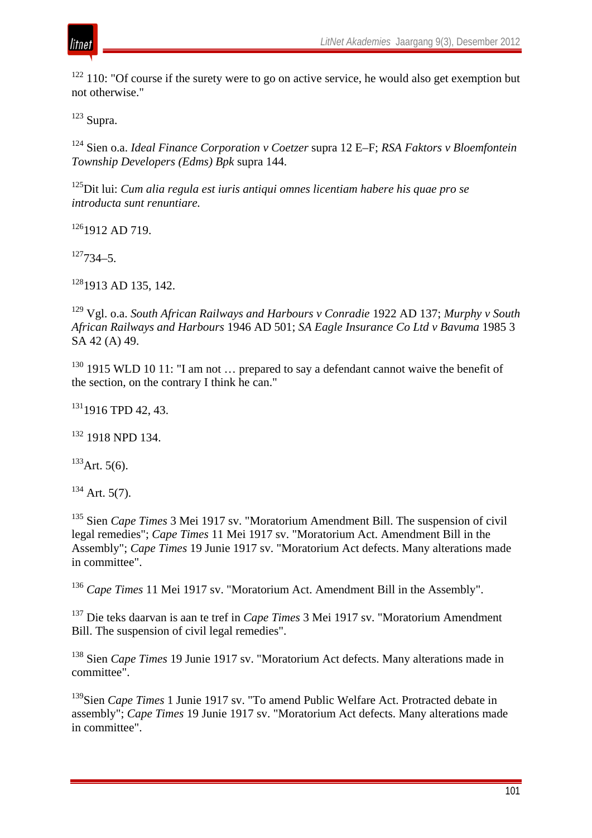

 $122$  110: "Of course if the surety were to go on active service, he would also get exemption but not otherwise."

 $123$  Supra.

<sup>124</sup> Sien o.a. *Ideal Finance Corporation v Coetzer* supra 12 E–F; *RSA Faktors v Bloemfontein Township Developers (Edms) Bpk* supra 144.

125Dit lui: *Cum alia regula est iuris antiqui omnes licentiam habere his quae pro se introducta sunt renuntiare.*

<sup>126</sup>1912 AD 719.

 $127734 - 5$ 

 $128$ <sub>1913</sub> AD 135, 142.

<sup>129</sup> Vgl. o.a. *South African Railways and Harbours v Conradie* 1922 AD 137; *Murphy v South African Railways and Harbours* 1946 AD 501; *SA Eagle Insurance Co Ltd v Bavuma* 1985 3 SA 42 (A) 49.

 $130$  1915 WLD 10 11: "I am not ... prepared to say a defendant cannot waive the benefit of the section, on the contrary I think he can."

<sup>131</sup>1916 TPD 42, 43.

 $132$  1918 NPD 134.

 $133$  Art. 5(6).

 $134$  Art. 5(7).

<sup>135</sup> Sien *Cape Times* 3 Mei 1917 sv. "Moratorium Amendment Bill. The suspension of civil legal remedies"; *Cape Times* 11 Mei 1917 sv. "Moratorium Act. Amendment Bill in the Assembly"; *Cape Times* 19 Junie 1917 sv. "Moratorium Act defects. Many alterations made in committee".

<sup>136</sup> Cape Times 11 Mei 1917 sv. "Moratorium Act. Amendment Bill in the Assembly".

<sup>137</sup> Die teks daarvan is aan te tref in *Cape Times* 3 Mei 1917 sv. "Moratorium Amendment Bill. The suspension of civil legal remedies".

<sup>138</sup> Sien *Cape Times* 19 Junie 1917 sv. "Moratorium Act defects. Many alterations made in committee".

<sup>139</sup>Sien *Cape Times* 1 Junie 1917 sv. "To amend Public Welfare Act. Protracted debate in assembly"; *Cape Times* 19 Junie 1917 sv. "Moratorium Act defects. Many alterations made in committee".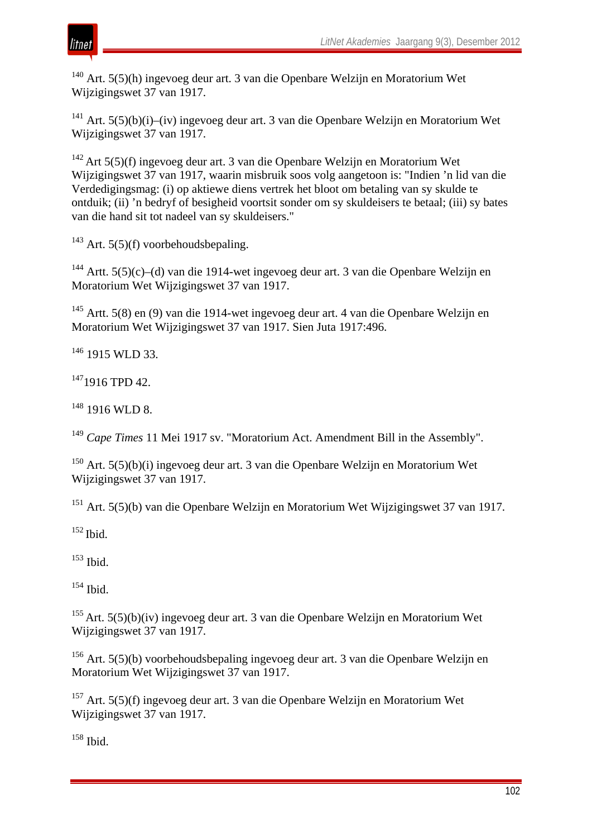

<sup>140</sup> Art. 5(5)(h) ingevoeg deur art. 3 van die Openbare Welzijn en Moratorium Wet Wijzigingswet 37 van 1917.

<sup>141</sup> Art.  $5(5)(b)(i)$ –(iv) ingevoeg deur art. 3 van die Openbare Welzijn en Moratorium Wet Wijzigingswet 37 van 1917.

142 Art 5(5)(f) ingevoeg deur art. 3 van die Openbare Welzijn en Moratorium Wet Wijzigingswet 37 van 1917, waarin misbruik soos volg aangetoon is: "Indien 'n lid van die Verdedigingsmag: (i) op aktiewe diens vertrek het bloot om betaling van sy skulde te ontduik; (ii) 'n bedryf of besigheid voortsit sonder om sy skuldeisers te betaal; (iii) sy bates van die hand sit tot nadeel van sy skuldeisers."

 $143$  Art. 5(5)(f) voorbehoudsbepaling.

<sup>144</sup> Artt. 5(5)(c)–(d) van die 1914-wet ingevoeg deur art. 3 van die Openbare Welzijn en Moratorium Wet Wijzigingswet 37 van 1917.

<sup>145</sup> Artt. 5(8) en (9) van die 1914-wet ingevoeg deur art. 4 van die Openbare Welzijn en Moratorium Wet Wijzigingswet 37 van 1917. Sien Juta 1917:496.

 $146$  1915 WLD 33.

<sup>147</sup>1916 TPD 42.

 $148$  1916 WLD 8.

<sup>149</sup> *Cape Times* 11 Mei 1917 sv. "Moratorium Act. Amendment Bill in the Assembly".

<sup>150</sup> Art. 5(5)(b)(i) ingevoeg deur art. 3 van die Openbare Welzijn en Moratorium Wet Wijzigingswet 37 van 1917.

<sup>151</sup> Art. 5(5)(b) van die Openbare Welzijn en Moratorium Wet Wijzigingswet 37 van 1917.

 $152$  Ibid.

<sup>153</sup> Ibid.

 $154$  Ibid.

155 Art. 5(5)(b)(iv) ingevoeg deur art. 3 van die Openbare Welzijn en Moratorium Wet Wijzigingswet 37 van 1917.

<sup>156</sup> Art. 5(5)(b) voorbehoudsbepaling ingevoeg deur art. 3 van die Openbare Welzijn en Moratorium Wet Wijzigingswet 37 van 1917.

<sup>157</sup> Art. 5(5)(f) ingevoeg deur art. 3 van die Openbare Welzijn en Moratorium Wet Wijzigingswet 37 van 1917.

<sup>158</sup> Ibid.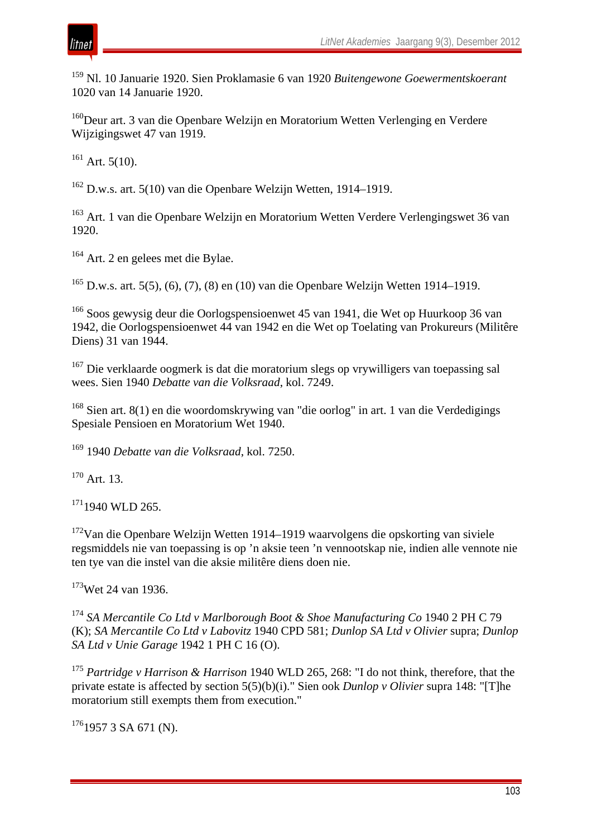

<sup>159</sup> Nl. 10 Januarie 1920. Sien Proklamasie 6 van 1920 *Buitengewone Goewermentskoerant* 1020 van 14 Januarie 1920.

<sup>160</sup>Deur art. 3 van die Openbare Welzijn en Moratorium Wetten Verlenging en Verdere Wijzigingswet 47 van 1919.

 $161$  Art. 5(10).

<sup>162</sup> D.w.s. art. 5(10) van die Openbare Welzijn Wetten, 1914–1919.

<sup>163</sup> Art. 1 van die Openbare Welzijn en Moratorium Wetten Verdere Verlengingswet 36 van 1920.

<sup>164</sup> Art. 2 en gelees met die Bylae.

<sup>165</sup> D.w.s. art. 5(5), (6), (7), (8) en (10) van die Openbare Welzijn Wetten 1914–1919.

<sup>166</sup> Soos gewysig deur die Oorlogspensioenwet 45 van 1941, die Wet op Huurkoop 36 van 1942, die Oorlogspensioenwet 44 van 1942 en die Wet op Toelating van Prokureurs (Militêre Diens) 31 van 1944.

<sup>167</sup> Die verklaarde oogmerk is dat die moratorium slegs op vrywilligers van toepassing sal wees. Sien 1940 *Debatte van die Volksraad*, kol. 7249.

<sup>168</sup> Sien art. 8(1) en die woordomskrywing van "die oorlog" in art. 1 van die Verdedigings Spesiale Pensioen en Moratorium Wet 1940.

<sup>169</sup> 1940 *Debatte van die Volksraad*, kol. 7250.

<sup>170</sup> Art. 13.

 $1711940$  WLD 265.

172Van die Openbare Welzijn Wetten 1914–1919 waarvolgens die opskorting van siviele regsmiddels nie van toepassing is op 'n aksie teen 'n vennootskap nie, indien alle vennote nie ten tye van die instel van die aksie militêre diens doen nie.

<sup>173</sup>Wet 24 van 1936.

<sup>174</sup> *SA Mercantile Co Ltd v Marlborough Boot & Shoe Manufacturing Co* 1940 2 PH C 79 (K); *SA Mercantile Co Ltd v Labovitz* 1940 CPD 581; *Dunlop SA Ltd v Olivier* supra; *Dunlop SA Ltd v Unie Garage* 1942 1 PH C 16 (O).

<sup>175</sup> *Partridge v Harrison & Harrison* 1940 WLD 265, 268: "I do not think, therefore, that the private estate is affected by section 5(5)(b)(i)." Sien ook *Dunlop v Olivier* supra 148: "[T]he moratorium still exempts them from execution."

 $176$ 1957 3 SA 671 (N).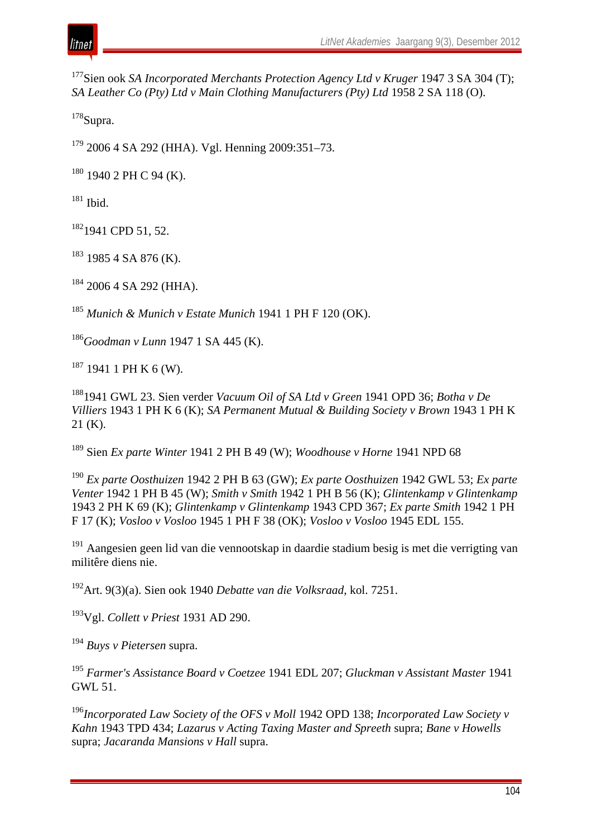

<sup>177</sup>Sien ook *SA Incorporated Merchants Protection Agency Ltd v Kruger* 1947 3 SA 304 (T); *SA Leather Co (Pty) Ltd v Main Clothing Manufacturers (Pty) Ltd* 1958 2 SA 118 (O).

 $178$ Supra.

 $179$  2006 4 SA 292 (HHA). Vgl. Henning 2009:351–73.

 $180$  1940 2 PH C 94 (K).

 $181$  Ibid.

182<sub>1941</sub> CPD 51, 52.

 $183$  1985 4 SA 876 (K).

<sup>184</sup> 2006 4 SA 292 (HHA).

<sup>185</sup> *Munich & Munich v Estate Munich* 1941 1 PH F 120 (OK).

<sup>186</sup>*Goodman v Lunn* 1947 1 SA 445 (K).

 $187$  1941 1 PH K 6 (W).

1881941 GWL 23. Sien verder *Vacuum Oil of SA Ltd v Green* 1941 OPD 36; *Botha v De Villiers* 1943 1 PH K 6 (K); *SA Permanent Mutual & Building Society v Brown* 1943 1 PH K 21 (K).

<sup>189</sup> Sien *Ex parte Winter* 1941 2 PH B 49 (W); *Woodhouse v Horne* 1941 NPD 68

<sup>190</sup> *Ex parte Oosthuizen* 1942 2 PH B 63 (GW); *Ex parte Oosthuizen* 1942 GWL 53; *Ex parte Venter* 1942 1 PH B 45 (W); *Smith v Smith* 1942 1 PH B 56 (K); *Glintenkamp v Glintenkamp*  1943 2 PH K 69 (K); *Glintenkamp v Glintenkamp* 1943 CPD 367; *Ex parte Smith* 1942 1 PH F 17 (K); *Vosloo v Vosloo* 1945 1 PH F 38 (OK); *Vosloo v Vosloo* 1945 EDL 155.

<sup>191</sup> Aangesien geen lid van die vennootskap in daardie stadium besig is met die verrigting van militêre diens nie.

192Art. 9(3)(a). Sien ook 1940 *Debatte van die Volksraad*, kol. 7251.

193Vgl. *Collett v Priest* 1931 AD 290.

<sup>194</sup> *Buys v Pietersen* supra.

<sup>195</sup> *Farmer's Assistance Board v Coetzee* 1941 EDL 207; *Gluckman v Assistant Master* 1941 GWL 51.

<sup>196</sup>*Incorporated Law Society of the OFS v Moll* 1942 OPD 138; *Incorporated Law Society v Kahn* 1943 TPD 434; *Lazarus v Acting Taxing Master and Spreeth* supra; *Bane v Howells*  supra; *Jacaranda Mansions v Hall* supra.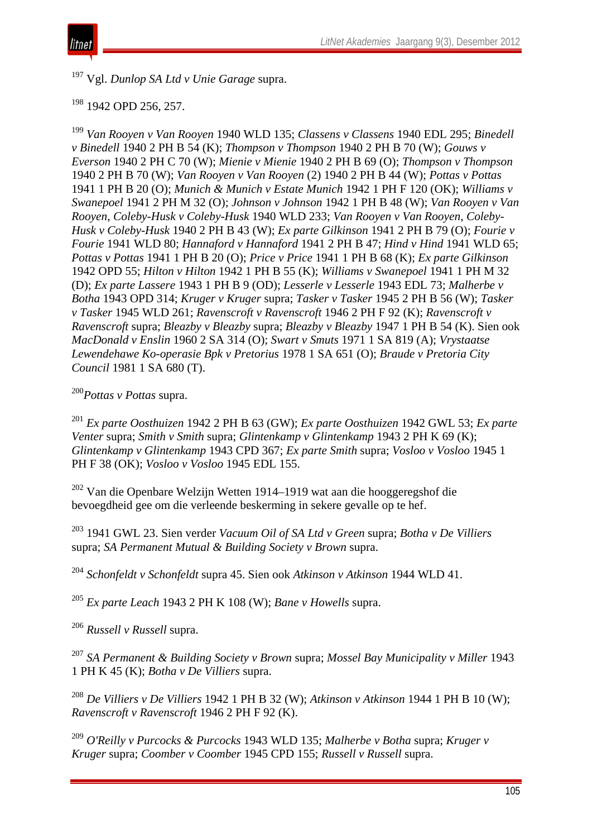

<sup>197</sup> Vgl. *Dunlop SA Ltd v Unie Garage* supra.

#### <sup>198</sup> 1942 OPD 256, 257.

<sup>199</sup> *Van Rooyen v Van Rooyen* 1940 WLD 135; *Classens v Classens* 1940 EDL 295; *Binedell v Binedell* 1940 2 PH B 54 (K); *Thompson v Thompson* 1940 2 PH B 70 (W); *Gouws v Everson* 1940 2 PH C 70 (W); *Mienie v Mienie* 1940 2 PH B 69 (O); *Thompson v Thompson* 1940 2 PH B 70 (W); *Van Rooyen v Van Rooyen* (2) 1940 2 PH B 44 (W); *Pottas v Pottas* 1941 1 PH B 20 (O); *Munich & Munich v Estate Munich* 1942 1 PH F 120 (OK); *Williams v Swanepoel* 1941 2 PH M 32 (O); *Johnson v Johnson* 1942 1 PH B 48 (W); *Van Rooyen v Van Rooyen, Coleby-Husk v Coleby-Husk* 1940 WLD 233; *Van Rooyen v Van Rooyen, Coleby-Husk v Coleby-Husk* 1940 2 PH B 43 (W); *Ex parte Gilkinson* 1941 2 PH B 79 (O); *Fourie v Fourie* 1941 WLD 80; *Hannaford v Hannaford* 1941 2 PH B 47; *Hind v Hind* 1941 WLD 65; *Pottas v Pottas* 1941 1 PH B 20 (O); *Price v Price* 1941 1 PH B 68 (K); *Ex parte Gilkinson*  1942 OPD 55; *Hilton v Hilton* 1942 1 PH B 55 (K); *Williams v Swanepoel* 1941 1 PH M 32 (D); *Ex parte Lassere* 1943 1 PH B 9 (OD); *Lesserle v Lesserle* 1943 EDL 73; *Malherbe v Botha* 1943 OPD 314; *Kruger v Kruger* supra; *Tasker v Tasker* 1945 2 PH B 56 (W); *Tasker v Tasker* 1945 WLD 261; *Ravenscroft v Ravenscroft* 1946 2 PH F 92 (K); *Ravenscroft v Ravenscroft* supra; *Bleazby v Bleazby* supra; *Bleazby v Bleazby* 1947 1 PH B 54 (K). Sien ook *MacDonald v Enslin* 1960 2 SA 314 (O); *Swart v Smuts* 1971 1 SA 819 (A); *Vrystaatse Lewendehawe Ko-operasie Bpk v Pretorius* 1978 1 SA 651 (O); *Braude v Pretoria City Council* 1981 1 SA 680 (T).

#### <sup>200</sup>*Pottas v Pottas* supra.

<sup>201</sup> *Ex parte Oosthuizen* 1942 2 PH B 63 (GW); *Ex parte Oosthuizen* 1942 GWL 53; *Ex parte Venter* supra; *Smith v Smith* supra; *Glintenkamp v Glintenkamp* 1943 2 PH K 69 (K); *Glintenkamp v Glintenkamp* 1943 CPD 367; *Ex parte Smith* supra; *Vosloo v Vosloo* 1945 1 PH F 38 (OK); *Vosloo v Vosloo* 1945 EDL 155.

<sup>202</sup> Van die Openbare Welzijn Wetten 1914–1919 wat aan die hooggeregshof die bevoegdheid gee om die verleende beskerming in sekere gevalle op te hef.

<sup>203</sup> 1941 GWL 23. Sien verder *Vacuum Oil of SA Ltd v Green* supra; *Botha v De Villiers* supra; *SA Permanent Mutual & Building Society v Brown* supra.

<sup>204</sup> *Schonfeldt v Schonfeldt* supra 45. Sien ook *Atkinson v Atkinson* 1944 WLD 41.

<sup>205</sup> *Ex parte Leach* 1943 2 PH K 108 (W); *Bane v Howells* supra.

<sup>206</sup> *Russell v Russell* supra.

<sup>207</sup> *SA Permanent & Building Society v Brown* supra; *Mossel Bay Municipality v Miller* 1943 1 PH K 45 (K); *Botha v De Villiers* supra.

<sup>208</sup> *De Villiers v De Villiers* 1942 1 PH B 32 (W); *Atkinson v Atkinson* 1944 1 PH B 10 (W); *Ravenscroft v Ravenscroft* 1946 2 PH F 92 (K).

<sup>209</sup> *O'Reilly v Purcocks & Purcocks* 1943 WLD 135; *Malherbe v Botha* supra; *Kruger v Kruger* supra; *Coomber v Coomber* 1945 CPD 155; *Russell v Russell* supra.